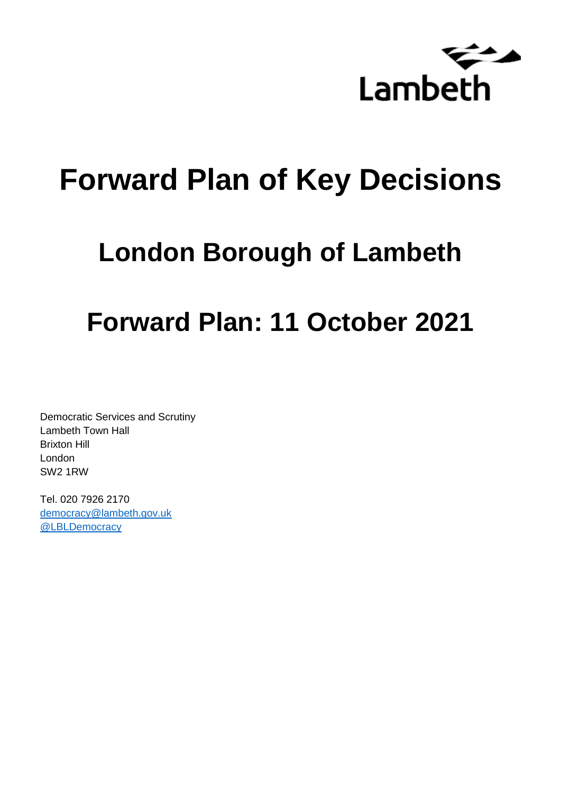

# **Forward Plan of Key Decisions**

# **London Borough of Lambeth**

# **Forward Plan: 11 October 2021**

Democratic Services and Scrutiny Lambeth Town Hall Brixton Hill London SW2 1RW

Tel. 020 7926 2170 [democracy@lambeth.gov.uk](mailto:democracy@lambeth.gov.uk) [@LBLDemocracy](https://twitter.com/LBLDemocracy?lang=en)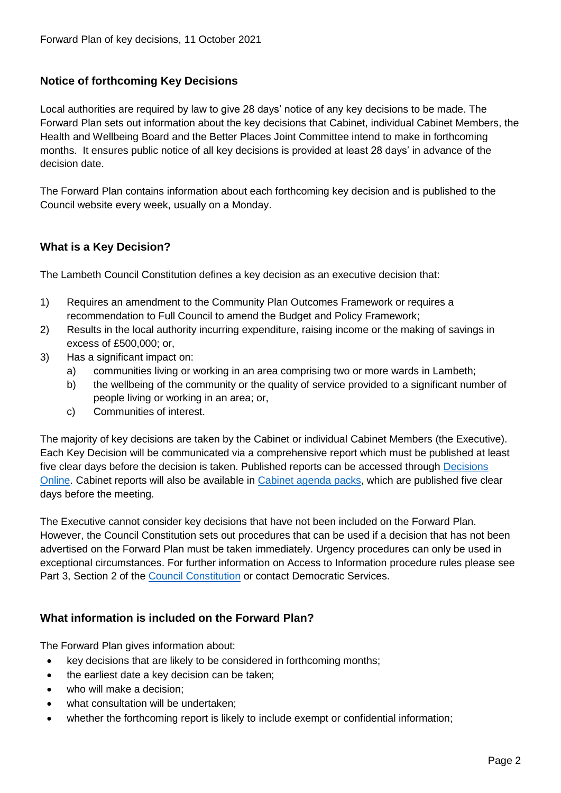# **Notice of forthcoming Key Decisions**

Local authorities are required by law to give 28 days' notice of any key decisions to be made. The Forward Plan sets out information about the key decisions that Cabinet, individual Cabinet Members, the Health and Wellbeing Board and the Better Places Joint Committee intend to make in forthcoming months. It ensures public notice of all key decisions is provided at least 28 days' in advance of the decision date.

The Forward Plan contains information about each forthcoming key decision and is published to the Council website every week, usually on a Monday.

## **What is a Key Decision?**

The Lambeth Council Constitution defines a key decision as an executive decision that:

- 1) Requires an amendment to the Community Plan Outcomes Framework or requires a recommendation to Full Council to amend the Budget and Policy Framework;
- 2) Results in the local authority incurring expenditure, raising income or the making of savings in excess of £500,000; or,
- 3) Has a significant impact on:
	- a) communities living or working in an area comprising two or more wards in Lambeth;
	- b) the wellbeing of the community or the quality of service provided to a significant number of people living or working in an area; or,
	- c) Communities of interest.

The majority of key decisions are taken by the Cabinet or individual Cabinet Members (the Executive). Each Key Decision will be communicated via a comprehensive report which must be published at least five clear days before the decision is taken. Published reports can be accessed through Decisions [Online.](http://moderngov.lambeth.gov.uk/mgDelegatedDecisions.aspx?bcr=1&DM=0&DS=2&K=0&DR=&V=0) Cabinet reports will also be available in [Cabinet agenda packs,](https://moderngov.lambeth.gov.uk/ieListMeetings.aspx?CommitteeId=225) which are published five clear days before the meeting.

The Executive cannot consider key decisions that have not been included on the Forward Plan. However, the Council Constitution sets out procedures that can be used if a decision that has not been advertised on the Forward Plan must be taken immediately. Urgency procedures can only be used in exceptional circumstances. For further information on Access to Information procedure rules please see Part 3, Section 2 of the [Council Constitution](http://moderngov.lambeth.gov.uk/ieListMeetings.aspx?CId=738&info=1&MD=Constitution) or contact Democratic Services.

## **What information is included on the Forward Plan?**

The Forward Plan gives information about:

- key decisions that are likely to be considered in forthcoming months;
- the earliest date a key decision can be taken;
- who will make a decision;
- what consultation will be undertaken;
- whether the forthcoming report is likely to include exempt or confidential information;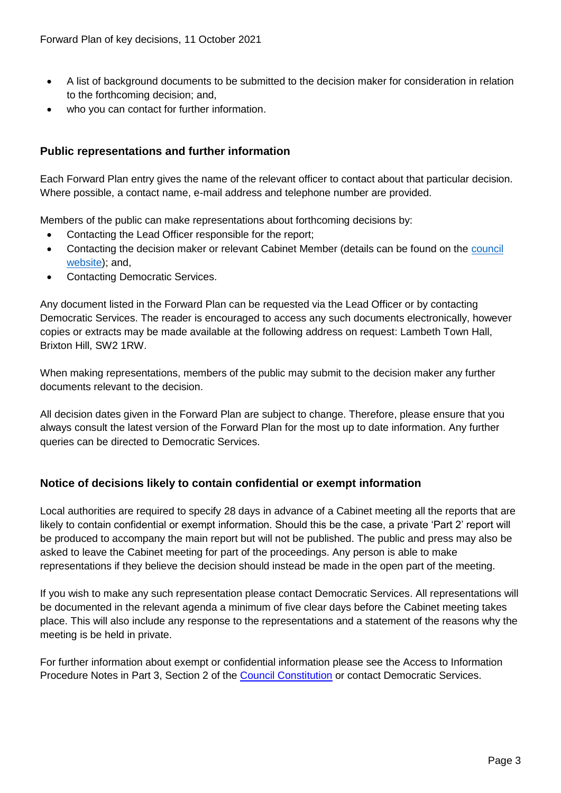- A list of background documents to be submitted to the decision maker for consideration in relation to the forthcoming decision; and,
- who you can contact for further information.

## **Public representations and further information**

Each Forward Plan entry gives the name of the relevant officer to contact about that particular decision. Where possible, a contact name, e-mail address and telephone number are provided.

Members of the public can make representations about forthcoming decisions by:

- Contacting the Lead Officer responsible for the report;
- Contacting the decision maker or relevant Cabinet Member (details can be found on the council [website\)](http://moderngov.lambeth.gov.uk/mgMemberIndex.aspx?bcr=1); and,
- Contacting Democratic Services.

Any document listed in the Forward Plan can be requested via the Lead Officer or by contacting Democratic Services. The reader is encouraged to access any such documents electronically, however copies or extracts may be made available at the following address on request: Lambeth Town Hall, Brixton Hill, SW2 1RW.

When making representations, members of the public may submit to the decision maker any further documents relevant to the decision.

All decision dates given in the Forward Plan are subject to change. Therefore, please ensure that you always consult the latest version of the Forward Plan for the most up to date information. Any further queries can be directed to Democratic Services.

# **Notice of decisions likely to contain confidential or exempt information**

Local authorities are required to specify 28 days in advance of a Cabinet meeting all the reports that are likely to contain confidential or exempt information. Should this be the case, a private 'Part 2' report will be produced to accompany the main report but will not be published. The public and press may also be asked to leave the Cabinet meeting for part of the proceedings. Any person is able to make representations if they believe the decision should instead be made in the open part of the meeting.

If you wish to make any such representation please contact Democratic Services. All representations will be documented in the relevant agenda a minimum of five clear days before the Cabinet meeting takes place. This will also include any response to the representations and a statement of the reasons why the meeting is be held in private.

For further information about exempt or confidential information please see the Access to Information Procedure Notes in Part 3, Section 2 of the [Council Constitution](http://moderngov.lambeth.gov.uk/ieListMeetings.aspx?CId=738&info=1&MD=Constitution) or contact Democratic Services.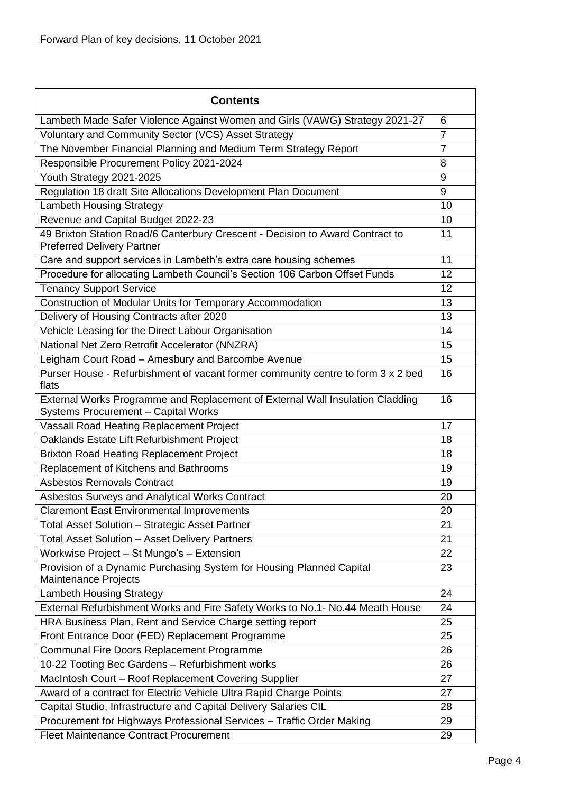| <b>Contents</b>                                                                                                             |                |
|-----------------------------------------------------------------------------------------------------------------------------|----------------|
| Lambeth Made Safer Violence Against Women and Girls (VAWG) Strategy 2021-27                                                 | 6              |
| Voluntary and Community Sector (VCS) Asset Strategy                                                                         | $\overline{7}$ |
| The November Financial Planning and Medium Term Strategy Report                                                             | $\overline{7}$ |
| Responsible Procurement Policy 2021-2024                                                                                    | 8              |
| Youth Strategy 2021-2025                                                                                                    | 9              |
| Regulation 18 draft Site Allocations Development Plan Document                                                              | 9              |
| <b>Lambeth Housing Strategy</b>                                                                                             | 10             |
| Revenue and Capital Budget 2022-23                                                                                          | 10             |
| 49 Brixton Station Road/6 Canterbury Crescent - Decision to Award Contract to<br><b>Preferred Delivery Partner</b>          | 11             |
| Care and support services in Lambeth's extra care housing schemes                                                           | 11             |
| Procedure for allocating Lambeth Council's Section 106 Carbon Offset Funds                                                  | 12             |
| <b>Tenancy Support Service</b>                                                                                              | 12             |
| Construction of Modular Units for Temporary Accommodation                                                                   | 13             |
| Delivery of Housing Contracts after 2020                                                                                    | 13             |
| Vehicle Leasing for the Direct Labour Organisation                                                                          | 14             |
| National Net Zero Retrofit Accelerator (NNZRA)                                                                              | 15             |
| Leigham Court Road - Amesbury and Barcombe Avenue                                                                           | 15             |
| Purser House - Refurbishment of vacant former community centre to form 3 x 2 bed<br>flats                                   | 16             |
| External Works Programme and Replacement of External Wall Insulation Cladding<br><b>Systems Procurement - Capital Works</b> | 16             |
| Vassall Road Heating Replacement Project                                                                                    | 17             |
| Oaklands Estate Lift Refurbishment Project                                                                                  | 18             |
| <b>Brixton Road Heating Replacement Project</b>                                                                             | 18             |
| Replacement of Kitchens and Bathrooms                                                                                       | 19             |
| Asbestos Removals Contract                                                                                                  | 19             |
| Asbestos Surveys and Analytical Works Contract                                                                              | 20             |
| <b>Claremont East Environmental Improvements</b>                                                                            | 20             |
| Total Asset Solution - Strategic Asset Partner                                                                              | 21             |
| <b>Total Asset Solution - Asset Delivery Partners</b>                                                                       | 21             |
| Workwise Project - St Mungo's - Extension                                                                                   | 22             |
| Provision of a Dynamic Purchasing System for Housing Planned Capital<br>Maintenance Projects                                | 23             |
| <b>Lambeth Housing Strategy</b>                                                                                             | 24             |
| External Refurbishment Works and Fire Safety Works to No.1- No.44 Meath House                                               | 24             |
| HRA Business Plan, Rent and Service Charge setting report                                                                   | 25             |
| Front Entrance Door (FED) Replacement Programme                                                                             | 25             |
| Communal Fire Doors Replacement Programme                                                                                   | 26             |
| 10-22 Tooting Bec Gardens - Refurbishment works                                                                             | 26             |
| MacIntosh Court - Roof Replacement Covering Supplier                                                                        | 27             |
| Award of a contract for Electric Vehicle Ultra Rapid Charge Points                                                          | 27             |
| Capital Studio, Infrastructure and Capital Delivery Salaries CIL                                                            | 28             |
| Procurement for Highways Professional Services - Traffic Order Making                                                       | 29             |
| <b>Fleet Maintenance Contract Procurement</b>                                                                               | 29             |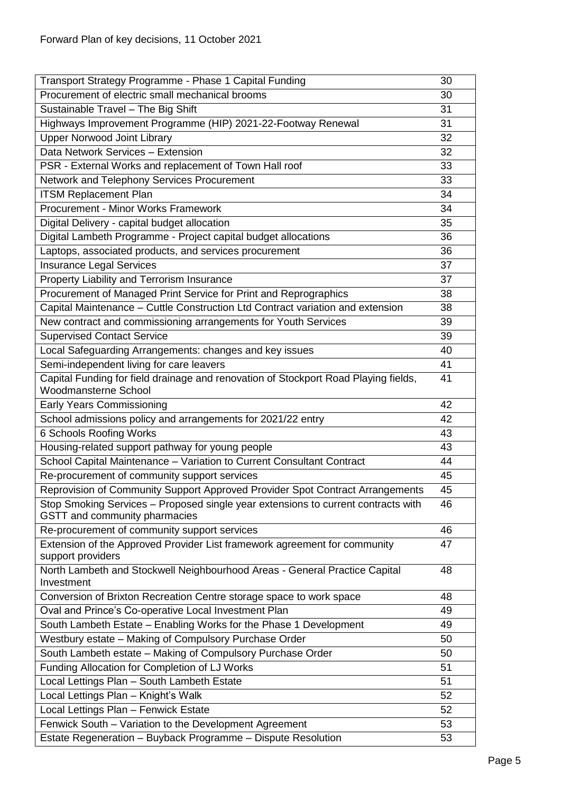| Transport Strategy Programme - Phase 1 Capital Funding                                                             | 30 |
|--------------------------------------------------------------------------------------------------------------------|----|
| Procurement of electric small mechanical brooms                                                                    | 30 |
| Sustainable Travel - The Big Shift                                                                                 | 31 |
| Highways Improvement Programme (HIP) 2021-22-Footway Renewal                                                       | 31 |
| <b>Upper Norwood Joint Library</b>                                                                                 | 32 |
| Data Network Services - Extension                                                                                  | 32 |
| PSR - External Works and replacement of Town Hall roof                                                             | 33 |
| Network and Telephony Services Procurement                                                                         | 33 |
| <b>ITSM Replacement Plan</b>                                                                                       | 34 |
| Procurement - Minor Works Framework                                                                                | 34 |
| Digital Delivery - capital budget allocation                                                                       | 35 |
| Digital Lambeth Programme - Project capital budget allocations                                                     | 36 |
| Laptops, associated products, and services procurement                                                             | 36 |
| <b>Insurance Legal Services</b>                                                                                    | 37 |
| Property Liability and Terrorism Insurance                                                                         | 37 |
| Procurement of Managed Print Service for Print and Reprographics                                                   | 38 |
| Capital Maintenance - Cuttle Construction Ltd Contract variation and extension                                     | 38 |
| New contract and commissioning arrangements for Youth Services                                                     | 39 |
| <b>Supervised Contact Service</b>                                                                                  | 39 |
| Local Safeguarding Arrangements: changes and key issues                                                            | 40 |
| Semi-independent living for care leavers                                                                           | 41 |
| Capital Funding for field drainage and renovation of Stockport Road Playing fields,                                | 41 |
| <b>Woodmansterne School</b>                                                                                        |    |
| <b>Early Years Commissioning</b>                                                                                   | 42 |
| School admissions policy and arrangements for 2021/22 entry                                                        | 42 |
| 6 Schools Roofing Works                                                                                            | 43 |
| Housing-related support pathway for young people                                                                   | 43 |
| School Capital Maintenance - Variation to Current Consultant Contract                                              | 44 |
| Re-procurement of community support services                                                                       | 45 |
| Reprovision of Community Support Approved Provider Spot Contract Arrangements                                      | 45 |
| Stop Smoking Services - Proposed single year extensions to current contracts with<br>GSTT and community pharmacies | 46 |
| Re-procurement of community support services                                                                       | 46 |
| Extension of the Approved Provider List framework agreement for community<br>support providers                     | 47 |
| North Lambeth and Stockwell Neighbourhood Areas - General Practice Capital<br>Investment                           | 48 |
| Conversion of Brixton Recreation Centre storage space to work space                                                | 48 |
| Oval and Prince's Co-operative Local Investment Plan                                                               | 49 |
| South Lambeth Estate - Enabling Works for the Phase 1 Development                                                  | 49 |
| Westbury estate - Making of Compulsory Purchase Order                                                              | 50 |
| South Lambeth estate - Making of Compulsory Purchase Order                                                         | 50 |
| Funding Allocation for Completion of LJ Works                                                                      | 51 |
| Local Lettings Plan - South Lambeth Estate                                                                         | 51 |
| Local Lettings Plan - Knight's Walk                                                                                | 52 |
| Local Lettings Plan - Fenwick Estate                                                                               | 52 |
| Fenwick South - Variation to the Development Agreement                                                             | 53 |
| Estate Regeneration - Buyback Programme - Dispute Resolution                                                       | 53 |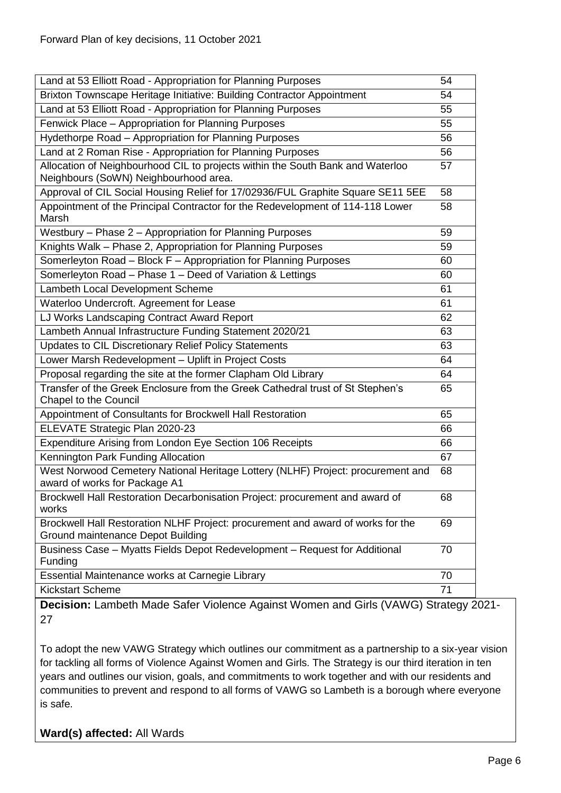| Land at 53 Elliott Road - Appropriation for Planning Purposes                                                           | 54 |
|-------------------------------------------------------------------------------------------------------------------------|----|
| Brixton Townscape Heritage Initiative: Building Contractor Appointment                                                  | 54 |
| Land at 53 Elliott Road - Appropriation for Planning Purposes                                                           | 55 |
| Fenwick Place - Appropriation for Planning Purposes                                                                     | 55 |
| Hydethorpe Road - Appropriation for Planning Purposes                                                                   | 56 |
| Land at 2 Roman Rise - Appropriation for Planning Purposes                                                              | 56 |
| Allocation of Neighbourhood CIL to projects within the South Bank and Waterloo<br>Neighbours (SoWN) Neighbourhood area. | 57 |
| Approval of CIL Social Housing Relief for 17/02936/FUL Graphite Square SE11 5EE                                         | 58 |
| Appointment of the Principal Contractor for the Redevelopment of 114-118 Lower<br>Marsh                                 | 58 |
| Westbury - Phase 2 - Appropriation for Planning Purposes                                                                | 59 |
| Knights Walk - Phase 2, Appropriation for Planning Purposes                                                             | 59 |
| Somerleyton Road - Block F - Appropriation for Planning Purposes                                                        | 60 |
| Somerleyton Road - Phase 1 - Deed of Variation & Lettings                                                               | 60 |
| Lambeth Local Development Scheme                                                                                        | 61 |
| Waterloo Undercroft. Agreement for Lease                                                                                | 61 |
| LJ Works Landscaping Contract Award Report                                                                              | 62 |
| Lambeth Annual Infrastructure Funding Statement 2020/21                                                                 | 63 |
| Updates to CIL Discretionary Relief Policy Statements                                                                   | 63 |
| Lower Marsh Redevelopment - Uplift in Project Costs                                                                     | 64 |
| Proposal regarding the site at the former Clapham Old Library                                                           | 64 |
| Transfer of the Greek Enclosure from the Greek Cathedral trust of St Stephen's<br>Chapel to the Council                 | 65 |
| Appointment of Consultants for Brockwell Hall Restoration                                                               | 65 |
| ELEVATE Strategic Plan 2020-23                                                                                          | 66 |
| Expenditure Arising from London Eye Section 106 Receipts                                                                | 66 |
| Kennington Park Funding Allocation                                                                                      | 67 |
| West Norwood Cemetery National Heritage Lottery (NLHF) Project: procurement and<br>award of works for Package A1        | 68 |
| Brockwell Hall Restoration Decarbonisation Project: procurement and award of                                            | 68 |
| works                                                                                                                   |    |
| Brockwell Hall Restoration NLHF Project: procurement and award of works for the<br>Ground maintenance Depot Building    | 69 |
| Business Case - Myatts Fields Depot Redevelopment - Request for Additional<br>Funding                                   | 70 |
| Essential Maintenance works at Carnegie Library                                                                         | 70 |
| <b>Kickstart Scheme</b>                                                                                                 | 71 |

<span id="page-5-0"></span>**Decision:** Lambeth Made Safer Violence Against Women and Girls (VAWG) Strategy 2021- 27

To adopt the new VAWG Strategy which outlines our commitment as a partnership to a six-year vision for tackling all forms of Violence Against Women and Girls. The Strategy is our third iteration in ten years and outlines our vision, goals, and commitments to work together and with our residents and communities to prevent and respond to all forms of VAWG so Lambeth is a borough where everyone is safe.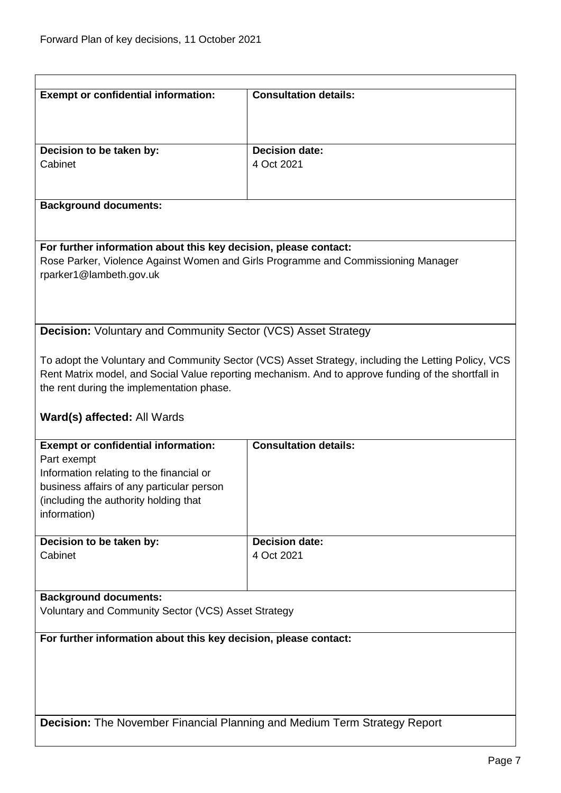<span id="page-6-1"></span><span id="page-6-0"></span>

| <b>Exempt or confidential information:</b>                                | <b>Consultation details:</b>                                                                        |
|---------------------------------------------------------------------------|-----------------------------------------------------------------------------------------------------|
|                                                                           |                                                                                                     |
|                                                                           |                                                                                                     |
|                                                                           |                                                                                                     |
| Decision to be taken by:                                                  | <b>Decision date:</b>                                                                               |
| Cabinet                                                                   | 4 Oct 2021                                                                                          |
|                                                                           |                                                                                                     |
|                                                                           |                                                                                                     |
| <b>Background documents:</b>                                              |                                                                                                     |
|                                                                           |                                                                                                     |
|                                                                           |                                                                                                     |
| For further information about this key decision, please contact:          |                                                                                                     |
|                                                                           | Rose Parker, Violence Against Women and Girls Programme and Commissioning Manager                   |
| rparker1@lambeth.gov.uk                                                   |                                                                                                     |
|                                                                           |                                                                                                     |
|                                                                           |                                                                                                     |
| <b>Decision: Voluntary and Community Sector (VCS) Asset Strategy</b>      |                                                                                                     |
|                                                                           |                                                                                                     |
|                                                                           | To adopt the Voluntary and Community Sector (VCS) Asset Strategy, including the Letting Policy, VCS |
|                                                                           | Rent Matrix model, and Social Value reporting mechanism. And to approve funding of the shortfall in |
| the rent during the implementation phase.                                 |                                                                                                     |
|                                                                           |                                                                                                     |
|                                                                           |                                                                                                     |
| Ward(s) affected: All Wards                                               |                                                                                                     |
| <b>Exempt or confidential information:</b>                                | <b>Consultation details:</b>                                                                        |
| Part exempt                                                               |                                                                                                     |
| Information relating to the financial or                                  |                                                                                                     |
| business affairs of any particular person                                 |                                                                                                     |
| (including the authority holding that                                     |                                                                                                     |
| information)                                                              |                                                                                                     |
|                                                                           |                                                                                                     |
| Decision to be taken by:                                                  | <b>Decision date:</b>                                                                               |
| Cabinet                                                                   | 4 Oct 2021                                                                                          |
|                                                                           |                                                                                                     |
|                                                                           |                                                                                                     |
| <b>Background documents:</b>                                              |                                                                                                     |
| Voluntary and Community Sector (VCS) Asset Strategy                       |                                                                                                     |
|                                                                           |                                                                                                     |
| For further information about this key decision, please contact:          |                                                                                                     |
|                                                                           |                                                                                                     |
|                                                                           |                                                                                                     |
|                                                                           |                                                                                                     |
|                                                                           |                                                                                                     |
|                                                                           |                                                                                                     |
| Decision: The November Financial Planning and Medium Term Strategy Report |                                                                                                     |
|                                                                           |                                                                                                     |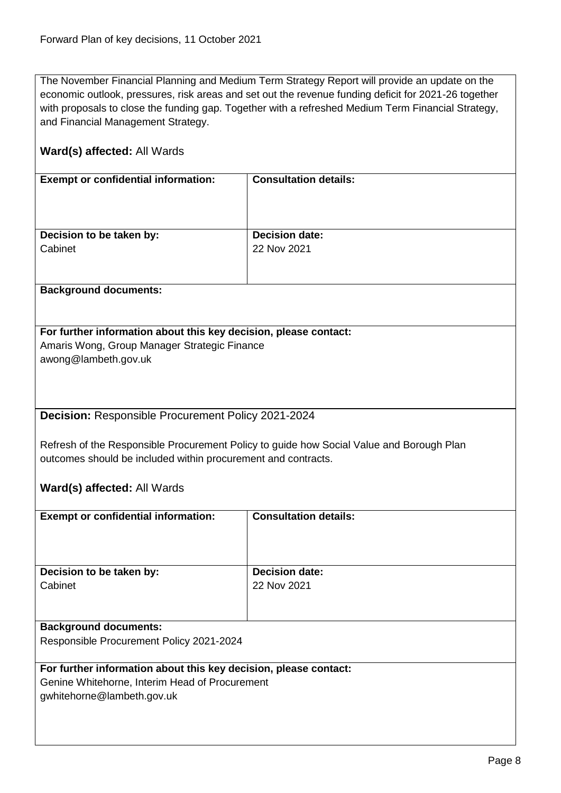The November Financial Planning and Medium Term Strategy Report will provide an update on the economic outlook, pressures, risk areas and set out the revenue funding deficit for 2021-26 together with proposals to close the funding gap. Together with a refreshed Medium Term Financial Strategy, and Financial Management Strategy.

#### **Ward(s) affected:** All Wards

| <b>Exempt or confidential information:</b> | <b>Consultation details:</b> |
|--------------------------------------------|------------------------------|
| Decision to be taken by:                   | <b>Decision date:</b>        |
| Cabinet                                    | 22 Nov 2021                  |
|                                            |                              |

#### **Background documents:**

# **For further information about this key decision, please contact:** Amaris Wong, Group Manager Strategic Finance

awong@lambeth.gov.uk

<span id="page-7-0"></span>**Decision:** Responsible Procurement Policy 2021-2024

Refresh of the Responsible Procurement Policy to guide how Social Value and Borough Plan outcomes should be included within procurement and contracts.

#### **Ward(s) affected:** All Wards

| <b>Exempt or confidential information:</b> | <b>Consultation details:</b> |
|--------------------------------------------|------------------------------|
| Decision to be taken by:                   | <b>Decision date:</b>        |
| Cabinet                                    | 22 Nov 2021                  |
|                                            |                              |
|                                            |                              |
| <b>Background documents:</b>               |                              |
| Responsible Procurement Policy 2021-2024   |                              |

#### **For further information about this key decision, please contact:**

Genine Whitehorne, Interim Head of Procurement gwhitehorne@lambeth.gov.uk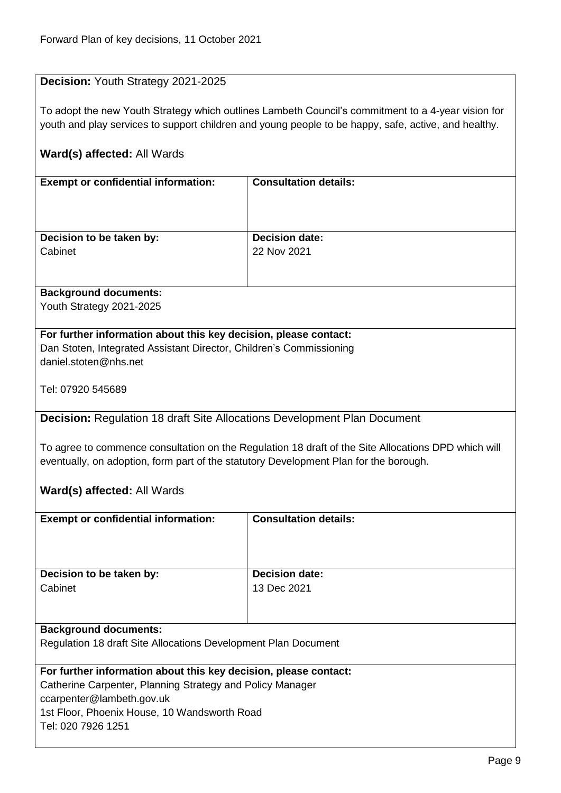#### <span id="page-8-0"></span>**Decision:** Youth Strategy 2021-2025

To adopt the new Youth Strategy which outlines Lambeth Council's commitment to a 4-year vision for youth and play services to support children and young people to be happy, safe, active, and healthy.

#### **Ward(s) affected:** All Wards

| <b>Exempt or confidential information:</b> | <b>Consultation details:</b> |
|--------------------------------------------|------------------------------|
| Decision to be taken by:                   | <b>Decision date:</b>        |
| Cabinet                                    | 22 Nov 2021                  |
|                                            |                              |

#### **Background documents:**

Youth Strategy 2021-2025

#### **For further information about this key decision, please contact:**

Dan Stoten, Integrated Assistant Director, Children's Commissioning daniel.stoten@nhs.net

Tel: 07920 545689

#### <span id="page-8-1"></span>**Decision:** Regulation 18 draft Site Allocations Development Plan Document

To agree to commence consultation on the Regulation 18 draft of the Site Allocations DPD which will eventually, on adoption, form part of the statutory Development Plan for the borough.

#### **Ward(s) affected:** All Wards

| <b>Exempt or confidential information:</b>                     | <b>Consultation details:</b> |
|----------------------------------------------------------------|------------------------------|
| Decision to be taken by:                                       | <b>Decision date:</b>        |
| Cabinet                                                        | 13 Dec 2021                  |
|                                                                |                              |
|                                                                |                              |
| <b>Background documents:</b>                                   |                              |
| Regulation 18 draft Site Allocations Development Plan Document |                              |

#### **For further information about this key decision, please contact:**

Catherine Carpenter, Planning Strategy and Policy Manager ccarpenter@lambeth.gov.uk

1st Floor, Phoenix House, 10 Wandsworth Road Tel: 020 7926 1251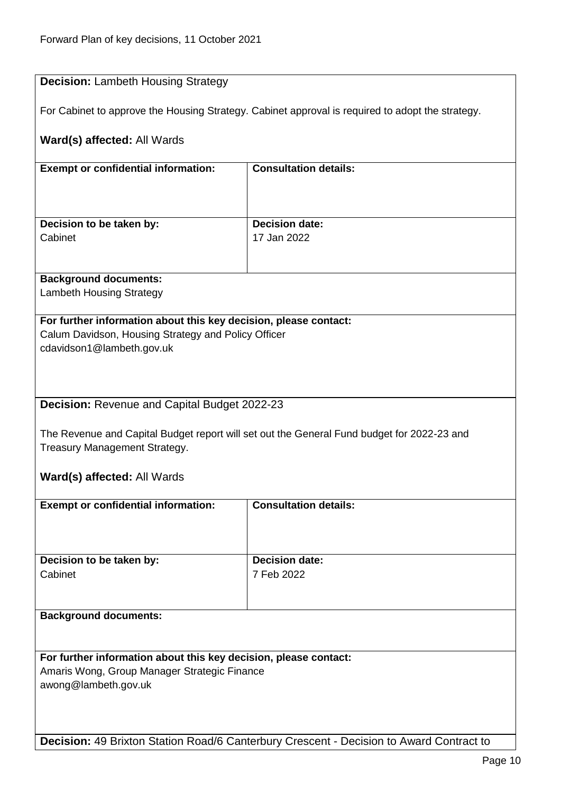<span id="page-9-1"></span><span id="page-9-0"></span>

| <b>Decision: Lambeth Housing Strategy</b>                        |                                                                                                  |  |
|------------------------------------------------------------------|--------------------------------------------------------------------------------------------------|--|
|                                                                  | For Cabinet to approve the Housing Strategy. Cabinet approval is required to adopt the strategy. |  |
| Ward(s) affected: All Wards                                      |                                                                                                  |  |
| <b>Exempt or confidential information:</b>                       | <b>Consultation details:</b>                                                                     |  |
|                                                                  |                                                                                                  |  |
| Decision to be taken by:                                         | <b>Decision date:</b>                                                                            |  |
| Cabinet                                                          | 17 Jan 2022                                                                                      |  |
|                                                                  |                                                                                                  |  |
| <b>Background documents:</b>                                     |                                                                                                  |  |
| <b>Lambeth Housing Strategy</b>                                  |                                                                                                  |  |
| For further information about this key decision, please contact: |                                                                                                  |  |
| Calum Davidson, Housing Strategy and Policy Officer              |                                                                                                  |  |
| cdavidson1@lambeth.gov.uk                                        |                                                                                                  |  |
|                                                                  |                                                                                                  |  |
|                                                                  |                                                                                                  |  |
|                                                                  |                                                                                                  |  |
| <b>Decision: Revenue and Capital Budget 2022-23</b>              |                                                                                                  |  |
|                                                                  |                                                                                                  |  |
|                                                                  | The Revenue and Capital Budget report will set out the General Fund budget for 2022-23 and       |  |
| Treasury Management Strategy.                                    |                                                                                                  |  |
| Ward(s) affected: All Wards                                      |                                                                                                  |  |
|                                                                  |                                                                                                  |  |
| <b>Exempt or confidential information:</b>                       | <b>Consultation details:</b>                                                                     |  |
|                                                                  |                                                                                                  |  |
|                                                                  |                                                                                                  |  |
|                                                                  |                                                                                                  |  |
| Decision to be taken by:                                         | <b>Decision date:</b>                                                                            |  |
| Cabinet                                                          | 7 Feb 2022                                                                                       |  |
|                                                                  |                                                                                                  |  |
|                                                                  |                                                                                                  |  |
| <b>Background documents:</b>                                     |                                                                                                  |  |
|                                                                  |                                                                                                  |  |
|                                                                  |                                                                                                  |  |
| For further information about this key decision, please contact: |                                                                                                  |  |
| Amaris Wong, Group Manager Strategic Finance                     |                                                                                                  |  |
| awong@lambeth.gov.uk                                             |                                                                                                  |  |
|                                                                  |                                                                                                  |  |
|                                                                  |                                                                                                  |  |
|                                                                  |                                                                                                  |  |
|                                                                  | Decision: 49 Brixton Station Road/6 Canterbury Crescent - Decision to Award Contract to          |  |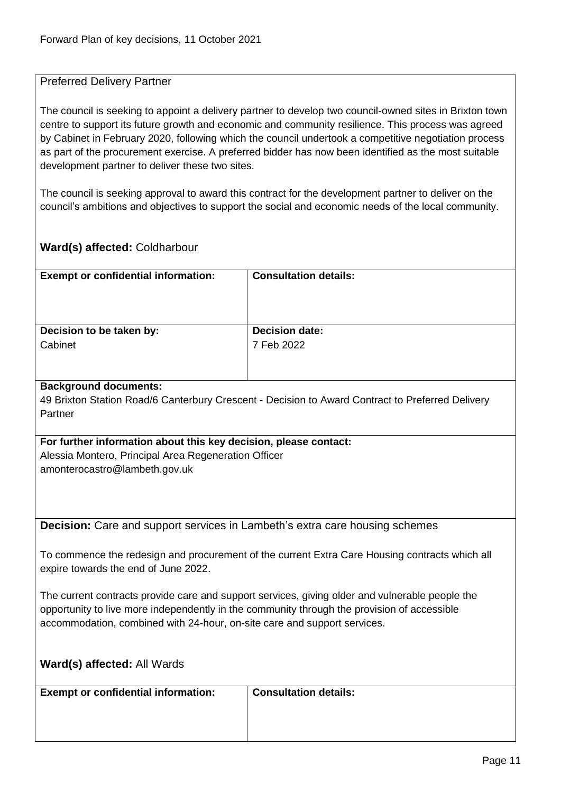#### <span id="page-10-0"></span>Preferred Delivery Partner

The council is seeking to appoint a delivery partner to develop two council-owned sites in Brixton town centre to support its future growth and economic and community resilience. This process was agreed by Cabinet in February 2020, following which the council undertook a competitive negotiation process as part of the procurement exercise. A preferred bidder has now been identified as the most suitable development partner to deliver these two sites.

The council is seeking approval to award this contract for the development partner to deliver on the council's ambitions and objectives to support the social and economic needs of the local community.

#### **Ward(s) affected:** Coldharbour

| <b>Exempt or confidential information:</b> | <b>Consultation details:</b> |
|--------------------------------------------|------------------------------|
| Decision to be taken by:                   | <b>Decision date:</b>        |
| Cabinet                                    | 7 Feb 2022                   |
|                                            |                              |

#### **Background documents:**

49 Brixton Station Road/6 Canterbury Crescent - Decision to Award Contract to Preferred Delivery Partner

#### **For further information about this key decision, please contact:** Alessia Montero, Principal Area Regeneration Officer

amonterocastro@lambeth.gov.uk

<span id="page-10-1"></span>**Decision:** Care and support services in Lambeth's extra care housing schemes

To commence the redesign and procurement of the current Extra Care Housing contracts which all expire towards the end of June 2022.

The current contracts provide care and support services, giving older and vulnerable people the opportunity to live more independently in the community through the provision of accessible accommodation, combined with 24-hour, on-site care and support services.

| <b>Ward(s) affected: All Wards</b>         |                              |
|--------------------------------------------|------------------------------|
| <b>Exempt or confidential information:</b> | <b>Consultation details:</b> |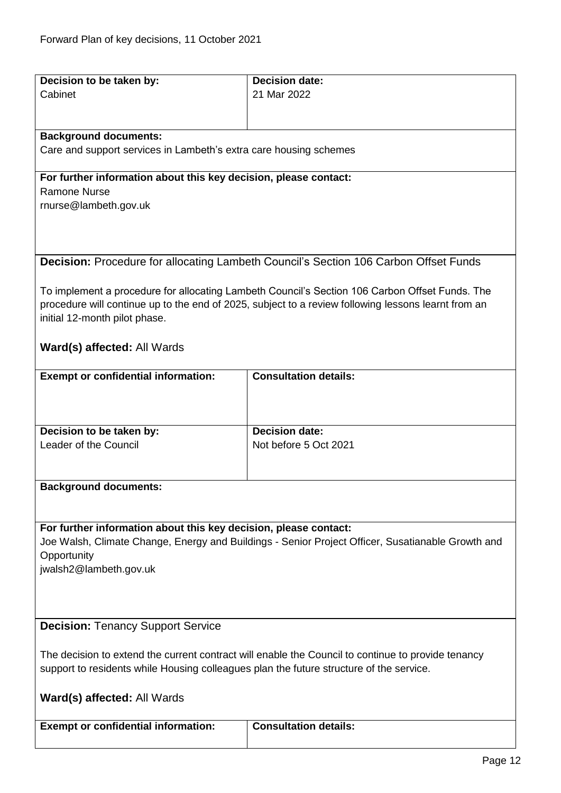<span id="page-11-1"></span><span id="page-11-0"></span>

| Decision to be taken by:                                                                           | <b>Decision date:</b>                                                                               |  |
|----------------------------------------------------------------------------------------------------|-----------------------------------------------------------------------------------------------------|--|
| Cabinet                                                                                            | 21 Mar 2022                                                                                         |  |
|                                                                                                    |                                                                                                     |  |
|                                                                                                    |                                                                                                     |  |
| <b>Background documents:</b>                                                                       |                                                                                                     |  |
| Care and support services in Lambeth's extra care housing schemes                                  |                                                                                                     |  |
|                                                                                                    |                                                                                                     |  |
| For further information about this key decision, please contact:                                   |                                                                                                     |  |
| <b>Ramone Nurse</b>                                                                                |                                                                                                     |  |
| rnurse@lambeth.gov.uk                                                                              |                                                                                                     |  |
|                                                                                                    |                                                                                                     |  |
|                                                                                                    |                                                                                                     |  |
|                                                                                                    |                                                                                                     |  |
|                                                                                                    | <b>Decision:</b> Procedure for allocating Lambeth Council's Section 106 Carbon Offset Funds         |  |
|                                                                                                    |                                                                                                     |  |
|                                                                                                    | To implement a procedure for allocating Lambeth Council's Section 106 Carbon Offset Funds. The      |  |
| initial 12-month pilot phase.                                                                      | procedure will continue up to the end of 2025, subject to a review following lessons learnt from an |  |
|                                                                                                    |                                                                                                     |  |
| Ward(s) affected: All Wards                                                                        |                                                                                                     |  |
|                                                                                                    |                                                                                                     |  |
| <b>Exempt or confidential information:</b>                                                         | <b>Consultation details:</b>                                                                        |  |
|                                                                                                    |                                                                                                     |  |
|                                                                                                    |                                                                                                     |  |
|                                                                                                    |                                                                                                     |  |
| Decision to be taken by:                                                                           | <b>Decision date:</b>                                                                               |  |
| Leader of the Council                                                                              | Not before 5 Oct 2021                                                                               |  |
|                                                                                                    |                                                                                                     |  |
|                                                                                                    |                                                                                                     |  |
| <b>Background documents:</b>                                                                       |                                                                                                     |  |
|                                                                                                    |                                                                                                     |  |
|                                                                                                    |                                                                                                     |  |
| For further information about this key decision, please contact:                                   |                                                                                                     |  |
|                                                                                                    | Joe Walsh, Climate Change, Energy and Buildings - Senior Project Officer, Susatianable Growth and   |  |
| Opportunity                                                                                        |                                                                                                     |  |
| jwalsh2@lambeth.gov.uk                                                                             |                                                                                                     |  |
|                                                                                                    |                                                                                                     |  |
|                                                                                                    |                                                                                                     |  |
| <b>Decision: Tenancy Support Service</b>                                                           |                                                                                                     |  |
|                                                                                                    |                                                                                                     |  |
| The decision to extend the current contract will enable the Council to continue to provide tenancy |                                                                                                     |  |
|                                                                                                    |                                                                                                     |  |
| support to residents while Housing colleagues plan the future structure of the service.            |                                                                                                     |  |
|                                                                                                    |                                                                                                     |  |
| <b>Ward(s) affected: All Wards</b>                                                                 |                                                                                                     |  |
| <b>Exempt or confidential information:</b>                                                         | <b>Consultation details:</b>                                                                        |  |
|                                                                                                    |                                                                                                     |  |
|                                                                                                    |                                                                                                     |  |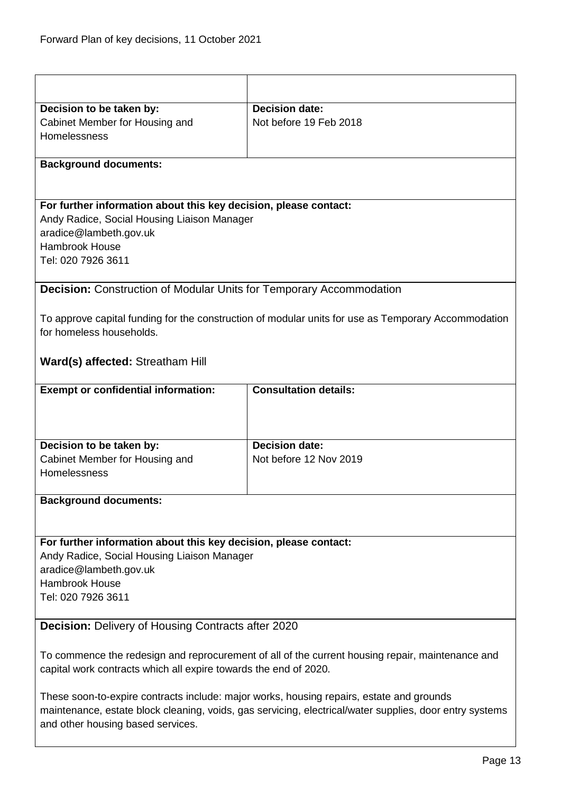<span id="page-12-1"></span><span id="page-12-0"></span>

| Decision to be taken by:                                                                                                                                                                                                                 | <b>Decision date:</b>                                                                               |  |
|------------------------------------------------------------------------------------------------------------------------------------------------------------------------------------------------------------------------------------------|-----------------------------------------------------------------------------------------------------|--|
| Cabinet Member for Housing and                                                                                                                                                                                                           | Not before 19 Feb 2018                                                                              |  |
| Homelessness                                                                                                                                                                                                                             |                                                                                                     |  |
|                                                                                                                                                                                                                                          |                                                                                                     |  |
| <b>Background documents:</b>                                                                                                                                                                                                             |                                                                                                     |  |
|                                                                                                                                                                                                                                          |                                                                                                     |  |
|                                                                                                                                                                                                                                          |                                                                                                     |  |
| For further information about this key decision, please contact:                                                                                                                                                                         |                                                                                                     |  |
| Andy Radice, Social Housing Liaison Manager                                                                                                                                                                                              |                                                                                                     |  |
| aradice@lambeth.gov.uk<br><b>Hambrook House</b>                                                                                                                                                                                          |                                                                                                     |  |
| Tel: 020 7926 3611                                                                                                                                                                                                                       |                                                                                                     |  |
|                                                                                                                                                                                                                                          |                                                                                                     |  |
| <b>Decision:</b> Construction of Modular Units for Temporary Accommodation                                                                                                                                                               |                                                                                                     |  |
|                                                                                                                                                                                                                                          |                                                                                                     |  |
|                                                                                                                                                                                                                                          | To approve capital funding for the construction of modular units for use as Temporary Accommodation |  |
| for homeless households.                                                                                                                                                                                                                 |                                                                                                     |  |
|                                                                                                                                                                                                                                          |                                                                                                     |  |
| <b>Ward(s) affected: Streatham Hill</b>                                                                                                                                                                                                  |                                                                                                     |  |
|                                                                                                                                                                                                                                          |                                                                                                     |  |
| <b>Exempt or confidential information:</b>                                                                                                                                                                                               | <b>Consultation details:</b>                                                                        |  |
|                                                                                                                                                                                                                                          |                                                                                                     |  |
|                                                                                                                                                                                                                                          |                                                                                                     |  |
| Decision to be taken by:                                                                                                                                                                                                                 | <b>Decision date:</b>                                                                               |  |
| Cabinet Member for Housing and                                                                                                                                                                                                           | Not before 12 Nov 2019                                                                              |  |
| Homelessness                                                                                                                                                                                                                             |                                                                                                     |  |
|                                                                                                                                                                                                                                          |                                                                                                     |  |
| <b>Background documents:</b>                                                                                                                                                                                                             |                                                                                                     |  |
|                                                                                                                                                                                                                                          |                                                                                                     |  |
|                                                                                                                                                                                                                                          |                                                                                                     |  |
| For further information about this key decision, please contact:                                                                                                                                                                         |                                                                                                     |  |
| Andy Radice, Social Housing Liaison Manager<br>aradice@lambeth.gov.uk                                                                                                                                                                    |                                                                                                     |  |
| Hambrook House                                                                                                                                                                                                                           |                                                                                                     |  |
| Tel: 020 7926 3611                                                                                                                                                                                                                       |                                                                                                     |  |
|                                                                                                                                                                                                                                          |                                                                                                     |  |
| <b>Decision: Delivery of Housing Contracts after 2020</b>                                                                                                                                                                                |                                                                                                     |  |
|                                                                                                                                                                                                                                          |                                                                                                     |  |
| To commence the redesign and reprocurement of all of the current housing repair, maintenance and                                                                                                                                         |                                                                                                     |  |
| capital work contracts which all expire towards the end of 2020.                                                                                                                                                                         |                                                                                                     |  |
|                                                                                                                                                                                                                                          |                                                                                                     |  |
|                                                                                                                                                                                                                                          |                                                                                                     |  |
|                                                                                                                                                                                                                                          |                                                                                                     |  |
| These soon-to-expire contracts include: major works, housing repairs, estate and grounds<br>maintenance, estate block cleaning, voids, gas servicing, electrical/water supplies, door entry systems<br>and other housing based services. |                                                                                                     |  |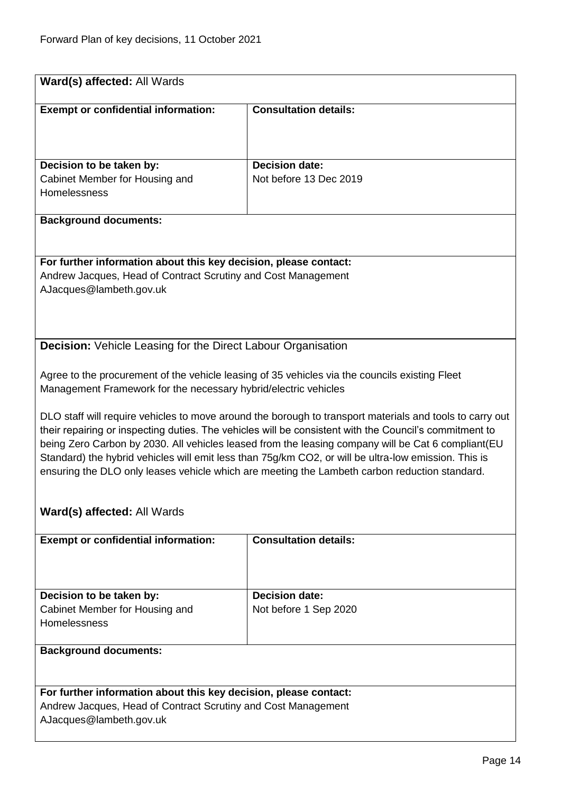<span id="page-13-0"></span>

| Ward(s) affected: All Wards                                                                                                                                                                                                                                                                                                                                                                                                                                                                                                        |                              |  |
|------------------------------------------------------------------------------------------------------------------------------------------------------------------------------------------------------------------------------------------------------------------------------------------------------------------------------------------------------------------------------------------------------------------------------------------------------------------------------------------------------------------------------------|------------------------------|--|
| <b>Exempt or confidential information:</b>                                                                                                                                                                                                                                                                                                                                                                                                                                                                                         | <b>Consultation details:</b> |  |
| Decision to be taken by:                                                                                                                                                                                                                                                                                                                                                                                                                                                                                                           | <b>Decision date:</b>        |  |
| Cabinet Member for Housing and<br>Homelessness                                                                                                                                                                                                                                                                                                                                                                                                                                                                                     | Not before 13 Dec 2019       |  |
| <b>Background documents:</b>                                                                                                                                                                                                                                                                                                                                                                                                                                                                                                       |                              |  |
| For further information about this key decision, please contact:<br>Andrew Jacques, Head of Contract Scrutiny and Cost Management<br>AJacques@lambeth.gov.uk                                                                                                                                                                                                                                                                                                                                                                       |                              |  |
| <b>Decision:</b> Vehicle Leasing for the Direct Labour Organisation                                                                                                                                                                                                                                                                                                                                                                                                                                                                |                              |  |
| Agree to the procurement of the vehicle leasing of 35 vehicles via the councils existing Fleet<br>Management Framework for the necessary hybrid/electric vehicles                                                                                                                                                                                                                                                                                                                                                                  |                              |  |
| DLO staff will require vehicles to move around the borough to transport materials and tools to carry out<br>their repairing or inspecting duties. The vehicles will be consistent with the Council's commitment to<br>being Zero Carbon by 2030. All vehicles leased from the leasing company will be Cat 6 compliant (EU<br>Standard) the hybrid vehicles will emit less than 75g/km CO2, or will be ultra-low emission. This is<br>ensuring the DLO only leases vehicle which are meeting the Lambeth carbon reduction standard. |                              |  |
| Ward(s) affected: All Wards                                                                                                                                                                                                                                                                                                                                                                                                                                                                                                        |                              |  |
| <b>Exempt or confidential information:</b>                                                                                                                                                                                                                                                                                                                                                                                                                                                                                         | <b>Consultation details:</b> |  |
| Decision to be taken by:                                                                                                                                                                                                                                                                                                                                                                                                                                                                                                           | <b>Decision date:</b>        |  |
| Cabinet Member for Housing and                                                                                                                                                                                                                                                                                                                                                                                                                                                                                                     | Not before 1 Sep 2020        |  |
| Homelessness                                                                                                                                                                                                                                                                                                                                                                                                                                                                                                                       |                              |  |
| <b>Background documents:</b>                                                                                                                                                                                                                                                                                                                                                                                                                                                                                                       |                              |  |
| For further information about this key decision, please contact:<br>Andrew Jacques, Head of Contract Scrutiny and Cost Management<br>AJacques@lambeth.gov.uk                                                                                                                                                                                                                                                                                                                                                                       |                              |  |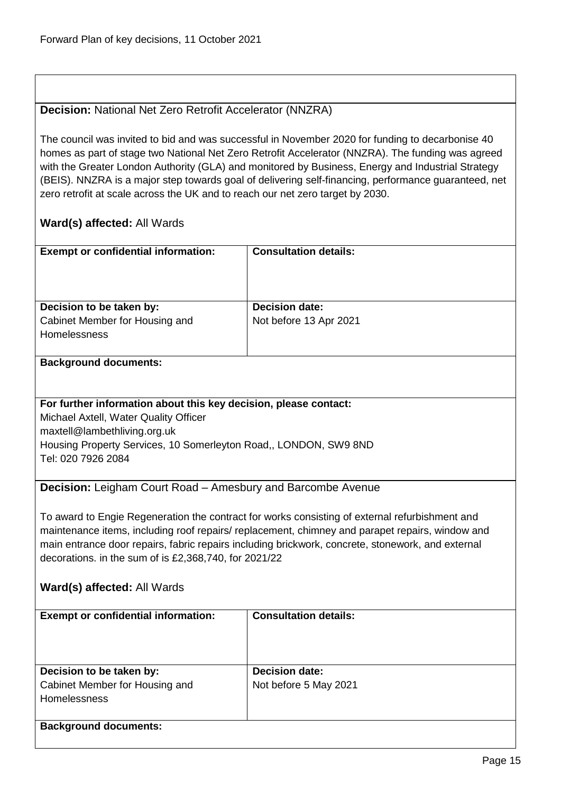#### <span id="page-14-0"></span>**Decision:** National Net Zero Retrofit Accelerator (NNZRA)

The council was invited to bid and was successful in November 2020 for funding to decarbonise 40 homes as part of stage two National Net Zero Retrofit Accelerator (NNZRA). The funding was agreed with the Greater London Authority (GLA) and monitored by Business, Energy and Industrial Strategy (BEIS). NNZRA is a major step towards goal of delivering self-financing, performance guaranteed, net zero retrofit at scale across the UK and to reach our net zero target by 2030.

#### **Ward(s) affected:** All Wards

| <b>Exempt or confidential information:</b>            | <b>Consultation details:</b> |
|-------------------------------------------------------|------------------------------|
| Decision to be taken by:                              | <b>Decision date:</b>        |
| Cabinet Member for Housing and<br><b>Homelessness</b> | Not before 13 Apr 2021       |

#### **Background documents:**

#### **For further information about this key decision, please contact:**

Michael Axtell, Water Quality Officer

maxtell@lambethliving.org.uk

Housing Property Services, 10 Somerleyton Road,, LONDON, SW9 8ND Tel: 020 7926 2084

<span id="page-14-1"></span>**Decision:** Leigham Court Road – Amesbury and Barcombe Avenue

To award to Engie Regeneration the contract for works consisting of external refurbishment and maintenance items, including roof repairs/ replacement, chimney and parapet repairs, window and main entrance door repairs, fabric repairs including brickwork, concrete, stonework, and external decorations. in the sum of is £2,368,740, for 2021/22

| <b>Exempt or confidential information:</b> | <b>Consultation details:</b> |
|--------------------------------------------|------------------------------|
| Decision to be taken by:                   | <b>Decision date:</b>        |
| Cabinet Member for Housing and             | Not before 5 May 2021        |
| <b>Homelessness</b>                        |                              |
|                                            |                              |
| <b>Background documents:</b>               |                              |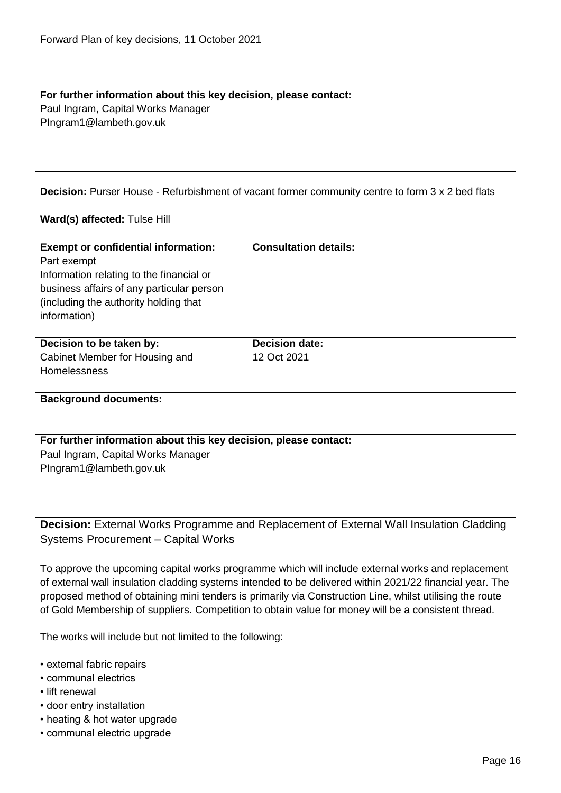#### **For further information about this key decision, please contact:** Paul Ingram, Capital Works Manager PIngram1@lambeth.gov.uk

<span id="page-15-0"></span>**Decision:** Purser House - Refurbishment of vacant former community centre to form 3 x 2 bed flats

#### **Ward(s) affected:** Tulse Hill

| <b>Exempt or confidential information:</b><br>Part exempt<br>Information relating to the financial or<br>business affairs of any particular person<br>(including the authority holding that)<br>information) | <b>Consultation details:</b>         |
|--------------------------------------------------------------------------------------------------------------------------------------------------------------------------------------------------------------|--------------------------------------|
| Decision to be taken by:<br>Cabinet Member for Housing and<br><b>Homelessness</b>                                                                                                                            | <b>Decision date:</b><br>12 Oct 2021 |

#### **Background documents:**

**For further information about this key decision, please contact:** Paul Ingram, Capital Works Manager PIngram1@lambeth.gov.uk

<span id="page-15-1"></span>**Decision:** External Works Programme and Replacement of External Wall Insulation Cladding Systems Procurement – Capital Works

To approve the upcoming capital works programme which will include external works and replacement of external wall insulation cladding systems intended to be delivered within 2021/22 financial year. The proposed method of obtaining mini tenders is primarily via Construction Line, whilst utilising the route of Gold Membership of suppliers. Competition to obtain value for money will be a consistent thread.

The works will include but not limited to the following:

- external fabric repairs
- communal electrics
- lift renewal
- door entry installation
- heating & hot water upgrade
- communal electric upgrade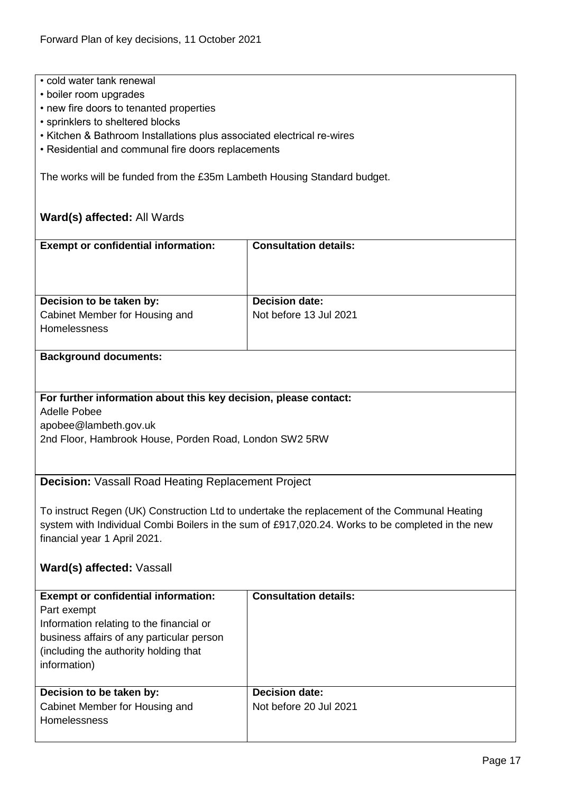- cold water tank renewal
- boiler room upgrades
- new fire doors to tenanted properties
- sprinklers to sheltered blocks
- Kitchen & Bathroom Installations plus associated electrical re-wires
- Residential and communal fire doors replacements

The works will be funded from the £35m Lambeth Housing Standard budget.

#### **Ward(s) affected:** All Wards

| <b>Exempt or confidential information:</b> | <b>Consultation details:</b> |
|--------------------------------------------|------------------------------|
|                                            |                              |
| Decision to be taken by:                   | <b>Decision date:</b>        |
| Cabinet Member for Housing and             | Not before 13 Jul 2021       |
| <b>Homelessness</b>                        |                              |
|                                            |                              |

#### **Background documents:**

#### **For further information about this key decision, please contact:**

Adelle Pobee

apobee@lambeth.gov.uk

2nd Floor, Hambrook House, Porden Road, London SW2 5RW

#### <span id="page-16-0"></span>**Decision:** Vassall Road Heating Replacement Project

To instruct Regen (UK) Construction Ltd to undertake the replacement of the Communal Heating system with Individual Combi Boilers in the sum of £917,020.24. Works to be completed in the new financial year 1 April 2021.

#### **Ward(s) affected:** Vassall

| <b>Exempt or confidential information:</b><br>Part exempt<br>Information relating to the financial or<br>business affairs of any particular person<br>(including the authority holding that)<br>information) | <b>Consultation details:</b>                    |
|--------------------------------------------------------------------------------------------------------------------------------------------------------------------------------------------------------------|-------------------------------------------------|
| Decision to be taken by:<br>Cabinet Member for Housing and<br><b>Homelessness</b>                                                                                                                            | <b>Decision date:</b><br>Not before 20 Jul 2021 |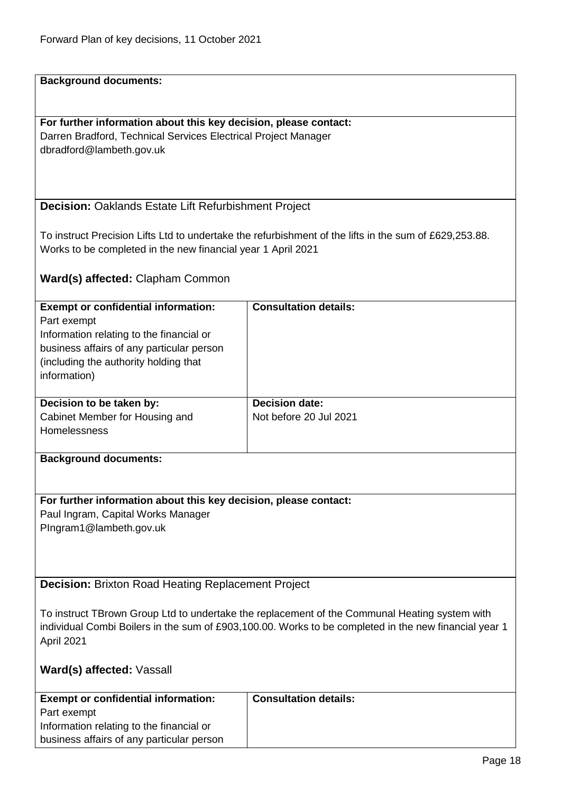**Background documents:**

**For further information about this key decision, please contact:** Darren Bradford, Technical Services Electrical Project Manager dbradford@lambeth.gov.uk

<span id="page-17-0"></span>**Decision:** Oaklands Estate Lift Refurbishment Project

To instruct Precision Lifts Ltd to undertake the refurbishment of the lifts in the sum of £629,253.88. Works to be completed in the new financial year 1 April 2021

**Ward(s) affected:** Clapham Common

| <b>Exempt or confidential information:</b><br>Part exempt<br>Information relating to the financial or<br>business affairs of any particular person<br>(including the authority holding that)<br>information) | <b>Consultation details:</b>                    |
|--------------------------------------------------------------------------------------------------------------------------------------------------------------------------------------------------------------|-------------------------------------------------|
| Decision to be taken by:<br>Cabinet Member for Housing and<br><b>Homelessness</b>                                                                                                                            | <b>Decision date:</b><br>Not before 20 Jul 2021 |
| Basic constructed and access and a                                                                                                                                                                           |                                                 |

**Background documents:**

#### **For further information about this key decision, please contact:**

Paul Ingram, Capital Works Manager PIngram1@lambeth.gov.uk

<span id="page-17-1"></span>**Decision:** Brixton Road Heating Replacement Project

To instruct TBrown Group Ltd to undertake the replacement of the Communal Heating system with individual Combi Boilers in the sum of £903,100.00. Works to be completed in the new financial year 1 April 2021

#### **Ward(s) affected:** Vassall

| <b>Exempt or confidential information:</b> | <b>Consultation details:</b> |
|--------------------------------------------|------------------------------|
| Part exempt                                |                              |
| Information relating to the financial or   |                              |
| business affairs of any particular person  |                              |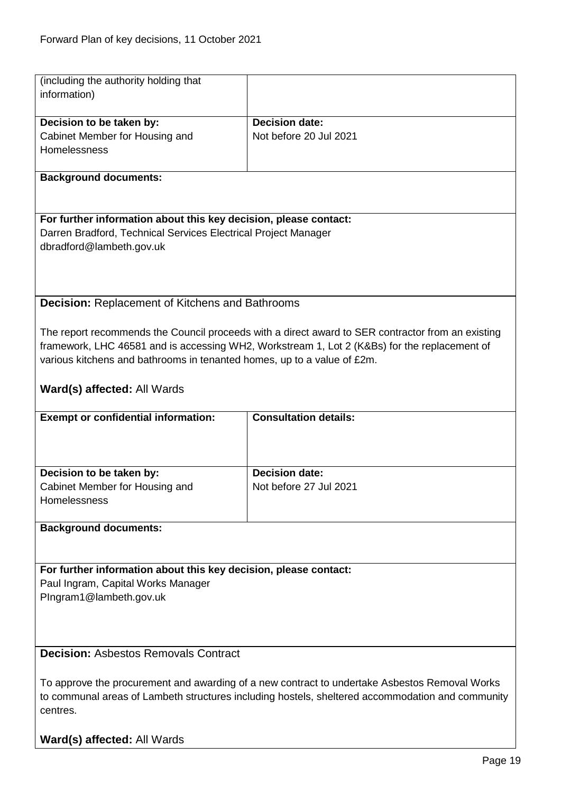<span id="page-18-1"></span><span id="page-18-0"></span>

| (including the authority holding that<br>information)                   |                                                                                                   |  |
|-------------------------------------------------------------------------|---------------------------------------------------------------------------------------------------|--|
|                                                                         |                                                                                                   |  |
| Decision to be taken by:                                                | <b>Decision date:</b>                                                                             |  |
| Cabinet Member for Housing and                                          | Not before 20 Jul 2021                                                                            |  |
| Homelessness                                                            |                                                                                                   |  |
| <b>Background documents:</b>                                            |                                                                                                   |  |
|                                                                         |                                                                                                   |  |
| For further information about this key decision, please contact:        |                                                                                                   |  |
| Darren Bradford, Technical Services Electrical Project Manager          |                                                                                                   |  |
| dbradford@lambeth.gov.uk                                                |                                                                                                   |  |
|                                                                         |                                                                                                   |  |
| <b>Decision: Replacement of Kitchens and Bathrooms</b>                  |                                                                                                   |  |
|                                                                         |                                                                                                   |  |
|                                                                         | The report recommends the Council proceeds with a direct award to SER contractor from an existing |  |
|                                                                         | framework, LHC 46581 and is accessing WH2, Workstream 1, Lot 2 (K&Bs) for the replacement of      |  |
| various kitchens and bathrooms in tenanted homes, up to a value of £2m. |                                                                                                   |  |
| Ward(s) affected: All Wards                                             |                                                                                                   |  |
|                                                                         |                                                                                                   |  |
| <b>Exempt or confidential information:</b>                              | <b>Consultation details:</b>                                                                      |  |
|                                                                         |                                                                                                   |  |
|                                                                         |                                                                                                   |  |
|                                                                         |                                                                                                   |  |
| Decision to be taken by:                                                | <b>Decision date:</b>                                                                             |  |
| Cabinet Member for Housing and<br>Homelessness                          | Not before 27 Jul 2021                                                                            |  |
|                                                                         |                                                                                                   |  |
| <b>Background documents:</b>                                            |                                                                                                   |  |
|                                                                         |                                                                                                   |  |
|                                                                         |                                                                                                   |  |
| For further information about this key decision, please contact:        |                                                                                                   |  |
| Paul Ingram, Capital Works Manager                                      |                                                                                                   |  |
| PIngram1@lambeth.gov.uk                                                 |                                                                                                   |  |
|                                                                         |                                                                                                   |  |
|                                                                         |                                                                                                   |  |
| <b>Decision: Asbestos Removals Contract</b>                             |                                                                                                   |  |
|                                                                         |                                                                                                   |  |
|                                                                         | To approve the procurement and awarding of a new contract to undertake Asbestos Removal Works     |  |
|                                                                         | to communal areas of Lambeth structures including hostels, sheltered accommodation and community  |  |
| centres.                                                                |                                                                                                   |  |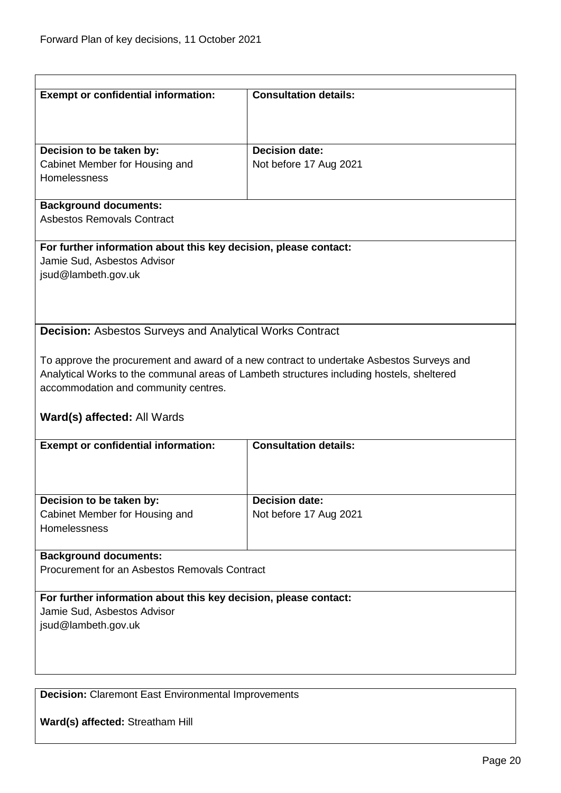<span id="page-19-0"></span>

| <b>Exempt or confidential information:</b>                       | <b>Consultation details:</b>                                                              |  |
|------------------------------------------------------------------|-------------------------------------------------------------------------------------------|--|
|                                                                  |                                                                                           |  |
|                                                                  |                                                                                           |  |
| Decision to be taken by:                                         | <b>Decision date:</b>                                                                     |  |
| Cabinet Member for Housing and                                   | Not before 17 Aug 2021                                                                    |  |
| <b>Homelessness</b>                                              |                                                                                           |  |
|                                                                  |                                                                                           |  |
| <b>Background documents:</b>                                     |                                                                                           |  |
| <b>Asbestos Removals Contract</b>                                |                                                                                           |  |
| For further information about this key decision, please contact: |                                                                                           |  |
| Jamie Sud, Asbestos Advisor                                      |                                                                                           |  |
| jsud@lambeth.gov.uk                                              |                                                                                           |  |
|                                                                  |                                                                                           |  |
|                                                                  |                                                                                           |  |
| <b>Decision: Asbestos Surveys and Analytical Works Contract</b>  |                                                                                           |  |
|                                                                  |                                                                                           |  |
|                                                                  | To approve the procurement and award of a new contract to undertake Asbestos Surveys and  |  |
|                                                                  | Analytical Works to the communal areas of Lambeth structures including hostels, sheltered |  |
| accommodation and community centres.                             |                                                                                           |  |
|                                                                  |                                                                                           |  |
| Ward(s) affected: All Wards                                      |                                                                                           |  |
| <b>Exempt or confidential information:</b>                       | <b>Consultation details:</b>                                                              |  |
|                                                                  |                                                                                           |  |
|                                                                  |                                                                                           |  |
| Decision to be taken by:                                         | <b>Decision date:</b>                                                                     |  |
| Cabinet Member for Housing and                                   | Not before 17 Aug 2021                                                                    |  |
| Homelessness                                                     |                                                                                           |  |
|                                                                  |                                                                                           |  |
| <b>Background documents:</b>                                     |                                                                                           |  |
| Procurement for an Asbestos Removals Contract                    |                                                                                           |  |
| For further information about this key decision, please contact: |                                                                                           |  |
| Jamie Sud, Asbestos Advisor                                      |                                                                                           |  |
| jsud@lambeth.gov.uk                                              |                                                                                           |  |
|                                                                  |                                                                                           |  |
|                                                                  |                                                                                           |  |
|                                                                  |                                                                                           |  |
| <b>Decision:</b> Claremont East Environmental Improvements       |                                                                                           |  |

<span id="page-19-1"></span>**Ward(s) affected:** Streatham Hill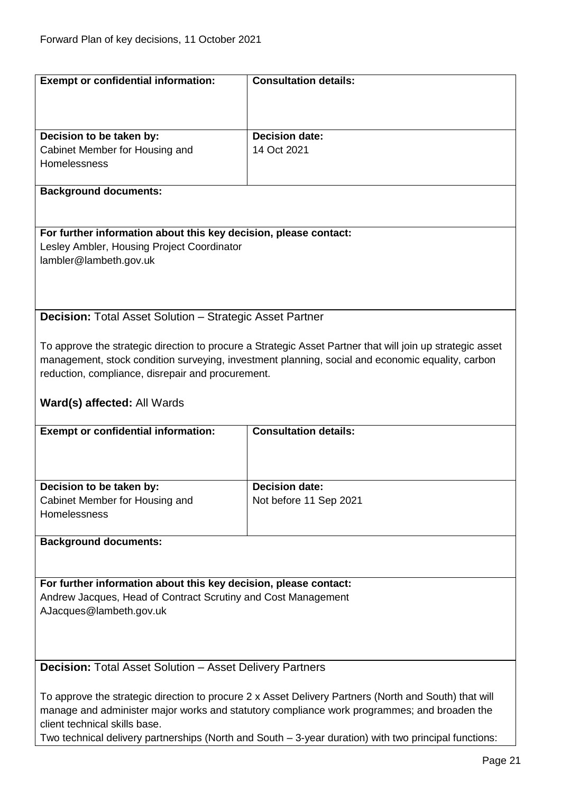<span id="page-20-1"></span><span id="page-20-0"></span>

| <b>Exempt or confidential information:</b>                                                            | <b>Consultation details:</b>                                                                              |  |
|-------------------------------------------------------------------------------------------------------|-----------------------------------------------------------------------------------------------------------|--|
|                                                                                                       |                                                                                                           |  |
|                                                                                                       |                                                                                                           |  |
|                                                                                                       |                                                                                                           |  |
| Decision to be taken by:                                                                              | <b>Decision date:</b>                                                                                     |  |
| Cabinet Member for Housing and                                                                        | 14 Oct 2021                                                                                               |  |
| Homelessness                                                                                          |                                                                                                           |  |
|                                                                                                       |                                                                                                           |  |
| <b>Background documents:</b>                                                                          |                                                                                                           |  |
|                                                                                                       |                                                                                                           |  |
|                                                                                                       |                                                                                                           |  |
| For further information about this key decision, please contact:                                      |                                                                                                           |  |
| Lesley Ambler, Housing Project Coordinator                                                            |                                                                                                           |  |
| lambler@lambeth.gov.uk                                                                                |                                                                                                           |  |
|                                                                                                       |                                                                                                           |  |
|                                                                                                       |                                                                                                           |  |
|                                                                                                       |                                                                                                           |  |
| <b>Decision:</b> Total Asset Solution - Strategic Asset Partner                                       |                                                                                                           |  |
|                                                                                                       |                                                                                                           |  |
|                                                                                                       | To approve the strategic direction to procure a Strategic Asset Partner that will join up strategic asset |  |
|                                                                                                       | management, stock condition surveying, investment planning, social and economic equality, carbon          |  |
| reduction, compliance, disrepair and procurement.                                                     |                                                                                                           |  |
|                                                                                                       |                                                                                                           |  |
|                                                                                                       |                                                                                                           |  |
| Ward(s) affected: All Wards                                                                           |                                                                                                           |  |
| <b>Exempt or confidential information:</b>                                                            | <b>Consultation details:</b>                                                                              |  |
|                                                                                                       |                                                                                                           |  |
|                                                                                                       |                                                                                                           |  |
|                                                                                                       |                                                                                                           |  |
| Decision to be taken by:                                                                              | <b>Decision date:</b>                                                                                     |  |
| Cabinet Member for Housing and                                                                        | Not before 11 Sep 2021                                                                                    |  |
| <b>Homelessness</b>                                                                                   |                                                                                                           |  |
|                                                                                                       |                                                                                                           |  |
|                                                                                                       |                                                                                                           |  |
| <b>Background documents:</b>                                                                          |                                                                                                           |  |
|                                                                                                       |                                                                                                           |  |
| For further information about this key decision, please contact:                                      |                                                                                                           |  |
|                                                                                                       |                                                                                                           |  |
| Andrew Jacques, Head of Contract Scrutiny and Cost Management                                         |                                                                                                           |  |
| AJacques@lambeth.gov.uk                                                                               |                                                                                                           |  |
|                                                                                                       |                                                                                                           |  |
|                                                                                                       |                                                                                                           |  |
|                                                                                                       |                                                                                                           |  |
| <b>Decision: Total Asset Solution - Asset Delivery Partners</b>                                       |                                                                                                           |  |
|                                                                                                       |                                                                                                           |  |
| To approve the strategic direction to procure 2 x Asset Delivery Partners (North and South) that will |                                                                                                           |  |
| manage and administer major works and statutory compliance work programmes; and broaden the           |                                                                                                           |  |
| client technical skills base.                                                                         |                                                                                                           |  |
| Two technical delivery partnerships (North and South - 3-year duration) with two principal functions: |                                                                                                           |  |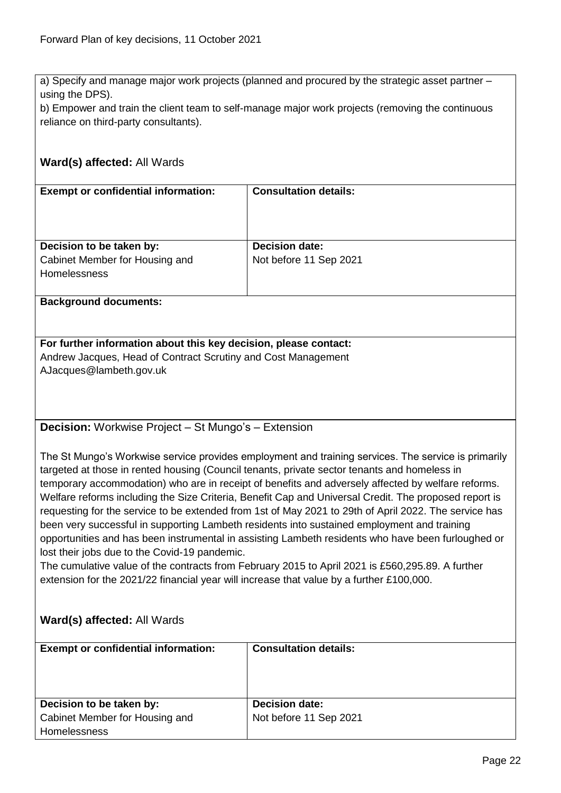a) Specify and manage major work projects (planned and procured by the strategic asset partner – using the DPS).

b) Empower and train the client team to self-manage major work projects (removing the continuous reliance on third-party consultants).

# **Ward(s) affected:** All Wards **Exempt or confidential information: Consultation details:**

| Decision to be taken by:<br>Cabinet Member for Housing and<br><b>Homelessness</b> | <b>Decision date:</b><br>Not before 11 Sep 2021 |
|-----------------------------------------------------------------------------------|-------------------------------------------------|

#### **Background documents:**

**For further information about this key decision, please contact:** Andrew Jacques, Head of Contract Scrutiny and Cost Management AJacques@lambeth.gov.uk

<span id="page-21-0"></span>**Decision:** Workwise Project – St Mungo's – Extension

The St Mungo's Workwise service provides employment and training services. The service is primarily targeted at those in rented housing (Council tenants, private sector tenants and homeless in temporary accommodation) who are in receipt of benefits and adversely affected by welfare reforms. Welfare reforms including the Size Criteria, Benefit Cap and Universal Credit. The proposed report is requesting for the service to be extended from 1st of May 2021 to 29th of April 2022. The service has been very successful in supporting Lambeth residents into sustained employment and training opportunities and has been instrumental in assisting Lambeth residents who have been furloughed or lost their jobs due to the Covid-19 pandemic.

The cumulative value of the contracts from February 2015 to April 2021 is £560,295.89. A further extension for the 2021/22 financial year will increase that value by a further £100,000.

| <b>Exempt or confidential information:</b> | <b>Consultation details:</b> |
|--------------------------------------------|------------------------------|
| Decision to be taken by:                   | <b>Decision date:</b>        |
| Cabinet Member for Housing and             | Not before 11 Sep 2021       |
| Homelessness                               |                              |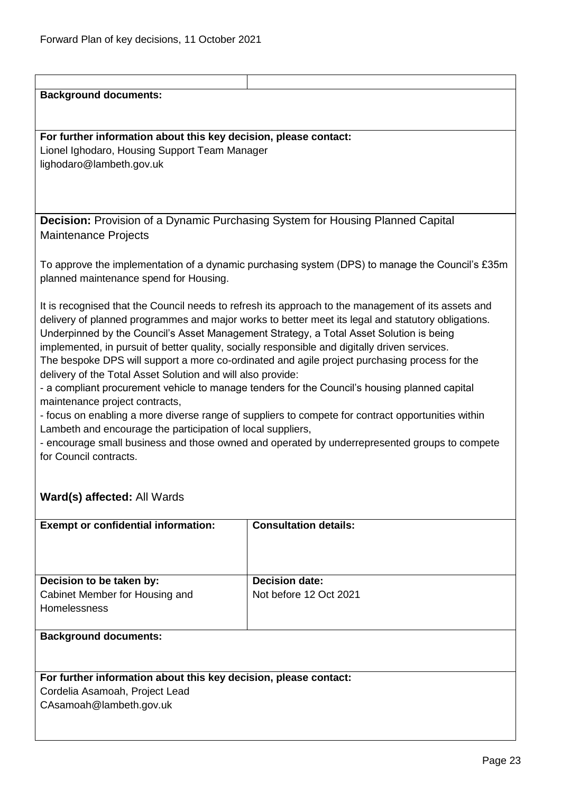<span id="page-22-0"></span>

| <b>Background documents:</b>                                                                   |                                                                                                     |  |
|------------------------------------------------------------------------------------------------|-----------------------------------------------------------------------------------------------------|--|
|                                                                                                |                                                                                                     |  |
|                                                                                                |                                                                                                     |  |
| For further information about this key decision, please contact:                               |                                                                                                     |  |
|                                                                                                |                                                                                                     |  |
| Lionel Ighodaro, Housing Support Team Manager                                                  |                                                                                                     |  |
| lighodaro@lambeth.gov.uk                                                                       |                                                                                                     |  |
|                                                                                                |                                                                                                     |  |
|                                                                                                |                                                                                                     |  |
|                                                                                                |                                                                                                     |  |
| <b>Decision:</b> Provision of a Dynamic Purchasing System for Housing Planned Capital          |                                                                                                     |  |
| <b>Maintenance Projects</b>                                                                    |                                                                                                     |  |
|                                                                                                |                                                                                                     |  |
|                                                                                                |                                                                                                     |  |
|                                                                                                | To approve the implementation of a dynamic purchasing system (DPS) to manage the Council's £35m     |  |
| planned maintenance spend for Housing.                                                         |                                                                                                     |  |
|                                                                                                |                                                                                                     |  |
|                                                                                                | It is recognised that the Council needs to refresh its approach to the management of its assets and |  |
|                                                                                                | delivery of planned programmes and major works to better meet its legal and statutory obligations.  |  |
| Underpinned by the Council's Asset Management Strategy, a Total Asset Solution is being        |                                                                                                     |  |
| implemented, in pursuit of better quality, socially responsible and digitally driven services. |                                                                                                     |  |
|                                                                                                |                                                                                                     |  |
|                                                                                                | The bespoke DPS will support a more co-ordinated and agile project purchasing process for the       |  |
| delivery of the Total Asset Solution and will also provide:                                    |                                                                                                     |  |
|                                                                                                | - a compliant procurement vehicle to manage tenders for the Council's housing planned capital       |  |
| maintenance project contracts,                                                                 |                                                                                                     |  |
|                                                                                                | - focus on enabling a more diverse range of suppliers to compete for contract opportunities within  |  |
| Lambeth and encourage the participation of local suppliers,                                    |                                                                                                     |  |
|                                                                                                | - encourage small business and those owned and operated by underrepresented groups to compete       |  |
| for Council contracts.                                                                         |                                                                                                     |  |
|                                                                                                |                                                                                                     |  |
|                                                                                                |                                                                                                     |  |
| Ward(s) affected: All Wards                                                                    |                                                                                                     |  |
|                                                                                                |                                                                                                     |  |
|                                                                                                |                                                                                                     |  |
| <b>Exempt or confidential information:</b>                                                     | <b>Consultation details:</b>                                                                        |  |
|                                                                                                |                                                                                                     |  |
|                                                                                                |                                                                                                     |  |
|                                                                                                |                                                                                                     |  |
| Decision to be taken by:                                                                       | <b>Decision date:</b>                                                                               |  |
| Cabinet Member for Housing and                                                                 | Not before 12 Oct 2021                                                                              |  |
| Homelessness                                                                                   |                                                                                                     |  |
|                                                                                                |                                                                                                     |  |
| <b>Background documents:</b>                                                                   |                                                                                                     |  |
|                                                                                                |                                                                                                     |  |
|                                                                                                |                                                                                                     |  |
|                                                                                                |                                                                                                     |  |
|                                                                                                |                                                                                                     |  |
| Cordelia Asamoah, Project Lead                                                                 |                                                                                                     |  |
| CAsamoah@lambeth.gov.uk                                                                        |                                                                                                     |  |
|                                                                                                |                                                                                                     |  |
|                                                                                                |                                                                                                     |  |
| For further information about this key decision, please contact:                               |                                                                                                     |  |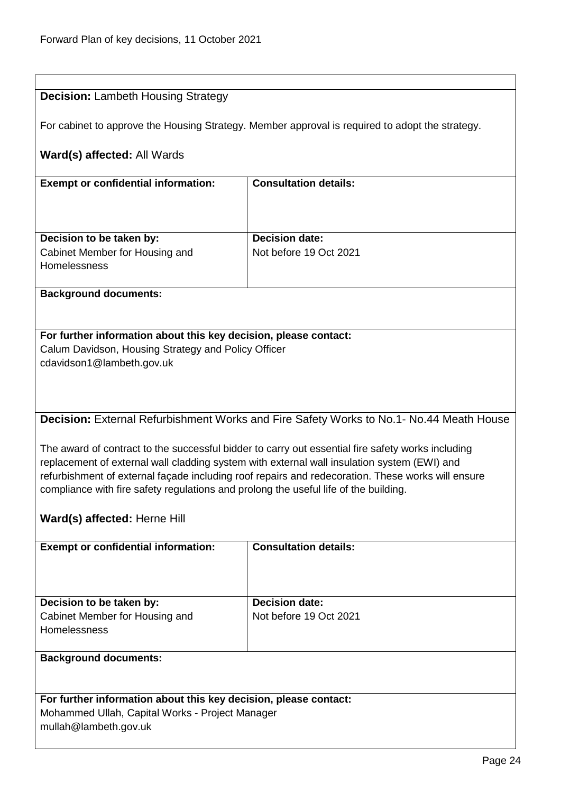$\overline{1}$ 

<span id="page-23-0"></span>

| <b>Decision: Lambeth Housing Strategy</b>                                            |                                                                                                   |  |
|--------------------------------------------------------------------------------------|---------------------------------------------------------------------------------------------------|--|
|                                                                                      | For cabinet to approve the Housing Strategy. Member approval is required to adopt the strategy.   |  |
| Ward(s) affected: All Wards                                                          |                                                                                                   |  |
| <b>Exempt or confidential information:</b>                                           | <b>Consultation details:</b>                                                                      |  |
|                                                                                      |                                                                                                   |  |
|                                                                                      |                                                                                                   |  |
| Decision to be taken by:                                                             | <b>Decision date:</b>                                                                             |  |
| Cabinet Member for Housing and<br>Homelessness                                       | Not before 19 Oct 2021                                                                            |  |
| <b>Background documents:</b>                                                         |                                                                                                   |  |
|                                                                                      |                                                                                                   |  |
| For further information about this key decision, please contact:                     |                                                                                                   |  |
| Calum Davidson, Housing Strategy and Policy Officer                                  |                                                                                                   |  |
| cdavidson1@lambeth.gov.uk                                                            |                                                                                                   |  |
|                                                                                      |                                                                                                   |  |
|                                                                                      |                                                                                                   |  |
|                                                                                      | <b>Decision:</b> External Refurbishment Works and Fire Safety Works to No.1- No.44 Meath House    |  |
|                                                                                      |                                                                                                   |  |
|                                                                                      | The award of contract to the successful bidder to carry out essential fire safety works including |  |
|                                                                                      | replacement of external wall cladding system with external wall insulation system (EWI) and       |  |
|                                                                                      | refurbishment of external façade including roof repairs and redecoration. These works will ensure |  |
| compliance with fire safety regulations and prolong the useful life of the building. |                                                                                                   |  |
| Ward(s) affected: Herne Hill                                                         |                                                                                                   |  |
| <b>Exempt or confidential information:</b>                                           | <b>Consultation details:</b>                                                                      |  |
|                                                                                      |                                                                                                   |  |
|                                                                                      |                                                                                                   |  |
| Decision to be taken by:                                                             | <b>Decision date:</b>                                                                             |  |
| Cabinet Member for Housing and                                                       | Not before 19 Oct 2021                                                                            |  |
| Homelessness                                                                         |                                                                                                   |  |
| <b>Background documents:</b>                                                         |                                                                                                   |  |
|                                                                                      |                                                                                                   |  |
| For further information about this key decision, please contact:                     |                                                                                                   |  |
| Mohammed Ullah, Capital Works - Project Manager                                      |                                                                                                   |  |
| mullah@lambeth.gov.uk                                                                |                                                                                                   |  |
|                                                                                      |                                                                                                   |  |

<span id="page-23-1"></span>٦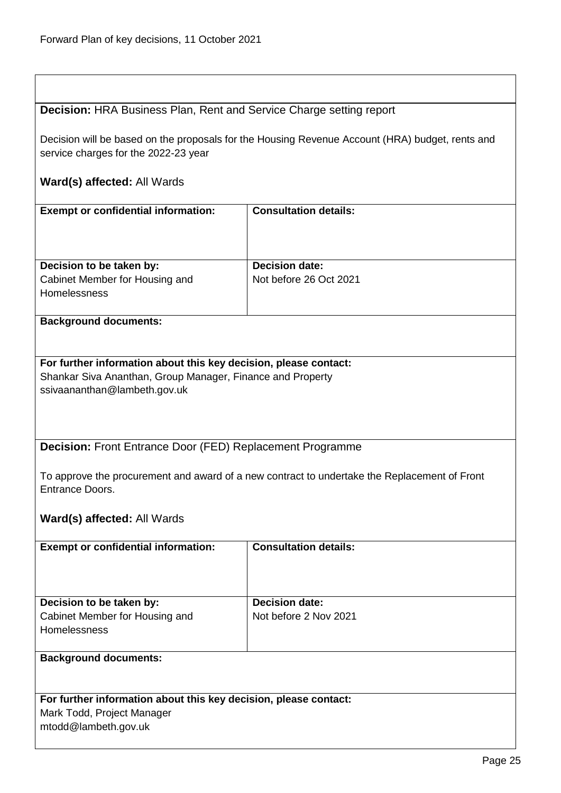# <span id="page-24-0"></span>**Decision:** HRA Business Plan, Rent and Service Charge setting report

Decision will be based on the proposals for the Housing Revenue Account (HRA) budget, rents and service charges for the 2022-23 year

<span id="page-24-1"></span>

| <b>Exempt or confidential information:</b>                       | <b>Consultation details:</b>                                                                 |
|------------------------------------------------------------------|----------------------------------------------------------------------------------------------|
|                                                                  |                                                                                              |
|                                                                  |                                                                                              |
| Decision to be taken by:                                         | <b>Decision date:</b>                                                                        |
| Cabinet Member for Housing and                                   | Not before 26 Oct 2021                                                                       |
| Homelessness                                                     |                                                                                              |
| <b>Background documents:</b>                                     |                                                                                              |
|                                                                  |                                                                                              |
| For further information about this key decision, please contact: |                                                                                              |
| Shankar Siva Ananthan, Group Manager, Finance and Property       |                                                                                              |
| ssivaananthan@lambeth.gov.uk                                     |                                                                                              |
|                                                                  |                                                                                              |
|                                                                  |                                                                                              |
| <b>Decision: Front Entrance Door (FED) Replacement Programme</b> |                                                                                              |
|                                                                  |                                                                                              |
|                                                                  | To approve the procurement and award of a new contract to undertake the Replacement of Front |
| <b>Entrance Doors.</b>                                           |                                                                                              |
| Ward(s) affected: All Wards                                      |                                                                                              |
|                                                                  |                                                                                              |
| <b>Exempt or confidential information:</b>                       | <b>Consultation details:</b>                                                                 |
|                                                                  |                                                                                              |
|                                                                  |                                                                                              |
| Decision to be taken by:                                         | <b>Decision date:</b>                                                                        |
| Cabinet Member for Housing and                                   | Not before 2 Nov 2021                                                                        |
| Homelessness                                                     |                                                                                              |
|                                                                  |                                                                                              |
| <b>Background documents:</b>                                     |                                                                                              |
|                                                                  |                                                                                              |
| For further information about this key decision, please contact: |                                                                                              |
| Mark Todd, Project Manager                                       |                                                                                              |
| mtodd@lambeth.gov.uk                                             |                                                                                              |
|                                                                  |                                                                                              |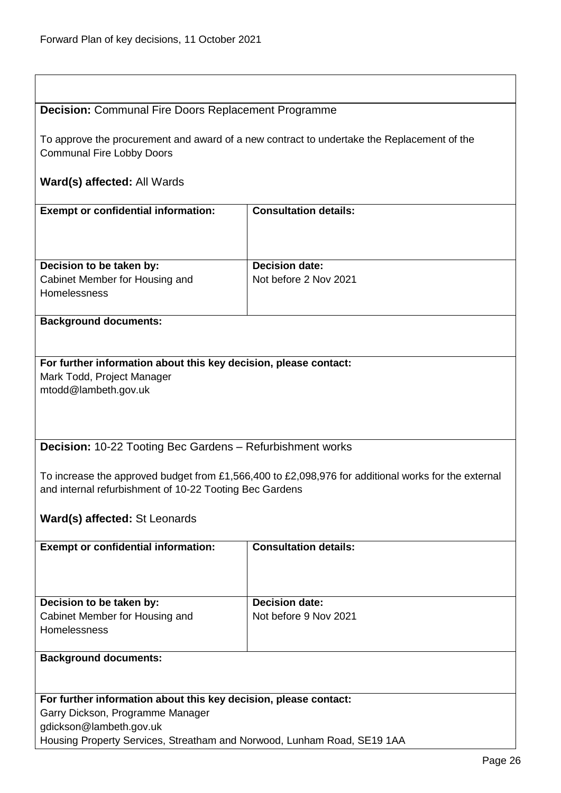<span id="page-25-1"></span><span id="page-25-0"></span>

| <b>Decision:</b> Communal Fire Doors Replacement Programme                                                                                                     |                              |  |  |
|----------------------------------------------------------------------------------------------------------------------------------------------------------------|------------------------------|--|--|
| To approve the procurement and award of a new contract to undertake the Replacement of the<br><b>Communal Fire Lobby Doors</b>                                 |                              |  |  |
| Ward(s) affected: All Wards                                                                                                                                    |                              |  |  |
| <b>Exempt or confidential information:</b>                                                                                                                     | <b>Consultation details:</b> |  |  |
| Decision to be taken by:                                                                                                                                       | <b>Decision date:</b>        |  |  |
| Cabinet Member for Housing and<br>Homelessness                                                                                                                 | Not before 2 Nov 2021        |  |  |
| <b>Background documents:</b>                                                                                                                                   |                              |  |  |
| For further information about this key decision, please contact:<br>Mark Todd, Project Manager<br>mtodd@lambeth.gov.uk                                         |                              |  |  |
| <b>Decision: 10-22 Tooting Bec Gardens - Refurbishment works</b>                                                                                               |                              |  |  |
| To increase the approved budget from £1,566,400 to £2,098,976 for additional works for the external<br>and internal refurbishment of 10-22 Tooting Bec Gardens |                              |  |  |
| Ward(s) affected: St Leonards                                                                                                                                  |                              |  |  |
| <b>Exempt or confidential information:</b>                                                                                                                     | <b>Consultation details:</b> |  |  |
|                                                                                                                                                                |                              |  |  |
| Decision to be taken by:                                                                                                                                       | <b>Decision date:</b>        |  |  |
| Cabinet Member for Housing and<br>Homelessness                                                                                                                 | Not before 9 Nov 2021        |  |  |
| <b>Background documents:</b>                                                                                                                                   |                              |  |  |
| For further information about this key decision, please contact:                                                                                               |                              |  |  |
| Garry Dickson, Programme Manager                                                                                                                               |                              |  |  |
| gdickson@lambeth.gov.uk                                                                                                                                        |                              |  |  |
| Housing Property Services, Streatham and Norwood, Lunham Road, SE19 1AA                                                                                        |                              |  |  |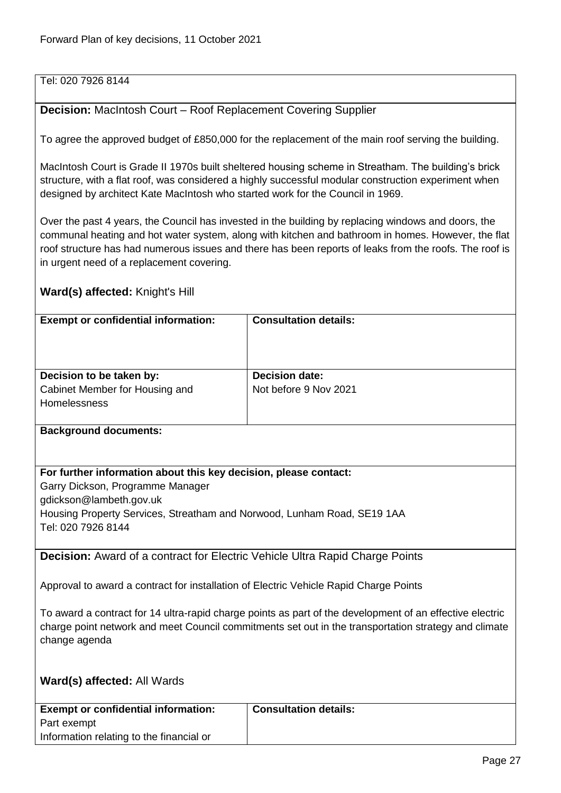Tel: 020 7926 8144

#### <span id="page-26-0"></span>**Decision:** MacIntosh Court – Roof Replacement Covering Supplier

To agree the approved budget of £850,000 for the replacement of the main roof serving the building.

MacIntosh Court is Grade II 1970s built sheltered housing scheme in Streatham. The building's brick structure, with a flat roof, was considered a highly successful modular construction experiment when designed by architect Kate MacIntosh who started work for the Council in 1969.

Over the past 4 years, the Council has invested in the building by replacing windows and doors, the communal heating and hot water system, along with kitchen and bathroom in homes. However, the flat roof structure has had numerous issues and there has been reports of leaks from the roofs. The roof is in urgent need of a replacement covering.

#### **Ward(s) affected:** Knight's Hill

| <b>Exempt or confidential information:</b>                                 | <b>Consultation details:</b>                   |
|----------------------------------------------------------------------------|------------------------------------------------|
| Decision to be taken by:<br>Cabinet Member for Housing and<br>Homelessness | <b>Decision date:</b><br>Not before 9 Nov 2021 |

**Background documents:**

#### **For further information about this key decision, please contact:**

Garry Dickson, Programme Manager gdickson@lambeth.gov.uk

Housing Property Services, Streatham and Norwood, Lunham Road, SE19 1AA

Tel: 020 7926 8144

<span id="page-26-1"></span>**Decision:** Award of a contract for Electric Vehicle Ultra Rapid Charge Points

Approval to award a contract for installation of Electric Vehicle Rapid Charge Points

To award a contract for 14 ultra-rapid charge points as part of the development of an effective electric charge point network and meet Council commitments set out in the transportation strategy and climate change agenda

| <b>Exempt or confidential information:</b> | <b>Consultation details:</b> |
|--------------------------------------------|------------------------------|
| Part exempt                                |                              |
| Information relating to the financial or   |                              |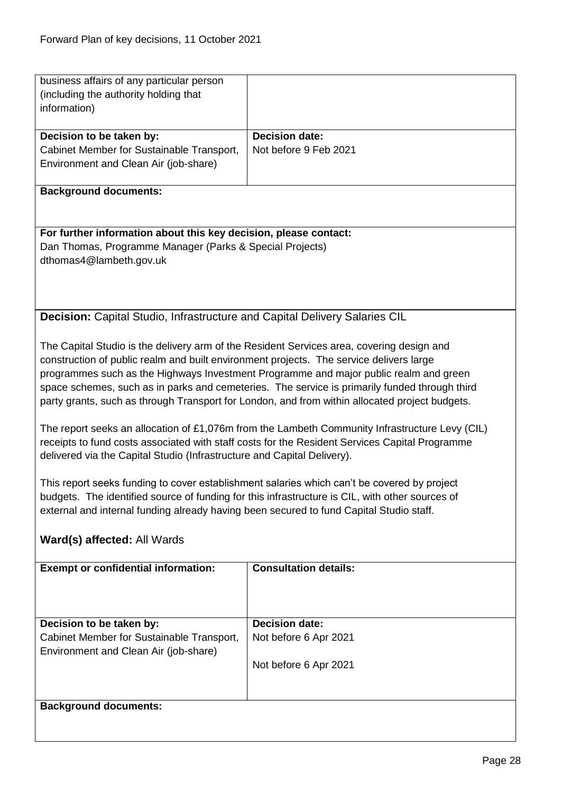<span id="page-27-0"></span>

| business affairs of any particular person<br>(including the authority holding that                                                                                                               |                                                                                                 |  |
|--------------------------------------------------------------------------------------------------------------------------------------------------------------------------------------------------|-------------------------------------------------------------------------------------------------|--|
| information)                                                                                                                                                                                     |                                                                                                 |  |
| Decision to be taken by:                                                                                                                                                                         | <b>Decision date:</b>                                                                           |  |
| Cabinet Member for Sustainable Transport,                                                                                                                                                        | Not before 9 Feb 2021                                                                           |  |
| Environment and Clean Air (job-share)                                                                                                                                                            |                                                                                                 |  |
| <b>Background documents:</b>                                                                                                                                                                     |                                                                                                 |  |
|                                                                                                                                                                                                  |                                                                                                 |  |
| For further information about this key decision, please contact:                                                                                                                                 |                                                                                                 |  |
| Dan Thomas, Programme Manager (Parks & Special Projects)                                                                                                                                         |                                                                                                 |  |
| dthomas4@lambeth.gov.uk                                                                                                                                                                          |                                                                                                 |  |
|                                                                                                                                                                                                  |                                                                                                 |  |
|                                                                                                                                                                                                  |                                                                                                 |  |
| <b>Decision:</b> Capital Studio, Infrastructure and Capital Delivery Salaries CIL                                                                                                                |                                                                                                 |  |
|                                                                                                                                                                                                  |                                                                                                 |  |
| The Capital Studio is the delivery arm of the Resident Services area, covering design and                                                                                                        |                                                                                                 |  |
| construction of public realm and built environment projects. The service delivers large                                                                                                          |                                                                                                 |  |
|                                                                                                                                                                                                  | programmes such as the Highways Investment Programme and major public realm and green           |  |
|                                                                                                                                                                                                  | space schemes, such as in parks and cemeteries. The service is primarily funded through third   |  |
|                                                                                                                                                                                                  | party grants, such as through Transport for London, and from within allocated project budgets.  |  |
|                                                                                                                                                                                                  |                                                                                                 |  |
| The report seeks an allocation of £1,076m from the Lambeth Community Infrastructure Levy (CIL)<br>receipts to fund costs associated with staff costs for the Resident Services Capital Programme |                                                                                                 |  |
| delivered via the Capital Studio (Infrastructure and Capital Delivery).                                                                                                                          |                                                                                                 |  |
|                                                                                                                                                                                                  |                                                                                                 |  |
|                                                                                                                                                                                                  | This report seeks funding to cover establishment salaries which can't be covered by project     |  |
|                                                                                                                                                                                                  | budgets. The identified source of funding for this infrastructure is CIL, with other sources of |  |
| external and internal funding already having been secured to fund Capital Studio staff.                                                                                                          |                                                                                                 |  |
| Ward(s) affected: All Wards                                                                                                                                                                      |                                                                                                 |  |
|                                                                                                                                                                                                  |                                                                                                 |  |
| <b>Exempt or confidential information:</b>                                                                                                                                                       | <b>Consultation details:</b>                                                                    |  |
|                                                                                                                                                                                                  |                                                                                                 |  |
|                                                                                                                                                                                                  |                                                                                                 |  |
| Decision to be taken by:                                                                                                                                                                         | <b>Decision date:</b>                                                                           |  |
| Cabinet Member for Sustainable Transport,                                                                                                                                                        | Not before 6 Apr 2021                                                                           |  |
| Environment and Clean Air (job-share)                                                                                                                                                            |                                                                                                 |  |
|                                                                                                                                                                                                  | Not before 6 Apr 2021                                                                           |  |
|                                                                                                                                                                                                  |                                                                                                 |  |
| <b>Background documents:</b>                                                                                                                                                                     |                                                                                                 |  |
|                                                                                                                                                                                                  |                                                                                                 |  |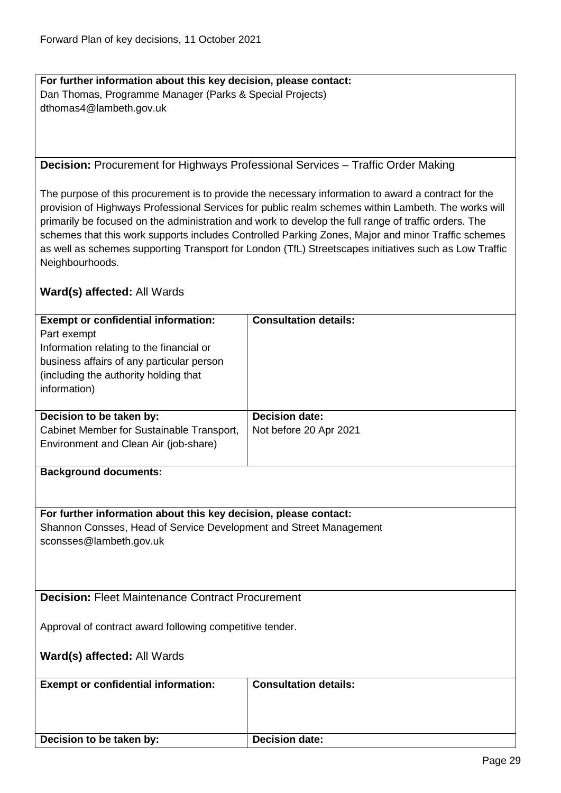**For further information about this key decision, please contact:** Dan Thomas, Programme Manager (Parks & Special Projects) dthomas4@lambeth.gov.uk

#### <span id="page-28-0"></span>**Decision:** Procurement for Highways Professional Services – Traffic Order Making

The purpose of this procurement is to provide the necessary information to award a contract for the provision of Highways Professional Services for public realm schemes within Lambeth. The works will primarily be focused on the administration and work to develop the full range of traffic orders. The schemes that this work supports includes Controlled Parking Zones, Major and minor Traffic schemes as well as schemes supporting Transport for London (TfL) Streetscapes initiatives such as Low Traffic Neighbourhoods.

<span id="page-28-1"></span>

| <b>Exempt or confidential information:</b>                         | <b>Consultation details:</b> |
|--------------------------------------------------------------------|------------------------------|
| Part exempt                                                        |                              |
| Information relating to the financial or                           |                              |
| business affairs of any particular person                          |                              |
| (including the authority holding that                              |                              |
| information)                                                       |                              |
|                                                                    |                              |
| Decision to be taken by:                                           | <b>Decision date:</b>        |
| Cabinet Member for Sustainable Transport,                          | Not before 20 Apr 2021       |
| Environment and Clean Air (job-share)                              |                              |
|                                                                    |                              |
| <b>Background documents:</b>                                       |                              |
|                                                                    |                              |
|                                                                    |                              |
| For further information about this key decision, please contact:   |                              |
| Shannon Consses, Head of Service Development and Street Management |                              |
| sconsses@lambeth.gov.uk                                            |                              |
|                                                                    |                              |
|                                                                    |                              |
|                                                                    |                              |
| <b>Decision: Fleet Maintenance Contract Procurement</b>            |                              |
|                                                                    |                              |
| Approval of contract award following competitive tender.           |                              |
|                                                                    |                              |
| Ward(s) affected: All Wards                                        |                              |
|                                                                    |                              |
| <b>Exempt or confidential information:</b>                         | <b>Consultation details:</b> |
|                                                                    |                              |
|                                                                    |                              |
|                                                                    |                              |
| Decision to be taken by:                                           | <b>Decision date:</b>        |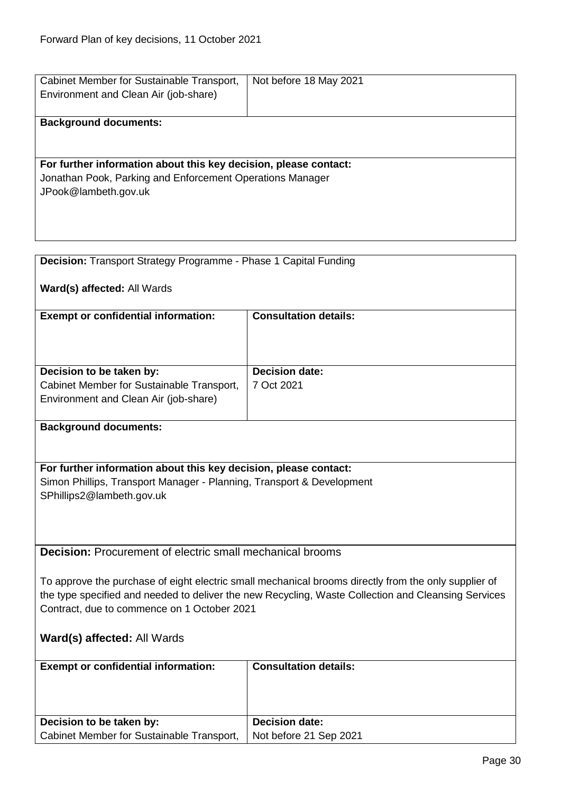| Cabinet Member for Sustainable Transport,                                                           | Not before 18 May 2021                                                                               |
|-----------------------------------------------------------------------------------------------------|------------------------------------------------------------------------------------------------------|
| Environment and Clean Air (job-share)                                                               |                                                                                                      |
| <b>Background documents:</b>                                                                        |                                                                                                      |
|                                                                                                     |                                                                                                      |
| For further information about this key decision, please contact:                                    |                                                                                                      |
| Jonathan Pook, Parking and Enforcement Operations Manager<br>JPook@lambeth.gov.uk                   |                                                                                                      |
|                                                                                                     |                                                                                                      |
|                                                                                                     |                                                                                                      |
|                                                                                                     |                                                                                                      |
| Decision: Transport Strategy Programme - Phase 1 Capital Funding                                    |                                                                                                      |
| Ward(s) affected: All Wards                                                                         |                                                                                                      |
|                                                                                                     |                                                                                                      |
| <b>Exempt or confidential information:</b>                                                          | <b>Consultation details:</b>                                                                         |
|                                                                                                     |                                                                                                      |
|                                                                                                     |                                                                                                      |
| Decision to be taken by:<br>Cabinet Member for Sustainable Transport,                               | <b>Decision date:</b><br>7 Oct 2021                                                                  |
| Environment and Clean Air (job-share)                                                               |                                                                                                      |
|                                                                                                     |                                                                                                      |
| <b>Background documents:</b>                                                                        |                                                                                                      |
|                                                                                                     |                                                                                                      |
| For further information about this key decision, please contact:                                    |                                                                                                      |
| Simon Phillips, Transport Manager - Planning, Transport & Development                               |                                                                                                      |
| SPhillips2@lambeth.gov.uk                                                                           |                                                                                                      |
|                                                                                                     |                                                                                                      |
| <b>Decision:</b> Procurement of electric small mechanical brooms                                    |                                                                                                      |
|                                                                                                     |                                                                                                      |
|                                                                                                     | To approve the purchase of eight electric small mechanical brooms directly from the only supplier of |
| the type specified and needed to deliver the new Recycling, Waste Collection and Cleansing Services |                                                                                                      |
| Contract, due to commence on 1 October 2021                                                         |                                                                                                      |
| Ward(s) affected: All Wards                                                                         |                                                                                                      |
| <b>Exempt or confidential information:</b>                                                          | <b>Consultation details:</b>                                                                         |
|                                                                                                     |                                                                                                      |
|                                                                                                     |                                                                                                      |
| Decision to be taken by:                                                                            | <b>Decision date:</b>                                                                                |
| Cabinet Member for Sustainable Transport,                                                           | Not before 21 Sep 2021                                                                               |

<span id="page-29-1"></span><span id="page-29-0"></span>J.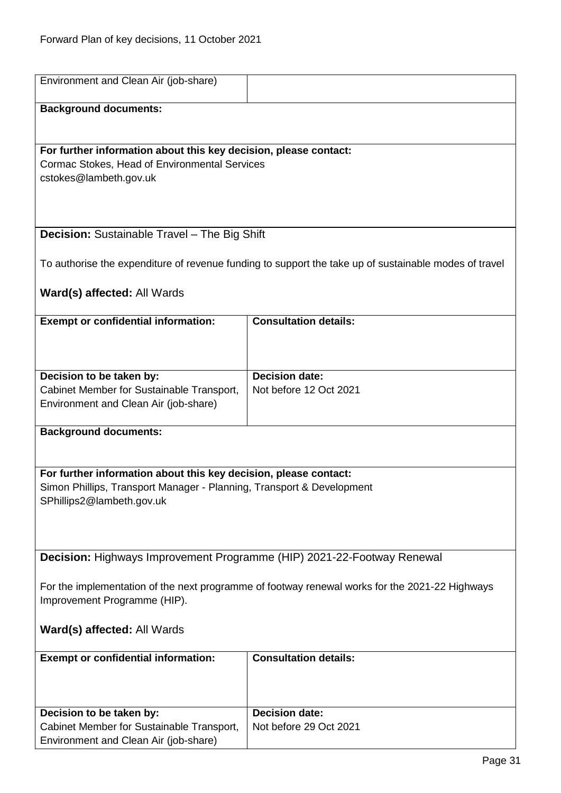<span id="page-30-1"></span><span id="page-30-0"></span>

| Environment and Clean Air (job-share)                                                          |                                                                                                       |  |
|------------------------------------------------------------------------------------------------|-------------------------------------------------------------------------------------------------------|--|
|                                                                                                |                                                                                                       |  |
| <b>Background documents:</b>                                                                   |                                                                                                       |  |
|                                                                                                |                                                                                                       |  |
|                                                                                                |                                                                                                       |  |
| For further information about this key decision, please contact:                               |                                                                                                       |  |
| Cormac Stokes, Head of Environmental Services                                                  |                                                                                                       |  |
| cstokes@lambeth.gov.uk                                                                         |                                                                                                       |  |
|                                                                                                |                                                                                                       |  |
|                                                                                                |                                                                                                       |  |
|                                                                                                |                                                                                                       |  |
| Decision: Sustainable Travel - The Big Shift                                                   |                                                                                                       |  |
|                                                                                                |                                                                                                       |  |
|                                                                                                | To authorise the expenditure of revenue funding to support the take up of sustainable modes of travel |  |
|                                                                                                |                                                                                                       |  |
| Ward(s) affected: All Wards                                                                    |                                                                                                       |  |
| <b>Exempt or confidential information:</b>                                                     | <b>Consultation details:</b>                                                                          |  |
|                                                                                                |                                                                                                       |  |
|                                                                                                |                                                                                                       |  |
|                                                                                                |                                                                                                       |  |
| Decision to be taken by:                                                                       | <b>Decision date:</b>                                                                                 |  |
| Cabinet Member for Sustainable Transport,                                                      | Not before 12 Oct 2021                                                                                |  |
| Environment and Clean Air (job-share)                                                          |                                                                                                       |  |
|                                                                                                |                                                                                                       |  |
| <b>Background documents:</b>                                                                   |                                                                                                       |  |
|                                                                                                |                                                                                                       |  |
|                                                                                                |                                                                                                       |  |
| For further information about this key decision, please contact:                               |                                                                                                       |  |
| Simon Phillips, Transport Manager - Planning, Transport & Development                          |                                                                                                       |  |
| SPhillips2@lambeth.gov.uk                                                                      |                                                                                                       |  |
|                                                                                                |                                                                                                       |  |
|                                                                                                |                                                                                                       |  |
|                                                                                                |                                                                                                       |  |
| Decision: Highways Improvement Programme (HIP) 2021-22-Footway Renewal                         |                                                                                                       |  |
|                                                                                                |                                                                                                       |  |
| For the implementation of the next programme of footway renewal works for the 2021-22 Highways |                                                                                                       |  |
| Improvement Programme (HIP).                                                                   |                                                                                                       |  |
|                                                                                                |                                                                                                       |  |
| Ward(s) affected: All Wards                                                                    |                                                                                                       |  |
|                                                                                                |                                                                                                       |  |
| <b>Exempt or confidential information:</b>                                                     | <b>Consultation details:</b>                                                                          |  |
|                                                                                                |                                                                                                       |  |
|                                                                                                |                                                                                                       |  |
|                                                                                                | <b>Decision date:</b>                                                                                 |  |
| Decision to be taken by:<br>Cabinet Member for Sustainable Transport,                          | Not before 29 Oct 2021                                                                                |  |
| Environment and Clean Air (job-share)                                                          |                                                                                                       |  |
|                                                                                                |                                                                                                       |  |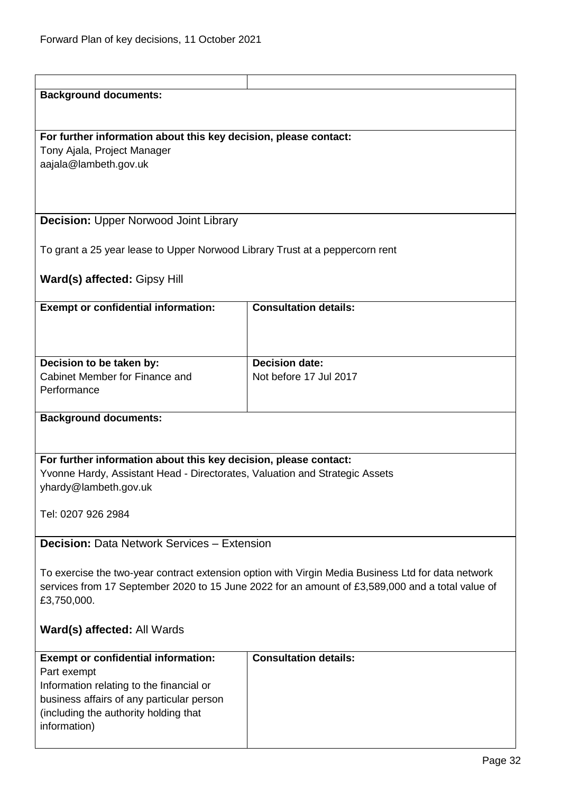<span id="page-31-1"></span><span id="page-31-0"></span>

| <b>Background documents:</b>                                                 |                                                                                                    |
|------------------------------------------------------------------------------|----------------------------------------------------------------------------------------------------|
|                                                                              |                                                                                                    |
|                                                                              |                                                                                                    |
| For further information about this key decision, please contact:             |                                                                                                    |
| Tony Ajala, Project Manager                                                  |                                                                                                    |
| aajala@lambeth.gov.uk                                                        |                                                                                                    |
|                                                                              |                                                                                                    |
|                                                                              |                                                                                                    |
|                                                                              |                                                                                                    |
| <b>Decision: Upper Norwood Joint Library</b>                                 |                                                                                                    |
|                                                                              |                                                                                                    |
|                                                                              |                                                                                                    |
| To grant a 25 year lease to Upper Norwood Library Trust at a peppercorn rent |                                                                                                    |
|                                                                              |                                                                                                    |
| Ward(s) affected: Gipsy Hill                                                 |                                                                                                    |
|                                                                              |                                                                                                    |
| <b>Exempt or confidential information:</b>                                   | <b>Consultation details:</b>                                                                       |
|                                                                              |                                                                                                    |
|                                                                              |                                                                                                    |
|                                                                              |                                                                                                    |
| Decision to be taken by:                                                     | <b>Decision date:</b>                                                                              |
| Cabinet Member for Finance and                                               | Not before 17 Jul 2017                                                                             |
| Performance                                                                  |                                                                                                    |
|                                                                              |                                                                                                    |
| <b>Background documents:</b>                                                 |                                                                                                    |
|                                                                              |                                                                                                    |
|                                                                              |                                                                                                    |
|                                                                              |                                                                                                    |
| For further information about this key decision, please contact:             |                                                                                                    |
| Yvonne Hardy, Assistant Head - Directorates, Valuation and Strategic Assets  |                                                                                                    |
| yhardy@lambeth.gov.uk                                                        |                                                                                                    |
|                                                                              |                                                                                                    |
| Tel: 0207 926 2984                                                           |                                                                                                    |
|                                                                              |                                                                                                    |
| <b>Decision: Data Network Services - Extension</b>                           |                                                                                                    |
|                                                                              |                                                                                                    |
|                                                                              | To exercise the two-year contract extension option with Virgin Media Business Ltd for data network |
|                                                                              | services from 17 September 2020 to 15 June 2022 for an amount of £3,589,000 and a total value of   |
| £3,750,000.                                                                  |                                                                                                    |
|                                                                              |                                                                                                    |
|                                                                              |                                                                                                    |
| Ward(s) affected: All Wards                                                  |                                                                                                    |
|                                                                              |                                                                                                    |
| <b>Exempt or confidential information:</b>                                   | <b>Consultation details:</b>                                                                       |
| Part exempt                                                                  |                                                                                                    |
| Information relating to the financial or                                     |                                                                                                    |
| business affairs of any particular person                                    |                                                                                                    |
| (including the authority holding that                                        |                                                                                                    |
| information)                                                                 |                                                                                                    |
|                                                                              |                                                                                                    |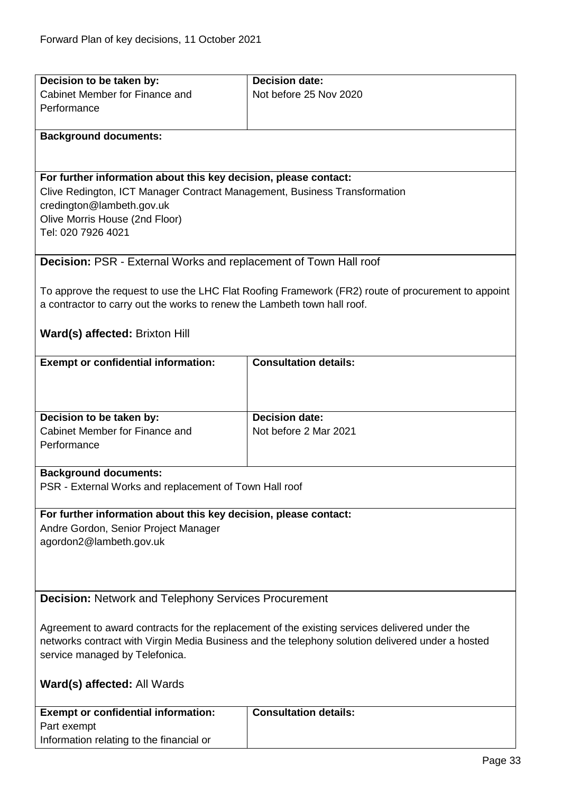<span id="page-32-1"></span><span id="page-32-0"></span>

| Decision to be taken by:                                                                         | <b>Decision date:</b>                                                                              |  |
|--------------------------------------------------------------------------------------------------|----------------------------------------------------------------------------------------------------|--|
| Cabinet Member for Finance and                                                                   | Not before 25 Nov 2020                                                                             |  |
| Performance                                                                                      |                                                                                                    |  |
|                                                                                                  |                                                                                                    |  |
| <b>Background documents:</b>                                                                     |                                                                                                    |  |
|                                                                                                  |                                                                                                    |  |
|                                                                                                  |                                                                                                    |  |
| For further information about this key decision, please contact:                                 |                                                                                                    |  |
| Clive Redington, ICT Manager Contract Management, Business Transformation                        |                                                                                                    |  |
| credington@lambeth.gov.uk                                                                        |                                                                                                    |  |
| Olive Morris House (2nd Floor)<br>Tel: 020 7926 4021                                             |                                                                                                    |  |
|                                                                                                  |                                                                                                    |  |
| <b>Decision: PSR - External Works and replacement of Town Hall roof</b>                          |                                                                                                    |  |
|                                                                                                  |                                                                                                    |  |
|                                                                                                  | To approve the request to use the LHC Flat Roofing Framework (FR2) route of procurement to appoint |  |
| a contractor to carry out the works to renew the Lambeth town hall roof.                         |                                                                                                    |  |
|                                                                                                  |                                                                                                    |  |
| Ward(s) affected: Brixton Hill                                                                   |                                                                                                    |  |
|                                                                                                  |                                                                                                    |  |
| <b>Exempt or confidential information:</b>                                                       | <b>Consultation details:</b>                                                                       |  |
|                                                                                                  |                                                                                                    |  |
|                                                                                                  |                                                                                                    |  |
|                                                                                                  |                                                                                                    |  |
| Decision to be taken by:                                                                         | <b>Decision date:</b>                                                                              |  |
| Cabinet Member for Finance and                                                                   | Not before 2 Mar 2021                                                                              |  |
| Performance                                                                                      |                                                                                                    |  |
|                                                                                                  |                                                                                                    |  |
| <b>Background documents:</b>                                                                     |                                                                                                    |  |
| PSR - External Works and replacement of Town Hall roof                                           |                                                                                                    |  |
| For further information about this key decision, please contact:                                 |                                                                                                    |  |
| Andre Gordon, Senior Project Manager                                                             |                                                                                                    |  |
| agordon2@lambeth.gov.uk                                                                          |                                                                                                    |  |
|                                                                                                  |                                                                                                    |  |
|                                                                                                  |                                                                                                    |  |
|                                                                                                  |                                                                                                    |  |
| <b>Decision: Network and Telephony Services Procurement</b>                                      |                                                                                                    |  |
|                                                                                                  |                                                                                                    |  |
| Agreement to award contracts for the replacement of the existing services delivered under the    |                                                                                                    |  |
| networks contract with Virgin Media Business and the telephony solution delivered under a hosted |                                                                                                    |  |
| service managed by Telefonica.                                                                   |                                                                                                    |  |
|                                                                                                  |                                                                                                    |  |
| Ward(s) affected: All Wards                                                                      |                                                                                                    |  |
|                                                                                                  |                                                                                                    |  |
| <b>Exempt or confidential information:</b>                                                       | <b>Consultation details:</b>                                                                       |  |
| Part exempt                                                                                      |                                                                                                    |  |
| Information relating to the financial or                                                         |                                                                                                    |  |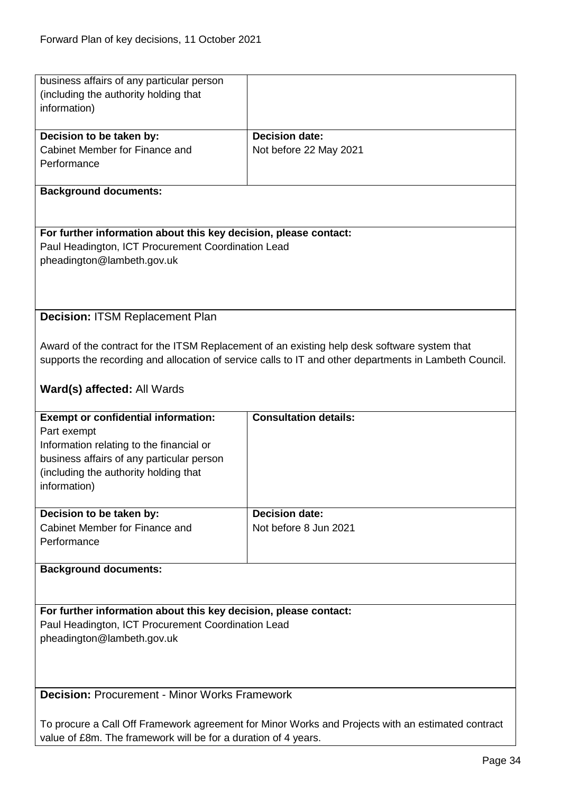<span id="page-33-1"></span><span id="page-33-0"></span>

| business affairs of any particular person<br>(including the authority holding that |                                                                                                        |
|------------------------------------------------------------------------------------|--------------------------------------------------------------------------------------------------------|
|                                                                                    |                                                                                                        |
| information)                                                                       |                                                                                                        |
|                                                                                    |                                                                                                        |
| Decision to be taken by:                                                           | <b>Decision date:</b>                                                                                  |
| Cabinet Member for Finance and                                                     | Not before 22 May 2021                                                                                 |
| Performance                                                                        |                                                                                                        |
|                                                                                    |                                                                                                        |
| <b>Background documents:</b>                                                       |                                                                                                        |
|                                                                                    |                                                                                                        |
|                                                                                    |                                                                                                        |
| For further information about this key decision, please contact:                   |                                                                                                        |
|                                                                                    |                                                                                                        |
| Paul Headington, ICT Procurement Coordination Lead                                 |                                                                                                        |
| pheadington@lambeth.gov.uk                                                         |                                                                                                        |
|                                                                                    |                                                                                                        |
|                                                                                    |                                                                                                        |
|                                                                                    |                                                                                                        |
| <b>Decision: ITSM Replacement Plan</b>                                             |                                                                                                        |
|                                                                                    |                                                                                                        |
|                                                                                    |                                                                                                        |
|                                                                                    | Award of the contract for the ITSM Replacement of an existing help desk software system that           |
|                                                                                    | supports the recording and allocation of service calls to IT and other departments in Lambeth Council. |
|                                                                                    |                                                                                                        |
| Ward(s) affected: All Wards                                                        |                                                                                                        |
|                                                                                    |                                                                                                        |
|                                                                                    |                                                                                                        |
|                                                                                    |                                                                                                        |
| <b>Exempt or confidential information:</b>                                         | <b>Consultation details:</b>                                                                           |
| Part exempt                                                                        |                                                                                                        |
| Information relating to the financial or                                           |                                                                                                        |
| business affairs of any particular person                                          |                                                                                                        |
| (including the authority holding that                                              |                                                                                                        |
| information)                                                                       |                                                                                                        |
|                                                                                    |                                                                                                        |
|                                                                                    |                                                                                                        |
| Decision to be taken by:                                                           | <b>Decision date:</b>                                                                                  |
| Cabinet Member for Finance and                                                     | Not before 8 Jun 2021                                                                                  |
| Performance                                                                        |                                                                                                        |
|                                                                                    |                                                                                                        |
| <b>Background documents:</b>                                                       |                                                                                                        |
|                                                                                    |                                                                                                        |
|                                                                                    |                                                                                                        |
| For further information about this key decision, please contact:                   |                                                                                                        |
|                                                                                    |                                                                                                        |
| Paul Headington, ICT Procurement Coordination Lead                                 |                                                                                                        |
| pheadington@lambeth.gov.uk                                                         |                                                                                                        |
|                                                                                    |                                                                                                        |
|                                                                                    |                                                                                                        |
|                                                                                    |                                                                                                        |
| <b>Decision: Procurement - Minor Works Framework</b>                               |                                                                                                        |
|                                                                                    |                                                                                                        |
|                                                                                    | To procure a Call Off Framework agreement for Minor Works and Projects with an estimated contract      |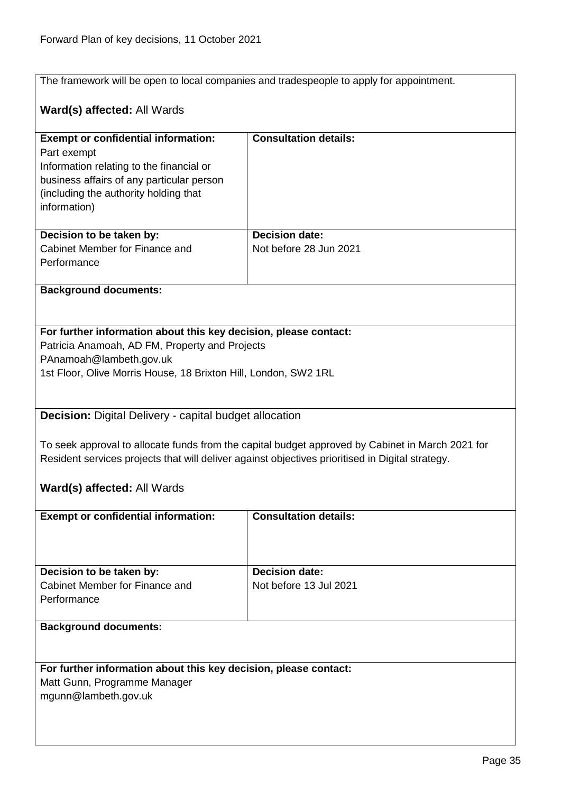The framework will be open to local companies and tradespeople to apply for appointment.

# **Ward(s) affected:** All Wards

| <b>Exempt or confidential information:</b>                                                       | <b>Consultation details:</b> |  |
|--------------------------------------------------------------------------------------------------|------------------------------|--|
| Part exempt                                                                                      |                              |  |
| Information relating to the financial or                                                         |                              |  |
| business affairs of any particular person                                                        |                              |  |
| (including the authority holding that                                                            |                              |  |
| information)                                                                                     |                              |  |
|                                                                                                  |                              |  |
| Decision to be taken by:                                                                         | <b>Decision date:</b>        |  |
| Cabinet Member for Finance and                                                                   | Not before 28 Jun 2021       |  |
| Performance                                                                                      |                              |  |
|                                                                                                  |                              |  |
| <b>Background documents:</b>                                                                     |                              |  |
|                                                                                                  |                              |  |
|                                                                                                  |                              |  |
| For further information about this key decision, please contact:                                 |                              |  |
| Patricia Anamoah, AD FM, Property and Projects                                                   |                              |  |
| PAnamoah@lambeth.gov.uk                                                                          |                              |  |
| 1st Floor, Olive Morris House, 18 Brixton Hill, London, SW2 1RL                                  |                              |  |
|                                                                                                  |                              |  |
|                                                                                                  |                              |  |
| <b>Decision:</b> Digital Delivery - capital budget allocation                                    |                              |  |
|                                                                                                  |                              |  |
|                                                                                                  |                              |  |
| To seek approval to allocate funds from the capital budget approved by Cabinet in March 2021 for |                              |  |

<span id="page-34-0"></span>Resident services projects that will deliver against objectives prioritised in Digital strategy.

#### **Ward(s) affected:** All Wards

| <b>Exempt or confidential information:</b>                                | <b>Consultation details:</b>                    |
|---------------------------------------------------------------------------|-------------------------------------------------|
| Decision to be taken by:<br>Cabinet Member for Finance and<br>Performance | <b>Decision date:</b><br>Not before 13 Jul 2021 |

#### **Background documents:**

#### **For further information about this key decision, please contact:**

Matt Gunn, Programme Manager mgunn@lambeth.gov.uk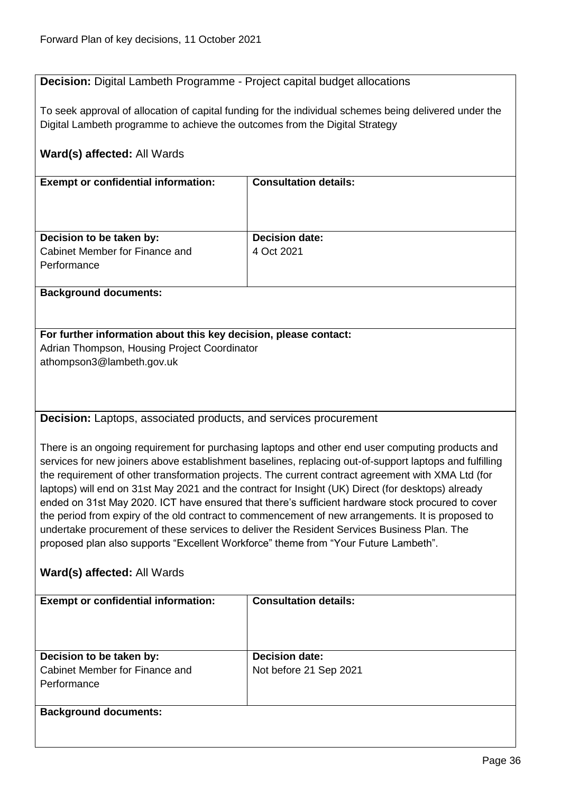# <span id="page-35-0"></span>**Decision:** Digital Lambeth Programme - Project capital budget allocations

To seek approval of allocation of capital funding for the individual schemes being delivered under the Digital Lambeth programme to achieve the outcomes from the Digital Strategy

<span id="page-35-1"></span>

| <b>Exempt or confidential information:</b>                                          | <b>Consultation details:</b>                                                                            |  |
|-------------------------------------------------------------------------------------|---------------------------------------------------------------------------------------------------------|--|
|                                                                                     |                                                                                                         |  |
|                                                                                     |                                                                                                         |  |
|                                                                                     |                                                                                                         |  |
| Decision to be taken by:                                                            | <b>Decision date:</b>                                                                                   |  |
| Cabinet Member for Finance and                                                      | 4 Oct 2021                                                                                              |  |
| Performance                                                                         |                                                                                                         |  |
| <b>Background documents:</b>                                                        |                                                                                                         |  |
|                                                                                     |                                                                                                         |  |
|                                                                                     |                                                                                                         |  |
| For further information about this key decision, please contact:                    |                                                                                                         |  |
| Adrian Thompson, Housing Project Coordinator                                        |                                                                                                         |  |
| athompson3@lambeth.gov.uk                                                           |                                                                                                         |  |
|                                                                                     |                                                                                                         |  |
|                                                                                     |                                                                                                         |  |
|                                                                                     |                                                                                                         |  |
| <b>Decision:</b> Laptops, associated products, and services procurement             |                                                                                                         |  |
|                                                                                     |                                                                                                         |  |
|                                                                                     | There is an ongoing requirement for purchasing laptops and other end user computing products and        |  |
|                                                                                     | services for new joiners above establishment baselines, replacing out-of-support laptops and fulfilling |  |
|                                                                                     | the requirement of other transformation projects. The current contract agreement with XMA Ltd (for      |  |
|                                                                                     | laptops) will end on 31st May 2021 and the contract for Insight (UK) Direct (for desktops) already      |  |
|                                                                                     | ended on 31st May 2020. ICT have ensured that there's sufficient hardware stock procured to cover       |  |
|                                                                                     | the period from expiry of the old contract to commencement of new arrangements. It is proposed to       |  |
|                                                                                     | undertake procurement of these services to deliver the Resident Services Business Plan. The             |  |
| proposed plan also supports "Excellent Workforce" theme from "Your Future Lambeth". |                                                                                                         |  |
|                                                                                     |                                                                                                         |  |
| Ward(s) affected: All Wards                                                         |                                                                                                         |  |
| <b>Exempt or confidential information:</b>                                          | <b>Consultation details:</b>                                                                            |  |
|                                                                                     |                                                                                                         |  |
|                                                                                     |                                                                                                         |  |
|                                                                                     |                                                                                                         |  |
| Decision to be taken by:                                                            | <b>Decision date:</b>                                                                                   |  |
| Cabinet Member for Finance and                                                      | Not before 21 Sep 2021                                                                                  |  |
| Performance                                                                         |                                                                                                         |  |
|                                                                                     |                                                                                                         |  |
| <b>Background documents:</b>                                                        |                                                                                                         |  |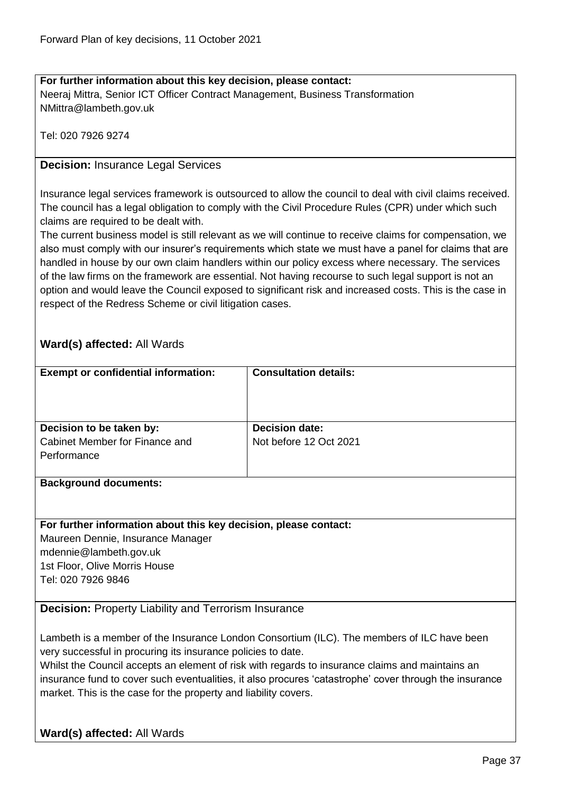#### **For further information about this key decision, please contact:** Neeraj Mittra, Senior ICT Officer Contract Management, Business Transformation NMittra@lambeth.gov.uk

Tel: 020 7926 9274

#### **Decision:** Insurance Legal Services

Insurance legal services framework is outsourced to allow the council to deal with civil claims received. The council has a legal obligation to comply with the Civil Procedure Rules (CPR) under which such claims are required to be dealt with.

The current business model is still relevant as we will continue to receive claims for compensation, we also must comply with our insurer's requirements which state we must have a panel for claims that are handled in house by our own claim handlers within our policy excess where necessary. The services of the law firms on the framework are essential. Not having recourse to such legal support is not an option and would leave the Council exposed to significant risk and increased costs. This is the case in respect of the Redress Scheme or civil litigation cases.

## **Ward(s) affected:** All Wards

| <b>Exempt or confidential information:</b> | <b>Consultation details:</b> |
|--------------------------------------------|------------------------------|
| Decision to be taken by:                   | <b>Decision date:</b>        |
| Cabinet Member for Finance and             | Not before 12 Oct 2021       |
| Performance                                |                              |
|                                            |                              |

#### **Background documents:**

#### **For further information about this key decision, please contact:**

Maureen Dennie, Insurance Manager mdennie@lambeth.gov.uk 1st Floor, Olive Morris House

Tel: 020 7926 9846

#### **Decision:** Property Liability and Terrorism Insurance

Lambeth is a member of the Insurance London Consortium (ILC). The members of ILC have been very successful in procuring its insurance policies to date.

Whilst the Council accepts an element of risk with regards to insurance claims and maintains an insurance fund to cover such eventualities, it also procures 'catastrophe' cover through the insurance market. This is the case for the property and liability covers.

**Ward(s) affected:** All Wards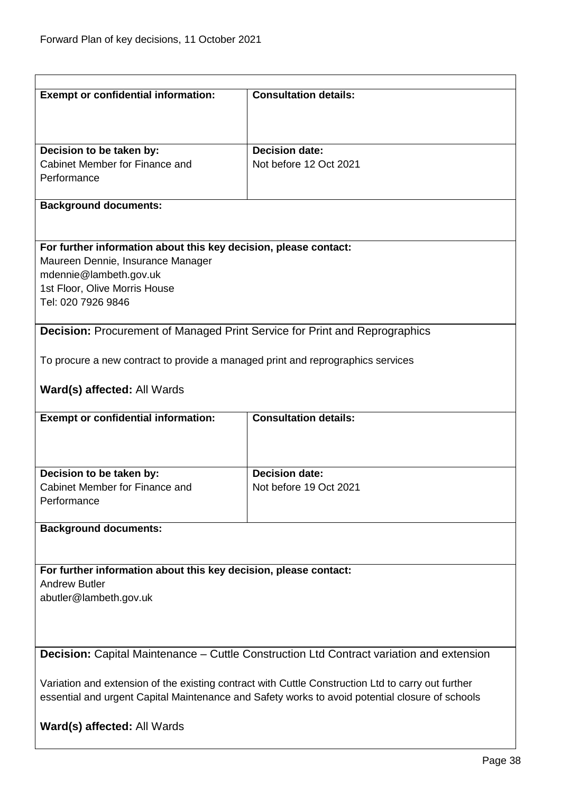| <b>Exempt or confidential information:</b>                                        | <b>Consultation details:</b>                                                                       |
|-----------------------------------------------------------------------------------|----------------------------------------------------------------------------------------------------|
|                                                                                   |                                                                                                    |
| Decision to be taken by:                                                          | <b>Decision date:</b>                                                                              |
| Cabinet Member for Finance and                                                    | Not before 12 Oct 2021                                                                             |
| Performance                                                                       |                                                                                                    |
|                                                                                   |                                                                                                    |
| <b>Background documents:</b>                                                      |                                                                                                    |
|                                                                                   |                                                                                                    |
| For further information about this key decision, please contact:                  |                                                                                                    |
| Maureen Dennie, Insurance Manager                                                 |                                                                                                    |
| mdennie@lambeth.gov.uk                                                            |                                                                                                    |
| 1st Floor, Olive Morris House                                                     |                                                                                                    |
| Tel: 020 7926 9846                                                                |                                                                                                    |
| <b>Decision: Procurement of Managed Print Service for Print and Reprographics</b> |                                                                                                    |
|                                                                                   |                                                                                                    |
| To procure a new contract to provide a managed print and reprographics services   |                                                                                                    |
|                                                                                   |                                                                                                    |
| Ward(s) affected: All Wards                                                       |                                                                                                    |
| <b>Exempt or confidential information:</b>                                        | <b>Consultation details:</b>                                                                       |
|                                                                                   |                                                                                                    |
|                                                                                   |                                                                                                    |
| Decision to be taken by:                                                          | <b>Decision date:</b>                                                                              |
| Cabinet Member for Finance and                                                    | Not before 19 Oct 2021                                                                             |
| Performance                                                                       |                                                                                                    |
|                                                                                   |                                                                                                    |
| <b>Background documents:</b>                                                      |                                                                                                    |
|                                                                                   |                                                                                                    |
| For further information about this key decision, please contact:                  |                                                                                                    |
|                                                                                   |                                                                                                    |
| <b>Andrew Butler</b>                                                              |                                                                                                    |
| abutler@lambeth.gov.uk                                                            |                                                                                                    |
|                                                                                   |                                                                                                    |
|                                                                                   |                                                                                                    |
|                                                                                   |                                                                                                    |
|                                                                                   | <b>Decision:</b> Capital Maintenance – Cuttle Construction Ltd Contract variation and extension    |
|                                                                                   | Variation and extension of the existing contract with Cuttle Construction Ltd to carry out further |
|                                                                                   | essential and urgent Capital Maintenance and Safety works to avoid potential closure of schools    |
|                                                                                   |                                                                                                    |
| Ward(s) affected: All Wards                                                       |                                                                                                    |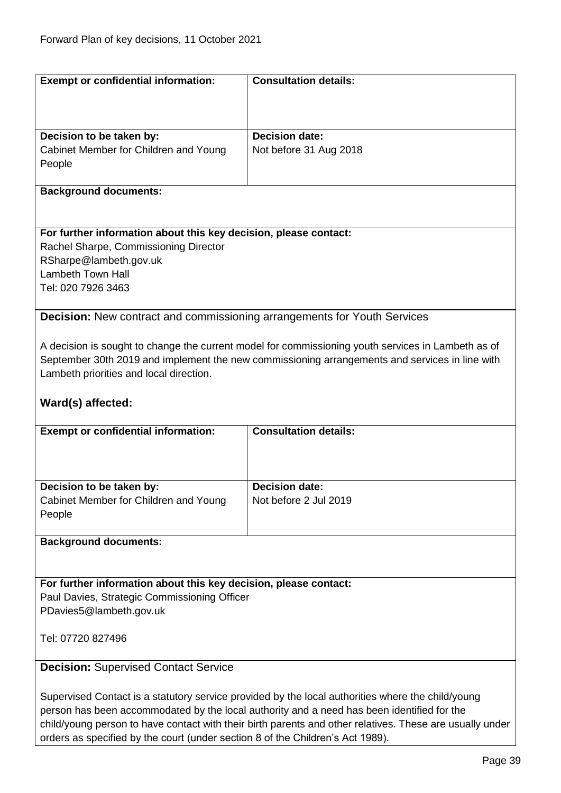| <b>Exempt or confidential information:</b>                                                               | <b>Consultation details:</b>                                                                       |
|----------------------------------------------------------------------------------------------------------|----------------------------------------------------------------------------------------------------|
|                                                                                                          |                                                                                                    |
|                                                                                                          |                                                                                                    |
|                                                                                                          |                                                                                                    |
| Decision to be taken by:                                                                                 | <b>Decision date:</b>                                                                              |
| Cabinet Member for Children and Young                                                                    | Not before 31 Aug 2018                                                                             |
| People                                                                                                   |                                                                                                    |
|                                                                                                          |                                                                                                    |
| <b>Background documents:</b>                                                                             |                                                                                                    |
|                                                                                                          |                                                                                                    |
|                                                                                                          |                                                                                                    |
| For further information about this key decision, please contact:                                         |                                                                                                    |
| Rachel Sharpe, Commissioning Director                                                                    |                                                                                                    |
| RSharpe@lambeth.gov.uk                                                                                   |                                                                                                    |
| Lambeth Town Hall                                                                                        |                                                                                                    |
| Tel: 020 7926 3463                                                                                       |                                                                                                    |
|                                                                                                          |                                                                                                    |
| <b>Decision:</b> New contract and commissioning arrangements for Youth Services                          |                                                                                                    |
|                                                                                                          |                                                                                                    |
|                                                                                                          | A decision is sought to change the current model for commissioning youth services in Lambeth as of |
|                                                                                                          | September 30th 2019 and implement the new commissioning arrangements and services in line with     |
| Lambeth priorities and local direction.                                                                  |                                                                                                    |
|                                                                                                          |                                                                                                    |
| Ward(s) affected:                                                                                        |                                                                                                    |
|                                                                                                          |                                                                                                    |
| <b>Exempt or confidential information:</b>                                                               | <b>Consultation details:</b>                                                                       |
|                                                                                                          |                                                                                                    |
|                                                                                                          |                                                                                                    |
|                                                                                                          |                                                                                                    |
| Decision to be taken by:                                                                                 | <b>Decision date:</b>                                                                              |
| Cabinet Member for Children and Young                                                                    | Not before 2 Jul 2019                                                                              |
| People                                                                                                   |                                                                                                    |
|                                                                                                          |                                                                                                    |
| <b>Background documents:</b>                                                                             |                                                                                                    |
|                                                                                                          |                                                                                                    |
|                                                                                                          |                                                                                                    |
| For further information about this key decision, please contact:                                         |                                                                                                    |
|                                                                                                          |                                                                                                    |
| Paul Davies, Strategic Commissioning Officer<br>PDavies5@lambeth.gov.uk                                  |                                                                                                    |
|                                                                                                          |                                                                                                    |
| Tel: 07720 827496                                                                                        |                                                                                                    |
|                                                                                                          |                                                                                                    |
|                                                                                                          |                                                                                                    |
| <b>Decision: Supervised Contact Service</b>                                                              |                                                                                                    |
|                                                                                                          |                                                                                                    |
| Supervised Contact is a statutory service provided by the local authorities where the child/young        |                                                                                                    |
| person has been accommodated by the local authority and a need has been identified for the               |                                                                                                    |
| child/young person to have contact with their birth parents and other relatives. These are usually under |                                                                                                    |

orders as specified by the court (under section 8 of the Children's Act 1989).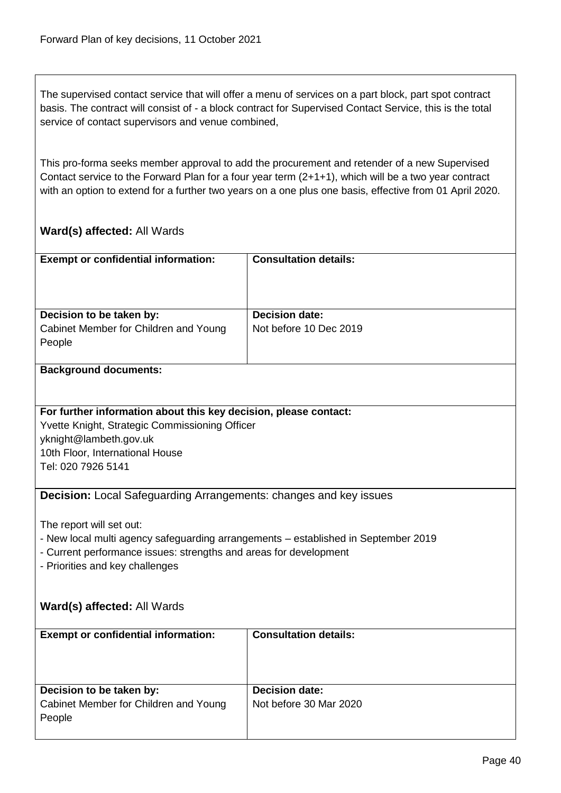The supervised contact service that will offer a menu of services on a part block, part spot contract basis. The contract will consist of - a block contract for Supervised Contact Service, this is the total service of contact supervisors and venue combined,

This pro-forma seeks member approval to add the procurement and retender of a new Supervised Contact service to the Forward Plan for a four year term (2+1+1), which will be a two year contract with an option to extend for a further two years on a one plus one basis, effective from 01 April 2020.

# **Ward(s) affected:** All Wards

| <b>Exempt or confidential information:</b>                                                           | <b>Consultation details:</b> |  |
|------------------------------------------------------------------------------------------------------|------------------------------|--|
|                                                                                                      |                              |  |
|                                                                                                      |                              |  |
|                                                                                                      |                              |  |
| Decision to be taken by:                                                                             | <b>Decision date:</b>        |  |
| Cabinet Member for Children and Young                                                                | Not before 10 Dec 2019       |  |
| People                                                                                               |                              |  |
|                                                                                                      |                              |  |
| <b>Background documents:</b>                                                                         |                              |  |
|                                                                                                      |                              |  |
|                                                                                                      |                              |  |
| For further information about this key decision, please contact:                                     |                              |  |
| Yvette Knight, Strategic Commissioning Officer                                                       |                              |  |
| yknight@lambeth.gov.uk                                                                               |                              |  |
| 10th Floor, International House                                                                      |                              |  |
| Tel: 020 7926 5141                                                                                   |                              |  |
|                                                                                                      |                              |  |
| <b>Decision:</b> Local Safeguarding Arrangements: changes and key issues                             |                              |  |
|                                                                                                      |                              |  |
| The report will set out:                                                                             |                              |  |
|                                                                                                      |                              |  |
| - New local multi agency safeguarding arrangements - established in September 2019                   |                              |  |
| - Current performance issues: strengths and areas for development<br>- Priorities and key challenges |                              |  |
|                                                                                                      |                              |  |
|                                                                                                      |                              |  |
| Ward(s) affected: All Wards                                                                          |                              |  |
|                                                                                                      |                              |  |
| <b>Exempt or confidential information:</b>                                                           | <b>Consultation details:</b> |  |
|                                                                                                      |                              |  |
|                                                                                                      |                              |  |
|                                                                                                      |                              |  |
| Decision to be taken by:                                                                             | <b>Decision date:</b>        |  |
| Cabinet Member for Children and Young                                                                | Not before 30 Mar 2020       |  |
| People                                                                                               |                              |  |
|                                                                                                      |                              |  |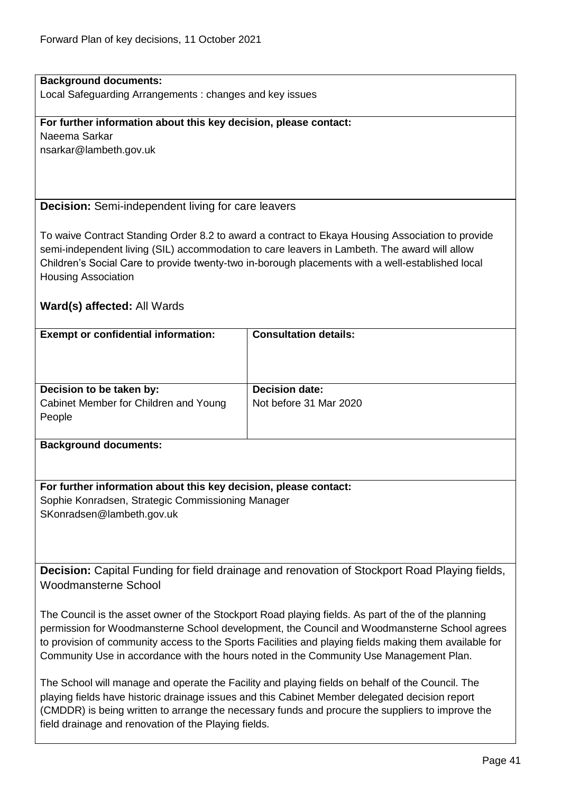# **Background documents:**

Local Safeguarding Arrangements : changes and key issues

#### **For further information about this key decision, please contact:**

Naeema Sarkar nsarkar@lambeth.gov.uk

## **Decision:** Semi-independent living for care leavers

To waive Contract Standing Order 8.2 to award a contract to Ekaya Housing Association to provide semi-independent living (SIL) accommodation to care leavers in Lambeth. The award will allow Children's Social Care to provide twenty-two in-borough placements with a well-established local Housing Association

## **Ward(s) affected:** All Wards

| <b>Exempt or confidential information:</b> | <b>Consultation details:</b> |
|--------------------------------------------|------------------------------|
| Decision to be taken by:                   | <b>Decision date:</b>        |
| Cabinet Member for Children and Young      | Not before 31 Mar 2020       |
| People                                     |                              |
|                                            |                              |

#### **Background documents:**

**For further information about this key decision, please contact:** Sophie Konradsen, Strategic Commissioning Manager SKonradsen@lambeth.gov.uk

**Decision:** Capital Funding for field drainage and renovation of Stockport Road Playing fields, Woodmansterne School

The Council is the asset owner of the Stockport Road playing fields. As part of the of the planning permission for Woodmansterne School development, the Council and Woodmansterne School agrees to provision of community access to the Sports Facilities and playing fields making them available for Community Use in accordance with the hours noted in the Community Use Management Plan.

The School will manage and operate the Facility and playing fields on behalf of the Council. The playing fields have historic drainage issues and this Cabinet Member delegated decision report (CMDDR) is being written to arrange the necessary funds and procure the suppliers to improve the field drainage and renovation of the Playing fields.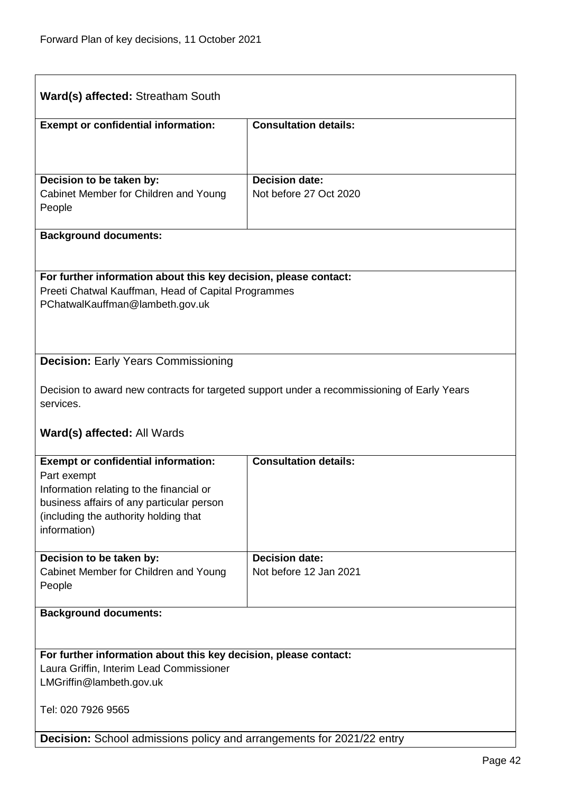| Ward(s) affected: Streatham South                                                                                                                          |                                                                                             |  |
|------------------------------------------------------------------------------------------------------------------------------------------------------------|---------------------------------------------------------------------------------------------|--|
| <b>Exempt or confidential information:</b>                                                                                                                 | <b>Consultation details:</b>                                                                |  |
|                                                                                                                                                            |                                                                                             |  |
| Decision to be taken by:<br>Cabinet Member for Children and Young                                                                                          | <b>Decision date:</b><br>Not before 27 Oct 2020                                             |  |
| People                                                                                                                                                     |                                                                                             |  |
| <b>Background documents:</b>                                                                                                                               |                                                                                             |  |
| For further information about this key decision, please contact:<br>Preeti Chatwal Kauffman, Head of Capital Programmes<br>PChatwalKauffman@lambeth.gov.uk |                                                                                             |  |
| <b>Decision: Early Years Commissioning</b>                                                                                                                 |                                                                                             |  |
| services.                                                                                                                                                  | Decision to award new contracts for targeted support under a recommissioning of Early Years |  |
| <b>Ward(s) affected: All Wards</b>                                                                                                                         |                                                                                             |  |
| <b>Exempt or confidential information:</b><br>Part exempt<br>Information relating to the financial or<br>business affairs of any particular person         | <b>Consultation details:</b>                                                                |  |
| (including the authority holding that<br>information)                                                                                                      |                                                                                             |  |
| Decision to be taken by:                                                                                                                                   | <b>Decision date:</b>                                                                       |  |
| Cabinet Member for Children and Young<br>People                                                                                                            | Not before 12 Jan 2021                                                                      |  |
| <b>Background documents:</b>                                                                                                                               |                                                                                             |  |
|                                                                                                                                                            |                                                                                             |  |
| For further information about this key decision, please contact:<br>Laura Griffin, Interim Lead Commissioner                                               |                                                                                             |  |
| LMGriffin@lambeth.gov.uk                                                                                                                                   |                                                                                             |  |
| Tel: 020 7926 9565                                                                                                                                         |                                                                                             |  |
| <b>Decision:</b> School admissions policy and arrangements for 2021/22 entry                                                                               |                                                                                             |  |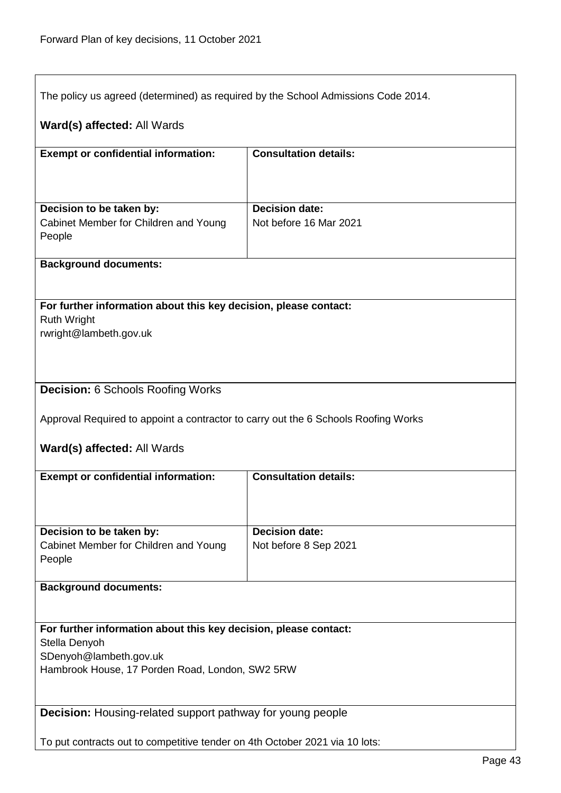| The policy us agreed (determined) as required by the School Admissions Code 2014.      |                              |
|----------------------------------------------------------------------------------------|------------------------------|
|                                                                                        |                              |
| Ward(s) affected: All Wards                                                            |                              |
| <b>Exempt or confidential information:</b>                                             | <b>Consultation details:</b> |
|                                                                                        |                              |
| Decision to be taken by:                                                               | <b>Decision date:</b>        |
| Cabinet Member for Children and Young                                                  | Not before 16 Mar 2021       |
| People                                                                                 |                              |
| <b>Background documents:</b>                                                           |                              |
|                                                                                        |                              |
| For further information about this key decision, please contact:<br><b>Ruth Wright</b> |                              |
| rwright@lambeth.gov.uk                                                                 |                              |
|                                                                                        |                              |
|                                                                                        |                              |
| <b>Decision: 6 Schools Roofing Works</b>                                               |                              |
| Approval Required to appoint a contractor to carry out the 6 Schools Roofing Works     |                              |
| Ward(s) affected: All Wards                                                            |                              |
| <b>Exempt or confidential information:</b>                                             | <b>Consultation details:</b> |
|                                                                                        |                              |
|                                                                                        |                              |
| Decision to be taken by:                                                               | <b>Decision date:</b>        |
| Cabinet Member for Children and Young<br>People                                        | Not before 8 Sep 2021        |
|                                                                                        |                              |
| <b>Background documents:</b>                                                           |                              |
| For further information about this key decision, please contact:                       |                              |
| Stella Denyoh                                                                          |                              |
| SDenyoh@lambeth.gov.uk<br>Hambrook House, 17 Porden Road, London, SW2 5RW              |                              |
|                                                                                        |                              |
| <b>Decision:</b> Housing-related support pathway for young people                      |                              |
|                                                                                        |                              |
| To put contracts out to competitive tender on 4th October 2021 via 10 lots:            |                              |

l,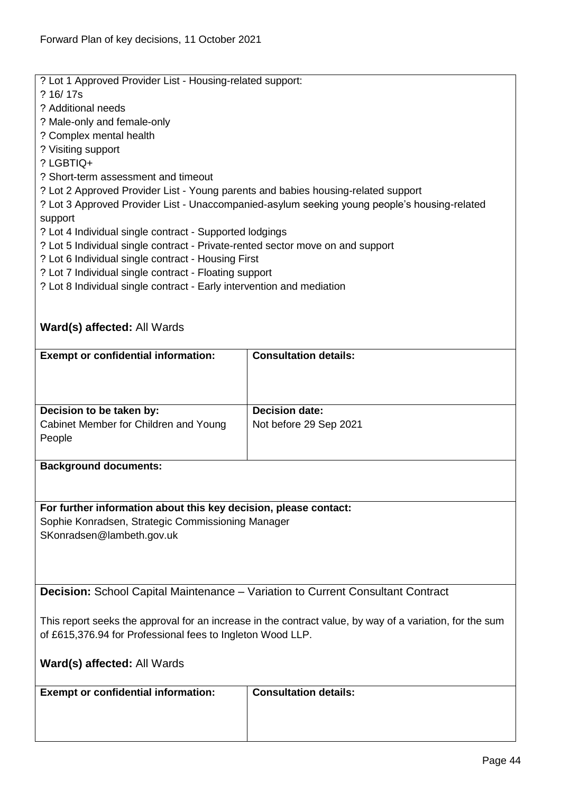? Lot 1 Approved Provider List - Housing-related support: ? 16/ 17s ? Additional needs ? Male-only and female-only ? Complex mental health ? Visiting support ? LGBTIQ+ ? Short-term assessment and timeout ? Lot 2 Approved Provider List - Young parents and babies housing-related support ? Lot 3 Approved Provider List - Unaccompanied-asylum seeking young people's housing-related support ? Lot 4 Individual single contract - Supported lodgings ? Lot 5 Individual single contract - Private-rented sector move on and support ? Lot 6 Individual single contract - Housing First ? Lot 7 Individual single contract - Floating support ? Lot 8 Individual single contract - Early intervention and mediation **Ward(s) affected:** All Wards **Exempt or confidential information: Consultation details: Decision to be taken by:** Cabinet Member for Children and Young People **Decision date:** Not before 29 Sep 2021 **Background documents:**

**For further information about this key decision, please contact:** Sophie Konradsen, Strategic Commissioning Manager SKonradsen@lambeth.gov.uk

**Decision:** School Capital Maintenance – Variation to Current Consultant Contract

This report seeks the approval for an increase in the contract value, by way of a variation, for the sum of £615,376.94 for Professional fees to Ingleton Wood LLP.

**Ward(s) affected:** All Wards

| <b>Exempt or confidential information:</b> | <b>Consultation details:</b> |
|--------------------------------------------|------------------------------|
|                                            |                              |
|                                            |                              |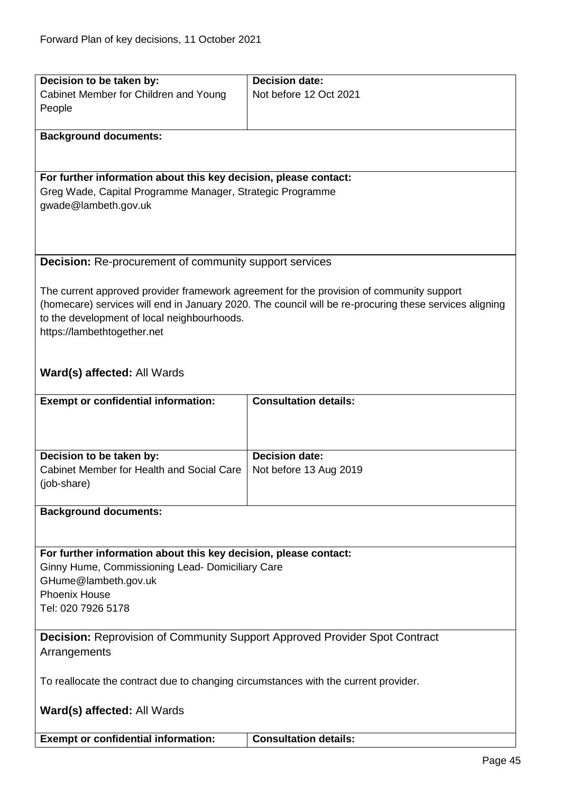| Decision to be taken by:                                                            | <b>Decision date:</b>                                                                                  |
|-------------------------------------------------------------------------------------|--------------------------------------------------------------------------------------------------------|
| Cabinet Member for Children and Young                                               | Not before 12 Oct 2021                                                                                 |
| People                                                                              |                                                                                                        |
|                                                                                     |                                                                                                        |
| <b>Background documents:</b>                                                        |                                                                                                        |
|                                                                                     |                                                                                                        |
|                                                                                     |                                                                                                        |
| For further information about this key decision, please contact:                    |                                                                                                        |
| Greg Wade, Capital Programme Manager, Strategic Programme                           |                                                                                                        |
| gwade@lambeth.gov.uk                                                                |                                                                                                        |
|                                                                                     |                                                                                                        |
|                                                                                     |                                                                                                        |
|                                                                                     |                                                                                                        |
| <b>Decision:</b> Re-procurement of community support services                       |                                                                                                        |
|                                                                                     |                                                                                                        |
|                                                                                     | The current approved provider framework agreement for the provision of community support               |
|                                                                                     | (homecare) services will end in January 2020. The council will be re-procuring these services aligning |
| to the development of local neighbourhoods.                                         |                                                                                                        |
| https://lambethtogether.net                                                         |                                                                                                        |
|                                                                                     |                                                                                                        |
|                                                                                     |                                                                                                        |
| Ward(s) affected: All Wards                                                         |                                                                                                        |
|                                                                                     |                                                                                                        |
| <b>Exempt or confidential information:</b>                                          | <b>Consultation details:</b>                                                                           |
|                                                                                     |                                                                                                        |
|                                                                                     |                                                                                                        |
|                                                                                     |                                                                                                        |
| Decision to be taken by:                                                            | <b>Decision date:</b>                                                                                  |
| Cabinet Member for Health and Social Care                                           | Not before 13 Aug 2019                                                                                 |
| (job-share)                                                                         |                                                                                                        |
|                                                                                     |                                                                                                        |
| <b>Background documents:</b>                                                        |                                                                                                        |
|                                                                                     |                                                                                                        |
|                                                                                     |                                                                                                        |
| For further information about this key decision, please contact:                    |                                                                                                        |
| Ginny Hume, Commissioning Lead- Domiciliary Care                                    |                                                                                                        |
| GHume@lambeth.gov.uk                                                                |                                                                                                        |
| <b>Phoenix House</b>                                                                |                                                                                                        |
| Tel: 020 7926 5178                                                                  |                                                                                                        |
|                                                                                     |                                                                                                        |
| <b>Decision:</b> Reprovision of Community Support Approved Provider Spot Contract   |                                                                                                        |
| Arrangements                                                                        |                                                                                                        |
|                                                                                     |                                                                                                        |
| To reallocate the contract due to changing circumstances with the current provider. |                                                                                                        |
|                                                                                     |                                                                                                        |
|                                                                                     |                                                                                                        |
| Ward(s) affected: All Wards                                                         |                                                                                                        |
|                                                                                     | <b>Consultation details:</b>                                                                           |
| <b>Exempt or confidential information:</b>                                          |                                                                                                        |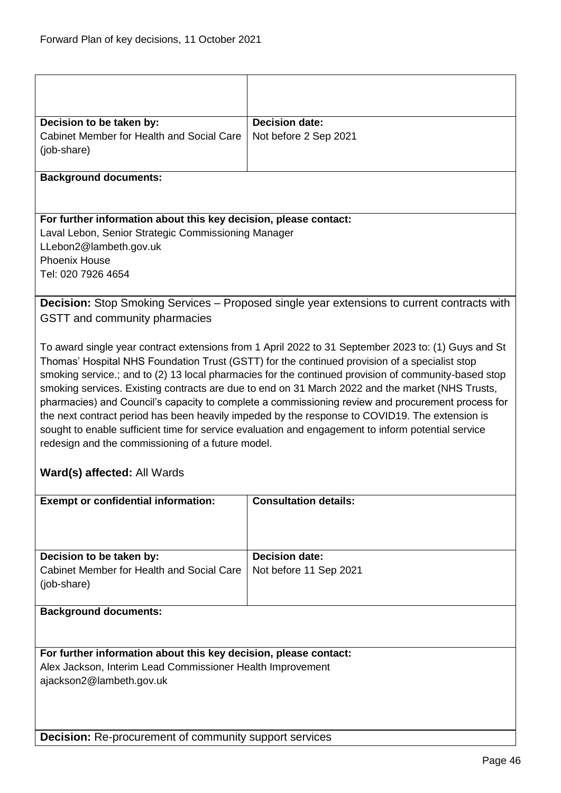| Decision to be taken by:<br><b>Cabinet Member for Health and Social Care</b><br>(job-share)                                                                                                                                                                                                                                                                                                                                                                                                                                                                                                                                                                                                                                                                                                                              | <b>Decision date:</b><br>Not before 2 Sep 2021  |  |
|--------------------------------------------------------------------------------------------------------------------------------------------------------------------------------------------------------------------------------------------------------------------------------------------------------------------------------------------------------------------------------------------------------------------------------------------------------------------------------------------------------------------------------------------------------------------------------------------------------------------------------------------------------------------------------------------------------------------------------------------------------------------------------------------------------------------------|-------------------------------------------------|--|
| <b>Background documents:</b>                                                                                                                                                                                                                                                                                                                                                                                                                                                                                                                                                                                                                                                                                                                                                                                             |                                                 |  |
| For further information about this key decision, please contact:<br>Laval Lebon, Senior Strategic Commissioning Manager<br>LLebon2@lambeth.gov.uk<br><b>Phoenix House</b><br>Tel: 020 7926 4654                                                                                                                                                                                                                                                                                                                                                                                                                                                                                                                                                                                                                          |                                                 |  |
| <b>Decision:</b> Stop Smoking Services – Proposed single year extensions to current contracts with<br>GSTT and community pharmacies                                                                                                                                                                                                                                                                                                                                                                                                                                                                                                                                                                                                                                                                                      |                                                 |  |
| To award single year contract extensions from 1 April 2022 to 31 September 2023 to: (1) Guys and St<br>Thomas' Hospital NHS Foundation Trust (GSTT) for the continued provision of a specialist stop<br>smoking service.; and to (2) 13 local pharmacies for the continued provision of community-based stop<br>smoking services. Existing contracts are due to end on 31 March 2022 and the market (NHS Trusts,<br>pharmacies) and Council's capacity to complete a commissioning review and procurement process for<br>the next contract period has been heavily impeded by the response to COVID19. The extension is<br>sought to enable sufficient time for service evaluation and engagement to inform potential service<br>redesign and the commissioning of a future model.<br><b>Ward(s) affected: All Wards</b> |                                                 |  |
| <b>Exempt or confidential information:</b>                                                                                                                                                                                                                                                                                                                                                                                                                                                                                                                                                                                                                                                                                                                                                                               | <b>Consultation details:</b>                    |  |
| Decision to be taken by:<br>Cabinet Member for Health and Social Care<br>(job-share)                                                                                                                                                                                                                                                                                                                                                                                                                                                                                                                                                                                                                                                                                                                                     | <b>Decision date:</b><br>Not before 11 Sep 2021 |  |
| <b>Background documents:</b>                                                                                                                                                                                                                                                                                                                                                                                                                                                                                                                                                                                                                                                                                                                                                                                             |                                                 |  |
| For further information about this key decision, please contact:<br>Alex Jackson, Interim Lead Commissioner Health Improvement<br>ajackson2@lambeth.gov.uk                                                                                                                                                                                                                                                                                                                                                                                                                                                                                                                                                                                                                                                               |                                                 |  |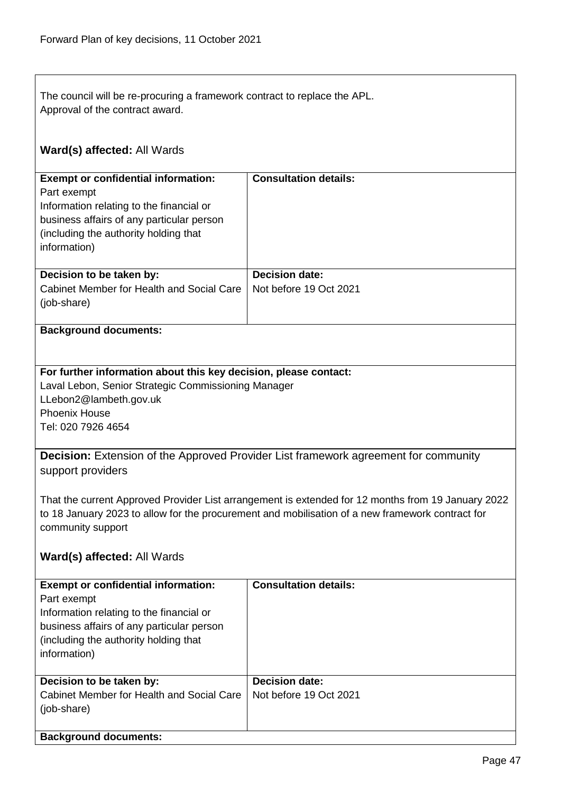| The council will be re-procuring a framework contract to replace the APL.<br>Approval of the contract award.                                                                                                                |                                                 |  |
|-----------------------------------------------------------------------------------------------------------------------------------------------------------------------------------------------------------------------------|-------------------------------------------------|--|
| <b>Ward(s) affected: All Wards</b>                                                                                                                                                                                          |                                                 |  |
| <b>Exempt or confidential information:</b><br>Part exempt<br>Information relating to the financial or<br>business affairs of any particular person<br>(including the authority holding that<br>information)                 | <b>Consultation details:</b>                    |  |
| Decision to be taken by:<br>Cabinet Member for Health and Social Care<br>(job-share)                                                                                                                                        | <b>Decision date:</b><br>Not before 19 Oct 2021 |  |
| <b>Background documents:</b>                                                                                                                                                                                                |                                                 |  |
| For further information about this key decision, please contact:<br>Laval Lebon, Senior Strategic Commissioning Manager<br>LLebon2@lambeth.gov.uk<br><b>Phoenix House</b><br>Tel: 020 7926 4654                             |                                                 |  |
| <b>Decision:</b> Extension of the Approved Provider List framework agreement for community<br>support providers                                                                                                             |                                                 |  |
| That the current Approved Provider List arrangement is extended for 12 months from 19 January 2022<br>to 18 January 2023 to allow for the procurement and mobilisation of a new framework contract for<br>community support |                                                 |  |
| Ward(s) affected: All Wards                                                                                                                                                                                                 |                                                 |  |
| <b>Exempt or confidential information:</b><br>Part exempt<br>Information relating to the financial or<br>business affairs of any particular person<br>(including the authority holding that<br>information)                 | <b>Consultation details:</b>                    |  |
| Decision to be taken by:<br>Cabinet Member for Health and Social Care<br>(job-share)                                                                                                                                        | <b>Decision date:</b><br>Not before 19 Oct 2021 |  |
| <b>Background documents:</b>                                                                                                                                                                                                |                                                 |  |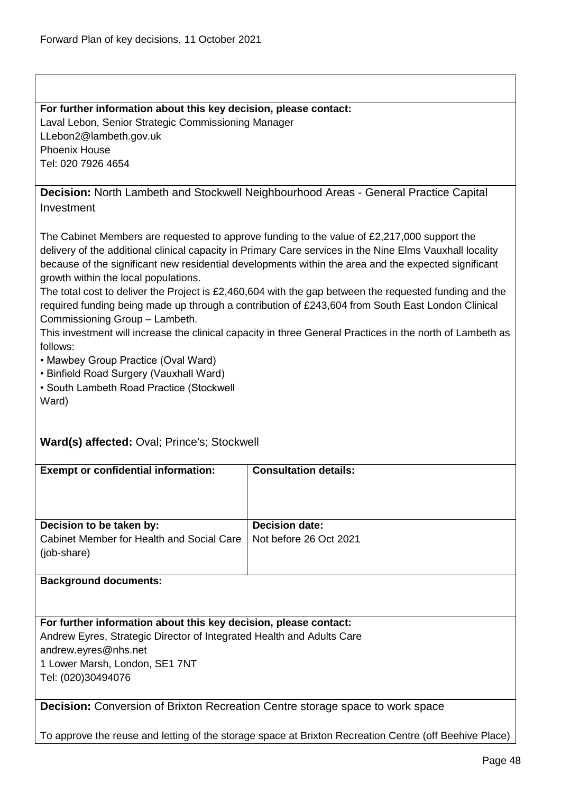$\mathsf I$ 

1 Lower Marsh, London, SE1 7NT

Tel: (020)30494076

| For further information about this key decision, please contact:                                                                                                                                                                                                                                                                                                                                                                                                                                                                                                                                                                                                                                                                                                                                                                                                         |                              |  |
|--------------------------------------------------------------------------------------------------------------------------------------------------------------------------------------------------------------------------------------------------------------------------------------------------------------------------------------------------------------------------------------------------------------------------------------------------------------------------------------------------------------------------------------------------------------------------------------------------------------------------------------------------------------------------------------------------------------------------------------------------------------------------------------------------------------------------------------------------------------------------|------------------------------|--|
| Laval Lebon, Senior Strategic Commissioning Manager                                                                                                                                                                                                                                                                                                                                                                                                                                                                                                                                                                                                                                                                                                                                                                                                                      |                              |  |
| LLebon2@lambeth.gov.uk                                                                                                                                                                                                                                                                                                                                                                                                                                                                                                                                                                                                                                                                                                                                                                                                                                                   |                              |  |
| <b>Phoenix House</b>                                                                                                                                                                                                                                                                                                                                                                                                                                                                                                                                                                                                                                                                                                                                                                                                                                                     |                              |  |
| Tel: 020 7926 4654                                                                                                                                                                                                                                                                                                                                                                                                                                                                                                                                                                                                                                                                                                                                                                                                                                                       |                              |  |
|                                                                                                                                                                                                                                                                                                                                                                                                                                                                                                                                                                                                                                                                                                                                                                                                                                                                          |                              |  |
| <b>Decision:</b> North Lambeth and Stockwell Neighbourhood Areas - General Practice Capital                                                                                                                                                                                                                                                                                                                                                                                                                                                                                                                                                                                                                                                                                                                                                                              |                              |  |
| Investment                                                                                                                                                                                                                                                                                                                                                                                                                                                                                                                                                                                                                                                                                                                                                                                                                                                               |                              |  |
| The Cabinet Members are requested to approve funding to the value of £2,217,000 support the<br>delivery of the additional clinical capacity in Primary Care services in the Nine Elms Vauxhall locality<br>because of the significant new residential developments within the area and the expected significant<br>growth within the local populations.<br>The total cost to deliver the Project is £2,460,604 with the gap between the requested funding and the<br>required funding being made up through a contribution of £243,604 from South East London Clinical<br>Commissioning Group - Lambeth.<br>This investment will increase the clinical capacity in three General Practices in the north of Lambeth as<br>follows:<br>• Mawbey Group Practice (Oval Ward)<br>• Binfield Road Surgery (Vauxhall Ward)<br>• South Lambeth Road Practice (Stockwell<br>Ward) |                              |  |
| Ward(s) affected: Oval; Prince's; Stockwell                                                                                                                                                                                                                                                                                                                                                                                                                                                                                                                                                                                                                                                                                                                                                                                                                              |                              |  |
| <b>Exempt or confidential information:</b>                                                                                                                                                                                                                                                                                                                                                                                                                                                                                                                                                                                                                                                                                                                                                                                                                               | <b>Consultation details:</b> |  |
|                                                                                                                                                                                                                                                                                                                                                                                                                                                                                                                                                                                                                                                                                                                                                                                                                                                                          |                              |  |
| Decision to be taken by:                                                                                                                                                                                                                                                                                                                                                                                                                                                                                                                                                                                                                                                                                                                                                                                                                                                 | <b>Decision date:</b>        |  |
| Cabinet Member for Health and Social Care<br>(job-share)                                                                                                                                                                                                                                                                                                                                                                                                                                                                                                                                                                                                                                                                                                                                                                                                                 | Not before 26 Oct 2021       |  |
| <b>Background documents:</b>                                                                                                                                                                                                                                                                                                                                                                                                                                                                                                                                                                                                                                                                                                                                                                                                                                             |                              |  |
|                                                                                                                                                                                                                                                                                                                                                                                                                                                                                                                                                                                                                                                                                                                                                                                                                                                                          |                              |  |
|                                                                                                                                                                                                                                                                                                                                                                                                                                                                                                                                                                                                                                                                                                                                                                                                                                                                          |                              |  |
| For further information about this key decision, please contact:                                                                                                                                                                                                                                                                                                                                                                                                                                                                                                                                                                                                                                                                                                                                                                                                         |                              |  |
| Andrew Eyres, Strategic Director of Integrated Health and Adults Care                                                                                                                                                                                                                                                                                                                                                                                                                                                                                                                                                                                                                                                                                                                                                                                                    |                              |  |
| andrew.eyres@nhs.net                                                                                                                                                                                                                                                                                                                                                                                                                                                                                                                                                                                                                                                                                                                                                                                                                                                     |                              |  |

**Decision:** Conversion of Brixton Recreation Centre storage space to work space

To approve the reuse and letting of the storage space at Brixton Recreation Centre (off Beehive Place)

Page 48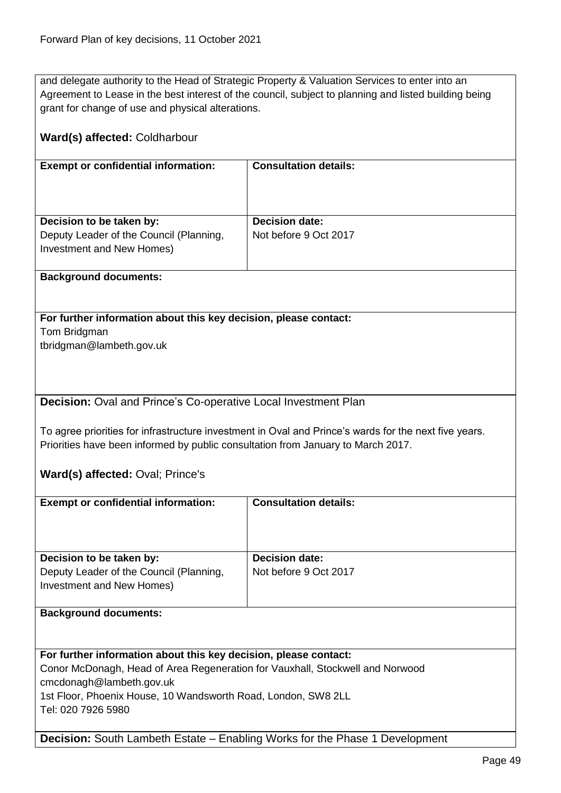and delegate authority to the Head of Strategic Property & Valuation Services to enter into an Agreement to Lease in the best interest of the council, subject to planning and listed building being grant for change of use and physical alterations.

| Ward(s) affected: Coldharbour                                                                                                                                                                                                 |                              |  |
|-------------------------------------------------------------------------------------------------------------------------------------------------------------------------------------------------------------------------------|------------------------------|--|
| <b>Exempt or confidential information:</b>                                                                                                                                                                                    | <b>Consultation details:</b> |  |
| Decision to be taken by:                                                                                                                                                                                                      | <b>Decision date:</b>        |  |
| Deputy Leader of the Council (Planning,<br>Investment and New Homes)                                                                                                                                                          | Not before 9 Oct 2017        |  |
| <b>Background documents:</b>                                                                                                                                                                                                  |                              |  |
| For further information about this key decision, please contact:                                                                                                                                                              |                              |  |
| Tom Bridgman                                                                                                                                                                                                                  |                              |  |
| tbridgman@lambeth.gov.uk                                                                                                                                                                                                      |                              |  |
| <b>Decision:</b> Oval and Prince's Co-operative Local Investment Plan                                                                                                                                                         |                              |  |
| To agree priorities for infrastructure investment in Oval and Prince's wards for the next five years.<br>Priorities have been informed by public consultation from January to March 2017.<br>Ward(s) affected: Oval; Prince's |                              |  |
| <b>Exempt or confidential information:</b>                                                                                                                                                                                    | <b>Consultation details:</b> |  |
|                                                                                                                                                                                                                               |                              |  |
| Decision to be taken by:                                                                                                                                                                                                      | <b>Decision date:</b>        |  |
| Deputy Leader of the Council (Planning,<br>Investment and New Homes)                                                                                                                                                          | Not before 9 Oct 2017        |  |
| <b>Background documents:</b>                                                                                                                                                                                                  |                              |  |
|                                                                                                                                                                                                                               |                              |  |
| For further information about this key decision, please contact:                                                                                                                                                              |                              |  |
| Conor McDonagh, Head of Area Regeneration for Vauxhall, Stockwell and Norwood                                                                                                                                                 |                              |  |
| cmcdonagh@lambeth.gov.uk                                                                                                                                                                                                      |                              |  |
| 1st Floor, Phoenix House, 10 Wandsworth Road, London, SW8 2LL<br>Tel: 020 7926 5980                                                                                                                                           |                              |  |
| <b>Decision:</b> South Lambeth Estate – Enabling Works for the Phase 1 Development                                                                                                                                            |                              |  |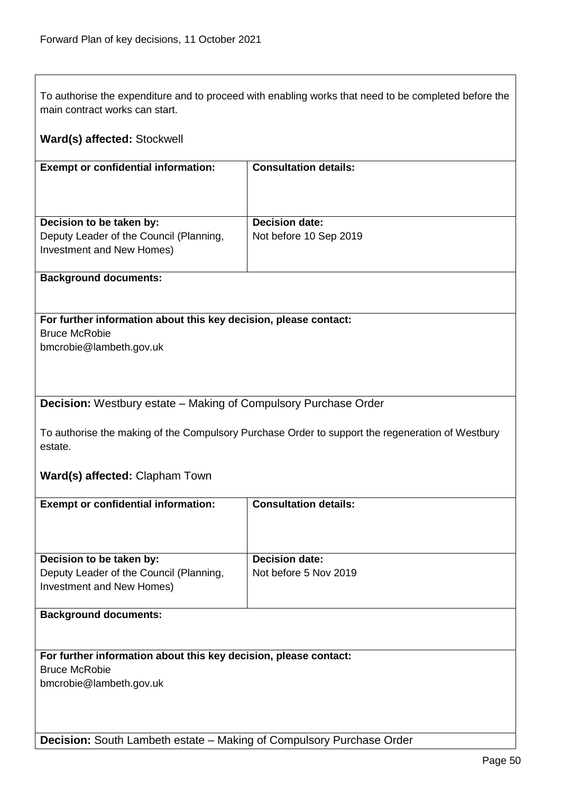| main contract works can start.                                                                   | To authorise the expenditure and to proceed with enabling works that need to be completed before the |  |
|--------------------------------------------------------------------------------------------------|------------------------------------------------------------------------------------------------------|--|
|                                                                                                  |                                                                                                      |  |
| Ward(s) affected: Stockwell                                                                      |                                                                                                      |  |
| <b>Exempt or confidential information:</b>                                                       | <b>Consultation details:</b>                                                                         |  |
|                                                                                                  |                                                                                                      |  |
|                                                                                                  |                                                                                                      |  |
|                                                                                                  |                                                                                                      |  |
| Decision to be taken by:                                                                         | <b>Decision date:</b>                                                                                |  |
| Deputy Leader of the Council (Planning,                                                          | Not before 10 Sep 2019                                                                               |  |
| Investment and New Homes)                                                                        |                                                                                                      |  |
|                                                                                                  |                                                                                                      |  |
| <b>Background documents:</b>                                                                     |                                                                                                      |  |
|                                                                                                  |                                                                                                      |  |
|                                                                                                  |                                                                                                      |  |
| For further information about this key decision, please contact:                                 |                                                                                                      |  |
| <b>Bruce McRobie</b>                                                                             |                                                                                                      |  |
| bmcrobie@lambeth.gov.uk                                                                          |                                                                                                      |  |
|                                                                                                  |                                                                                                      |  |
|                                                                                                  |                                                                                                      |  |
|                                                                                                  |                                                                                                      |  |
| <b>Decision:</b> Westbury estate – Making of Compulsory Purchase Order                           |                                                                                                      |  |
|                                                                                                  |                                                                                                      |  |
| To authorise the making of the Compulsory Purchase Order to support the regeneration of Westbury |                                                                                                      |  |
| estate.                                                                                          |                                                                                                      |  |
|                                                                                                  |                                                                                                      |  |
| Ward(s) affected: Clapham Town                                                                   |                                                                                                      |  |
| <b>Exempt or confidential information:</b>                                                       | <b>Consultation details:</b>                                                                         |  |
|                                                                                                  |                                                                                                      |  |
|                                                                                                  |                                                                                                      |  |
|                                                                                                  |                                                                                                      |  |
| Decision to be taken by:                                                                         | <b>Decision date:</b>                                                                                |  |
| Deputy Leader of the Council (Planning,                                                          | Not before 5 Nov 2019                                                                                |  |
| Investment and New Homes)                                                                        |                                                                                                      |  |
|                                                                                                  |                                                                                                      |  |
| <b>Background documents:</b>                                                                     |                                                                                                      |  |
|                                                                                                  |                                                                                                      |  |
|                                                                                                  |                                                                                                      |  |
| For further information about this key decision, please contact:                                 |                                                                                                      |  |
| <b>Bruce McRobie</b>                                                                             |                                                                                                      |  |
| bmcrobie@lambeth.gov.uk                                                                          |                                                                                                      |  |
|                                                                                                  |                                                                                                      |  |
|                                                                                                  |                                                                                                      |  |
|                                                                                                  |                                                                                                      |  |
| Decision: South Lambeth estate - Making of Compulsory Purchase Order                             |                                                                                                      |  |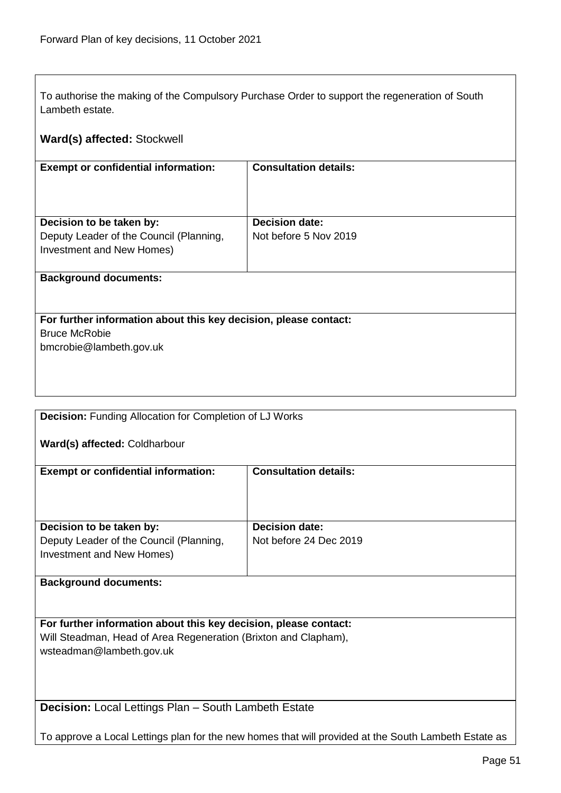$\overline{1}$ 

| To authorise the making of the Compulsory Purchase Order to support the regeneration of South<br>Lambeth estate.                    |                                                                                                      |
|-------------------------------------------------------------------------------------------------------------------------------------|------------------------------------------------------------------------------------------------------|
| Ward(s) affected: Stockwell                                                                                                         |                                                                                                      |
| <b>Exempt or confidential information:</b>                                                                                          | <b>Consultation details:</b>                                                                         |
|                                                                                                                                     |                                                                                                      |
| Decision to be taken by:                                                                                                            | <b>Decision date:</b>                                                                                |
| Deputy Leader of the Council (Planning,<br>Investment and New Homes)                                                                | Not before 5 Nov 2019                                                                                |
| <b>Background documents:</b>                                                                                                        |                                                                                                      |
| For further information about this key decision, please contact:                                                                    |                                                                                                      |
| <b>Bruce McRobie</b>                                                                                                                |                                                                                                      |
| bmcrobie@lambeth.gov.uk                                                                                                             |                                                                                                      |
|                                                                                                                                     |                                                                                                      |
| <b>Decision:</b> Funding Allocation for Completion of LJ Works                                                                      |                                                                                                      |
| Ward(s) affected: Coldharbour                                                                                                       |                                                                                                      |
|                                                                                                                                     |                                                                                                      |
| <b>Exempt or confidential information:</b>                                                                                          | <b>Consultation details:</b>                                                                         |
|                                                                                                                                     |                                                                                                      |
| Decision to be taken by:                                                                                                            | <b>Decision date:</b>                                                                                |
| Deputy Leader of the Council (Planning,<br><b>Investment and New Homes)</b>                                                         | Not before 24 Dec 2019                                                                               |
| <b>Background documents:</b>                                                                                                        |                                                                                                      |
|                                                                                                                                     |                                                                                                      |
| For further information about this key decision, please contact:<br>Will Steadman, Head of Area Regeneration (Brixton and Clapham), |                                                                                                      |
| wsteadman@lambeth.gov.uk                                                                                                            |                                                                                                      |
|                                                                                                                                     |                                                                                                      |
| <b>Decision:</b> Local Lettings Plan - South Lambeth Estate                                                                         |                                                                                                      |
|                                                                                                                                     | To approve a Local Lettings plan for the new homes that will provided at the South Lambeth Estate as |

┑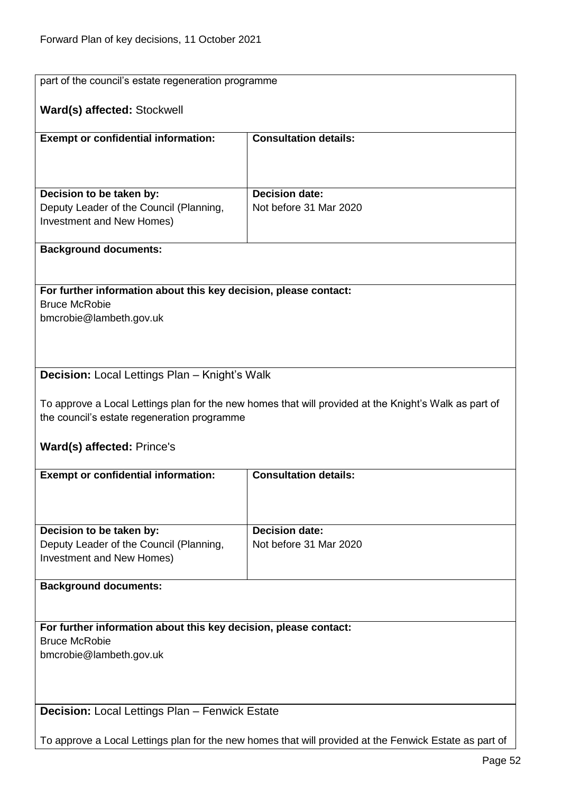| part of the council's estate regeneration programme                                                    |                                                                                                       |  |
|--------------------------------------------------------------------------------------------------------|-------------------------------------------------------------------------------------------------------|--|
| Ward(s) affected: Stockwell                                                                            |                                                                                                       |  |
|                                                                                                        |                                                                                                       |  |
| <b>Exempt or confidential information:</b>                                                             | <b>Consultation details:</b>                                                                          |  |
|                                                                                                        |                                                                                                       |  |
|                                                                                                        |                                                                                                       |  |
| Decision to be taken by:                                                                               | <b>Decision date:</b>                                                                                 |  |
| Deputy Leader of the Council (Planning,                                                                | Not before 31 Mar 2020                                                                                |  |
| Investment and New Homes)                                                                              |                                                                                                       |  |
| <b>Background documents:</b>                                                                           |                                                                                                       |  |
|                                                                                                        |                                                                                                       |  |
| For further information about this key decision, please contact:                                       |                                                                                                       |  |
| <b>Bruce McRobie</b>                                                                                   |                                                                                                       |  |
| bmcrobie@lambeth.gov.uk                                                                                |                                                                                                       |  |
|                                                                                                        |                                                                                                       |  |
|                                                                                                        |                                                                                                       |  |
| <b>Decision:</b> Local Lettings Plan – Knight's Walk                                                   |                                                                                                       |  |
|                                                                                                        |                                                                                                       |  |
| the council's estate regeneration programme                                                            | To approve a Local Lettings plan for the new homes that will provided at the Knight's Walk as part of |  |
|                                                                                                        |                                                                                                       |  |
| <b>Ward(s) affected: Prince's</b>                                                                      |                                                                                                       |  |
| <b>Consultation details:</b><br><b>Exempt or confidential information:</b>                             |                                                                                                       |  |
|                                                                                                        |                                                                                                       |  |
|                                                                                                        |                                                                                                       |  |
| Decision to be taken by:                                                                               | <b>Decision date:</b>                                                                                 |  |
| Deputy Leader of the Council (Planning,                                                                | Not before 31 Mar 2020                                                                                |  |
| Investment and New Homes)                                                                              |                                                                                                       |  |
| <b>Background documents:</b>                                                                           |                                                                                                       |  |
|                                                                                                        |                                                                                                       |  |
|                                                                                                        |                                                                                                       |  |
| For further information about this key decision, please contact:<br><b>Bruce McRobie</b>               |                                                                                                       |  |
| bmcrobie@lambeth.gov.uk                                                                                |                                                                                                       |  |
|                                                                                                        |                                                                                                       |  |
|                                                                                                        |                                                                                                       |  |
| <b>Decision:</b> Local Lettings Plan - Fenwick Estate                                                  |                                                                                                       |  |
| To approve a Local Lettings plan for the new homes that will provided at the Fenwick Estate as part of |                                                                                                       |  |
|                                                                                                        |                                                                                                       |  |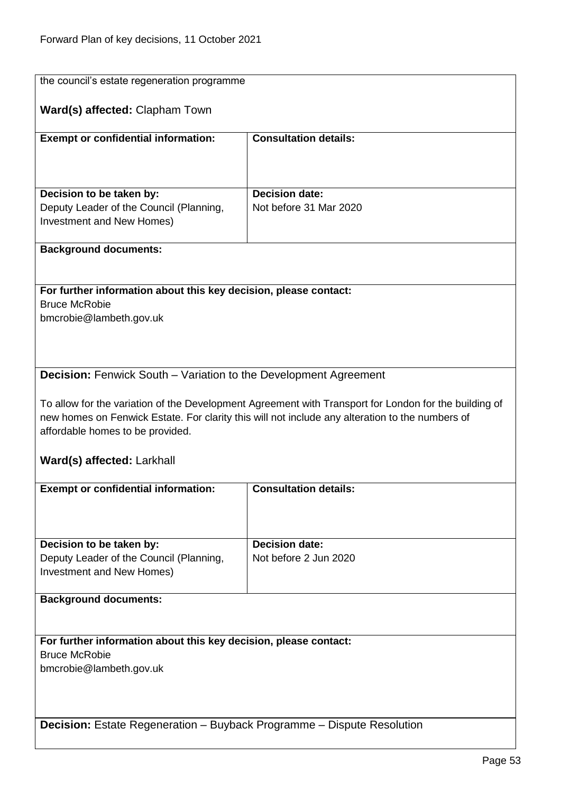| the council's estate regeneration programme                                   |                                                                                                       |
|-------------------------------------------------------------------------------|-------------------------------------------------------------------------------------------------------|
|                                                                               |                                                                                                       |
| Ward(s) affected: Clapham Town                                                |                                                                                                       |
| <b>Exempt or confidential information:</b>                                    | <b>Consultation details:</b>                                                                          |
|                                                                               |                                                                                                       |
|                                                                               |                                                                                                       |
|                                                                               |                                                                                                       |
| Decision to be taken by:                                                      | <b>Decision date:</b>                                                                                 |
| Deputy Leader of the Council (Planning,                                       | Not before 31 Mar 2020                                                                                |
| Investment and New Homes)                                                     |                                                                                                       |
| <b>Background documents:</b>                                                  |                                                                                                       |
|                                                                               |                                                                                                       |
|                                                                               |                                                                                                       |
| For further information about this key decision, please contact:              |                                                                                                       |
| <b>Bruce McRobie</b><br>bmcrobie@lambeth.gov.uk                               |                                                                                                       |
|                                                                               |                                                                                                       |
|                                                                               |                                                                                                       |
|                                                                               |                                                                                                       |
| <b>Decision:</b> Fenwick South – Variation to the Development Agreement       |                                                                                                       |
|                                                                               |                                                                                                       |
|                                                                               | To allow for the variation of the Development Agreement with Transport for London for the building of |
| affordable homes to be provided.                                              | new homes on Fenwick Estate. For clarity this will not include any alteration to the numbers of       |
|                                                                               |                                                                                                       |
| Ward(s) affected: Larkhall                                                    |                                                                                                       |
|                                                                               |                                                                                                       |
| <b>Exempt or confidential information:</b>                                    | <b>Consultation details:</b>                                                                          |
|                                                                               |                                                                                                       |
|                                                                               |                                                                                                       |
| Decision to be taken by:                                                      | Decision date:                                                                                        |
| Deputy Leader of the Council (Planning,                                       | Not before 2 Jun 2020                                                                                 |
| <b>Investment and New Homes)</b>                                              |                                                                                                       |
|                                                                               |                                                                                                       |
| <b>Background documents:</b>                                                  |                                                                                                       |
|                                                                               |                                                                                                       |
| For further information about this key decision, please contact:              |                                                                                                       |
| <b>Bruce McRobie</b>                                                          |                                                                                                       |
| bmcrobie@lambeth.gov.uk                                                       |                                                                                                       |
|                                                                               |                                                                                                       |
|                                                                               |                                                                                                       |
| <b>Decision:</b> Estate Regeneration – Buyback Programme – Dispute Resolution |                                                                                                       |
|                                                                               |                                                                                                       |
|                                                                               |                                                                                                       |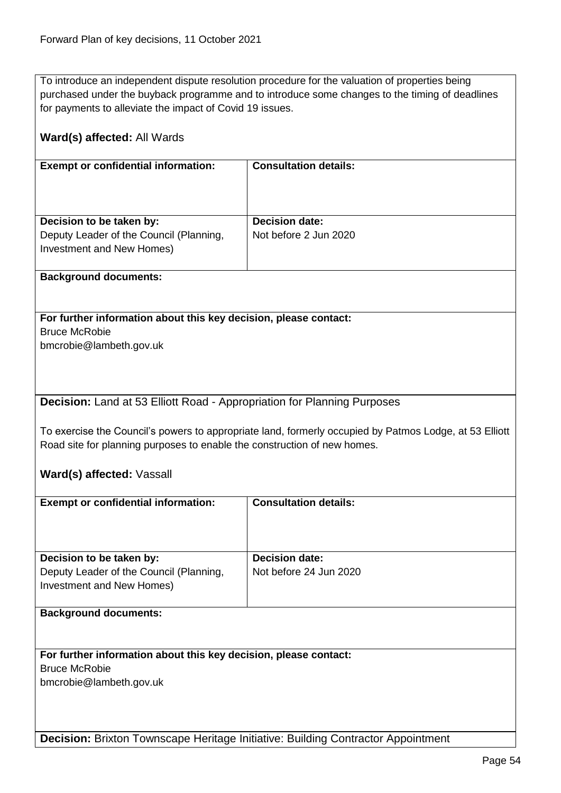To introduce an independent dispute resolution procedure for the valuation of properties being purchased under the buyback programme and to introduce some changes to the timing of deadlines for payments to alleviate the impact of Covid 19 issues.

| Ward(s) affected: All Wards                                                      |                                                                                                        |
|----------------------------------------------------------------------------------|--------------------------------------------------------------------------------------------------------|
| <b>Exempt or confidential information:</b>                                       | <b>Consultation details:</b>                                                                           |
| Decision to be taken by:                                                         | <b>Decision date:</b>                                                                                  |
| Deputy Leader of the Council (Planning,                                          | Not before 2 Jun 2020                                                                                  |
| Investment and New Homes)                                                        |                                                                                                        |
| <b>Background documents:</b>                                                     |                                                                                                        |
|                                                                                  |                                                                                                        |
| For further information about this key decision, please contact:                 |                                                                                                        |
| <b>Bruce McRobie</b>                                                             |                                                                                                        |
| bmcrobie@lambeth.gov.uk                                                          |                                                                                                        |
|                                                                                  |                                                                                                        |
|                                                                                  |                                                                                                        |
|                                                                                  |                                                                                                        |
| <b>Decision:</b> Land at 53 Elliott Road - Appropriation for Planning Purposes   |                                                                                                        |
|                                                                                  |                                                                                                        |
|                                                                                  | To exercise the Council's powers to appropriate land, formerly occupied by Patmos Lodge, at 53 Elliott |
| Road site for planning purposes to enable the construction of new homes.         |                                                                                                        |
| Ward(s) affected: Vassall                                                        |                                                                                                        |
|                                                                                  |                                                                                                        |
| <b>Exempt or confidential information:</b>                                       | <b>Consultation details:</b>                                                                           |
|                                                                                  |                                                                                                        |
|                                                                                  |                                                                                                        |
|                                                                                  |                                                                                                        |
| Decision to be taken by:                                                         | <b>Decision date:</b>                                                                                  |
| Deputy Leader of the Council (Planning,                                          | Not before 24 Jun 2020                                                                                 |
| Investment and New Homes)                                                        |                                                                                                        |
| <b>Background documents:</b>                                                     |                                                                                                        |
|                                                                                  |                                                                                                        |
|                                                                                  |                                                                                                        |
| For further information about this key decision, please contact:                 |                                                                                                        |
| <b>Bruce McRobie</b>                                                             |                                                                                                        |
| bmcrobie@lambeth.gov.uk                                                          |                                                                                                        |
|                                                                                  |                                                                                                        |
|                                                                                  |                                                                                                        |
| Decision: Brixton Townscape Heritage Initiative: Building Contractor Appointment |                                                                                                        |
|                                                                                  |                                                                                                        |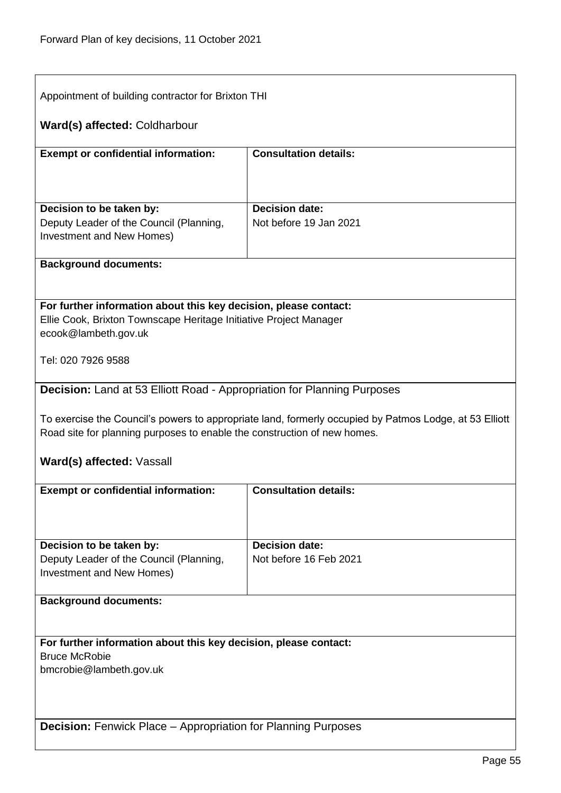$\overline{1}$ 

| Appointment of building contractor for Brixton THI                                                                                                                                 |                                                 |  |
|------------------------------------------------------------------------------------------------------------------------------------------------------------------------------------|-------------------------------------------------|--|
| Ward(s) affected: Coldharbour                                                                                                                                                      |                                                 |  |
| <b>Exempt or confidential information:</b>                                                                                                                                         | <b>Consultation details:</b>                    |  |
|                                                                                                                                                                                    |                                                 |  |
| Decision to be taken by:<br>Deputy Leader of the Council (Planning,<br>Investment and New Homes)                                                                                   | <b>Decision date:</b><br>Not before 19 Jan 2021 |  |
| <b>Background documents:</b>                                                                                                                                                       |                                                 |  |
|                                                                                                                                                                                    |                                                 |  |
| For further information about this key decision, please contact:<br>Ellie Cook, Brixton Townscape Heritage Initiative Project Manager<br>ecook@lambeth.gov.uk                      |                                                 |  |
| Tel: 020 7926 9588                                                                                                                                                                 |                                                 |  |
| Decision: Land at 53 Elliott Road - Appropriation for Planning Purposes                                                                                                            |                                                 |  |
| To exercise the Council's powers to appropriate land, formerly occupied by Patmos Lodge, at 53 Elliott<br>Road site for planning purposes to enable the construction of new homes. |                                                 |  |
| Ward(s) affected: Vassall                                                                                                                                                          |                                                 |  |
| <b>Exempt or confidential information:</b>                                                                                                                                         | <b>Consultation details:</b>                    |  |
|                                                                                                                                                                                    |                                                 |  |
| Decision to be taken by:                                                                                                                                                           | <b>Decision date:</b>                           |  |
| Deputy Leader of the Council (Planning,<br>Investment and New Homes)                                                                                                               | Not before 16 Feb 2021                          |  |
| <b>Background documents:</b>                                                                                                                                                       |                                                 |  |
|                                                                                                                                                                                    |                                                 |  |
| For further information about this key decision, please contact:                                                                                                                   |                                                 |  |
| <b>Bruce McRobie</b>                                                                                                                                                               |                                                 |  |
| bmcrobie@lambeth.gov.uk                                                                                                                                                            |                                                 |  |
|                                                                                                                                                                                    |                                                 |  |
| <b>Decision:</b> Fenwick Place – Appropriation for Planning Purposes                                                                                                               |                                                 |  |

٦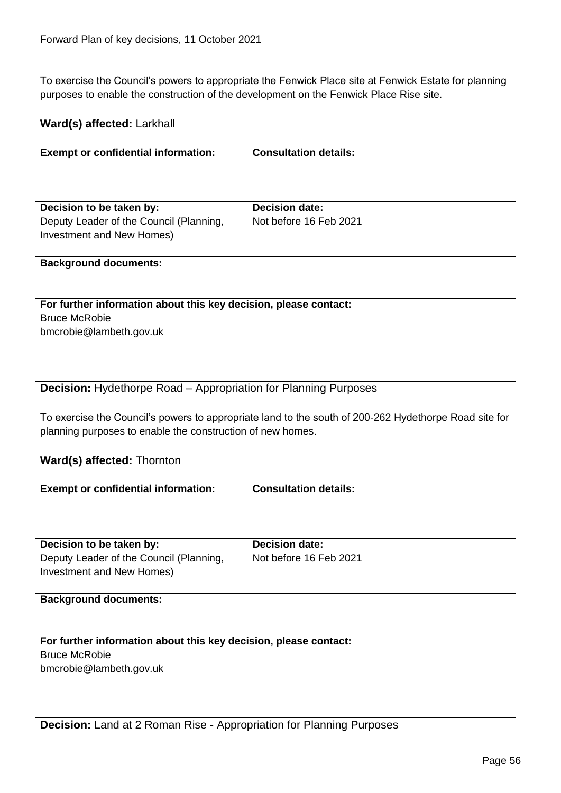To exercise the Council's powers to appropriate the Fenwick Place site at Fenwick Estate for planning purposes to enable the construction of the development on the Fenwick Place Rise site.

## **Ward(s) affected:** Larkhall

| <b>Consultation details:</b> |
|------------------------------|
|                              |
| <b>Decision date:</b>        |
| Not before 16 Feb 2021       |
|                              |

#### **Background documents:**

**For further information about this key decision, please contact:** Bruce McRobie bmcrobie@lambeth.gov.uk

#### **Decision:** Hydethorpe Road – Appropriation for Planning Purposes

To exercise the Council's powers to appropriate land to the south of 200-262 Hydethorpe Road site for planning purposes to enable the construction of new homes.

#### **Ward(s) affected:** Thornton

| <b>Exempt or confidential information:</b>                                  | <b>Consultation details:</b> |
|-----------------------------------------------------------------------------|------------------------------|
|                                                                             |                              |
|                                                                             |                              |
|                                                                             |                              |
| Decision to be taken by:                                                    | <b>Decision date:</b>        |
| Deputy Leader of the Council (Planning,                                     | Not before 16 Feb 2021       |
| Investment and New Homes)                                                   |                              |
|                                                                             |                              |
| <b>Background documents:</b>                                                |                              |
|                                                                             |                              |
|                                                                             |                              |
|                                                                             |                              |
| For further information about this key decision, please contact:            |                              |
| <b>Bruce McRobie</b>                                                        |                              |
| bmcrobie@lambeth.gov.uk                                                     |                              |
|                                                                             |                              |
|                                                                             |                              |
|                                                                             |                              |
| <b>Decision:</b> Land at 2 Roman Rise - Appropriation for Planning Purposes |                              |
|                                                                             |                              |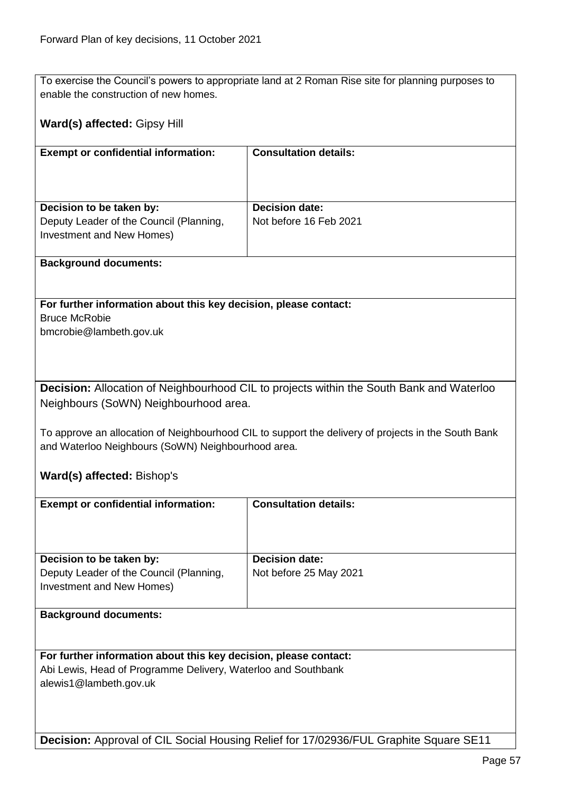To exercise the Council's powers to appropriate land at 2 Roman Rise site for planning purposes to enable the construction of new homes.

#### **Ward(s) affected:** Gipsy Hill

| <b>Exempt or confidential information:</b> | <b>Consultation details:</b> |
|--------------------------------------------|------------------------------|
| Decision to be taken by:                   | <b>Decision date:</b>        |
| Deputy Leader of the Council (Planning,    | Not before 16 Feb 2021       |
| Investment and New Homes)                  |                              |

#### **Background documents:**

**For further information about this key decision, please contact:** Bruce McRobie bmcrobie@lambeth.gov.uk

**Decision:** Allocation of Neighbourhood CIL to projects within the South Bank and Waterloo Neighbours (SoWN) Neighbourhood area.

To approve an allocation of Neighbourhood CIL to support the delivery of projects in the South Bank and Waterloo Neighbours (SoWN) Neighbourhood area.

## **Ward(s) affected:** Bishop's

| <b>Exempt or confidential information:</b> | <b>Consultation details:</b> |
|--------------------------------------------|------------------------------|
|                                            |                              |
| Decision to be taken by:                   | <b>Decision date:</b>        |
| Deputy Leader of the Council (Planning,    | Not before 25 May 2021       |
| Investment and New Homes)                  |                              |
|                                            |                              |
| <b>Background documents:</b>               |                              |

**For further information about this key decision, please contact:** Abi Lewis, Head of Programme Delivery, Waterloo and Southbank alewis1@lambeth.gov.uk

**Decision:** Approval of CIL Social Housing Relief for 17/02936/FUL Graphite Square SE11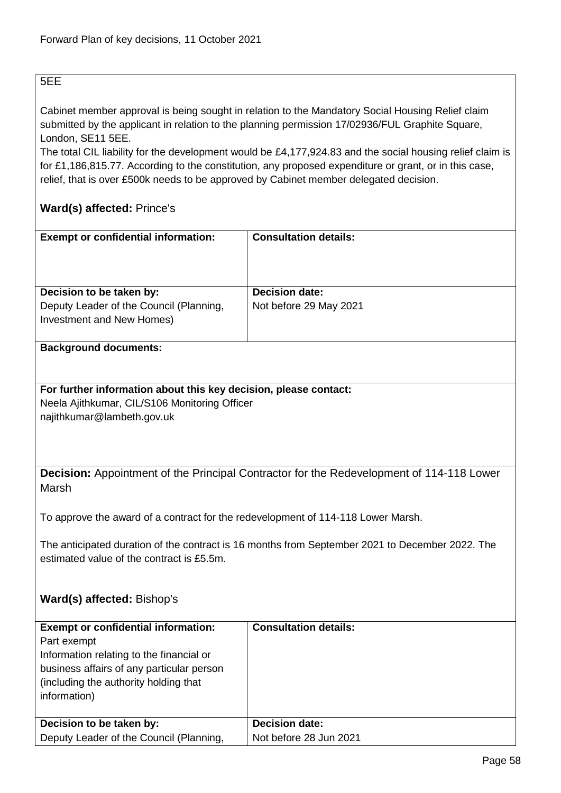# 5EE

Cabinet member approval is being sought in relation to the Mandatory Social Housing Relief claim submitted by the applicant in relation to the planning permission 17/02936/FUL Graphite Square, London, SE11 5EE.

The total CIL liability for the development would be £4,177,924.83 and the social housing relief claim is for £1,186,815.77. According to the constitution, any proposed expenditure or grant, or in this case, relief, that is over £500k needs to be approved by Cabinet member delegated decision.

# **Ward(s) affected:** Prince's

| <b>Exempt or confidential information:</b>                           | <b>Consultation details:</b> |
|----------------------------------------------------------------------|------------------------------|
| Decision to be taken by:                                             | <b>Decision date:</b>        |
| Deputy Leader of the Council (Planning,<br>Investment and New Homes) | Not before 29 May 2021       |

#### **Background documents:**

#### **For further information about this key decision, please contact:** Neela Ajithkumar, CIL/S106 Monitoring Officer najithkumar@lambeth.gov.uk

**Decision:** Appointment of the Principal Contractor for the Redevelopment of 114-118 Lower Marsh

To approve the award of a contract for the redevelopment of 114-118 Lower Marsh.

The anticipated duration of the contract is 16 months from September 2021 to December 2022. The estimated value of the contract is £5.5m.

# **Ward(s) affected:** Bishop's

| <b>Exempt or confidential information:</b><br>Part exempt<br>Information relating to the financial or<br>business affairs of any particular person<br>(including the authority holding that)<br>information) | <b>Consultation details:</b> |
|--------------------------------------------------------------------------------------------------------------------------------------------------------------------------------------------------------------|------------------------------|
| Decision to be taken by:                                                                                                                                                                                     | <b>Decision date:</b>        |
| Deputy Leader of the Council (Planning,                                                                                                                                                                      | Not before 28 Jun 2021       |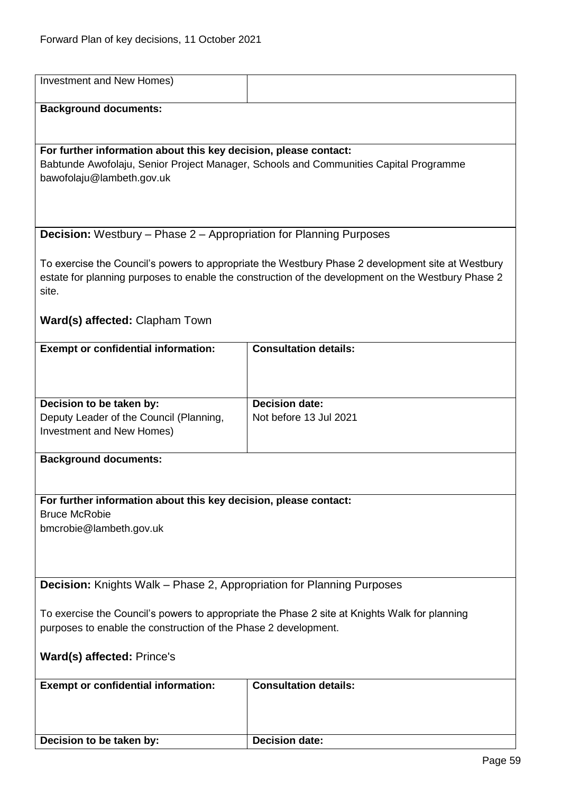| Investment and New Homes)                                                                     |                                                                                                    |  |
|-----------------------------------------------------------------------------------------------|----------------------------------------------------------------------------------------------------|--|
| <b>Background documents:</b>                                                                  |                                                                                                    |  |
|                                                                                               |                                                                                                    |  |
| For further information about this key decision, please contact:                              |                                                                                                    |  |
|                                                                                               | Babtunde Awofolaju, Senior Project Manager, Schools and Communities Capital Programme              |  |
| bawofolaju@lambeth.gov.uk                                                                     |                                                                                                    |  |
|                                                                                               |                                                                                                    |  |
|                                                                                               |                                                                                                    |  |
| <b>Decision:</b> Westbury – Phase 2 – Appropriation for Planning Purposes                     |                                                                                                    |  |
|                                                                                               | To exercise the Council's powers to appropriate the Westbury Phase 2 development site at Westbury  |  |
|                                                                                               | estate for planning purposes to enable the construction of the development on the Westbury Phase 2 |  |
| site.                                                                                         |                                                                                                    |  |
| Ward(s) affected: Clapham Town                                                                |                                                                                                    |  |
|                                                                                               |                                                                                                    |  |
| <b>Exempt or confidential information:</b>                                                    | <b>Consultation details:</b>                                                                       |  |
|                                                                                               |                                                                                                    |  |
|                                                                                               |                                                                                                    |  |
| Decision to be taken by:                                                                      | <b>Decision date:</b>                                                                              |  |
| Deputy Leader of the Council (Planning,<br>Investment and New Homes)                          | Not before 13 Jul 2021                                                                             |  |
|                                                                                               |                                                                                                    |  |
| <b>Background documents:</b>                                                                  |                                                                                                    |  |
|                                                                                               |                                                                                                    |  |
| For further information about this key decision, please contact:                              |                                                                                                    |  |
| <b>Bruce McRobie</b>                                                                          |                                                                                                    |  |
| bmcrobie@lambeth.gov.uk                                                                       |                                                                                                    |  |
|                                                                                               |                                                                                                    |  |
|                                                                                               |                                                                                                    |  |
| <b>Decision:</b> Knights Walk – Phase 2, Appropriation for Planning Purposes                  |                                                                                                    |  |
| To exercise the Council's powers to appropriate the Phase 2 site at Knights Walk for planning |                                                                                                    |  |
| purposes to enable the construction of the Phase 2 development.                               |                                                                                                    |  |
| Ward(s) affected: Prince's                                                                    |                                                                                                    |  |
|                                                                                               |                                                                                                    |  |
| <b>Exempt or confidential information:</b>                                                    | <b>Consultation details:</b>                                                                       |  |
|                                                                                               |                                                                                                    |  |
|                                                                                               |                                                                                                    |  |
| Decision to be taken by:                                                                      | <b>Decision date:</b>                                                                              |  |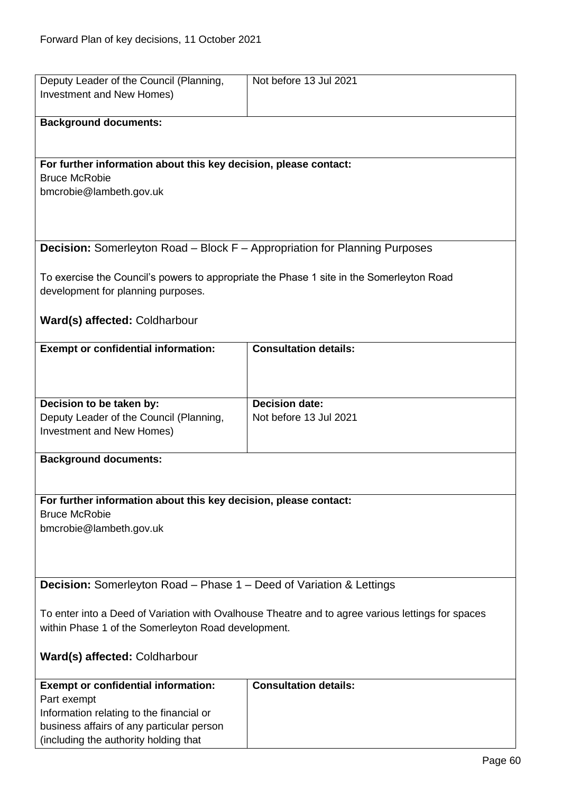| Deputy Leader of the Council (Planning,                                                           | Not before 13 Jul 2021       |
|---------------------------------------------------------------------------------------------------|------------------------------|
| <b>Investment and New Homes)</b>                                                                  |                              |
|                                                                                                   |                              |
| <b>Background documents:</b>                                                                      |                              |
|                                                                                                   |                              |
|                                                                                                   |                              |
| For further information about this key decision, please contact:                                  |                              |
| <b>Bruce McRobie</b>                                                                              |                              |
| bmcrobie@lambeth.gov.uk                                                                           |                              |
|                                                                                                   |                              |
|                                                                                                   |                              |
|                                                                                                   |                              |
| Decision: Somerleyton Road - Block F - Appropriation for Planning Purposes                        |                              |
|                                                                                                   |                              |
| To exercise the Council's powers to appropriate the Phase 1 site in the Somerleyton Road          |                              |
| development for planning purposes.                                                                |                              |
|                                                                                                   |                              |
| Ward(s) affected: Coldharbour                                                                     |                              |
|                                                                                                   |                              |
| <b>Exempt or confidential information:</b>                                                        | <b>Consultation details:</b> |
|                                                                                                   |                              |
|                                                                                                   |                              |
|                                                                                                   |                              |
| Decision to be taken by:                                                                          | <b>Decision date:</b>        |
| Deputy Leader of the Council (Planning,                                                           | Not before 13 Jul 2021       |
| Investment and New Homes)                                                                         |                              |
| <b>Background documents:</b>                                                                      |                              |
|                                                                                                   |                              |
|                                                                                                   |                              |
| For further information about this key decision, please contact:                                  |                              |
| <b>Bruce McRobie</b>                                                                              |                              |
| bmcrobie@lambeth.gov.uk                                                                           |                              |
|                                                                                                   |                              |
|                                                                                                   |                              |
|                                                                                                   |                              |
| <b>Decision:</b> Somerleyton Road – Phase 1 – Deed of Variation & Lettings                        |                              |
|                                                                                                   |                              |
| To enter into a Deed of Variation with Ovalhouse Theatre and to agree various lettings for spaces |                              |
| within Phase 1 of the Somerleyton Road development.                                               |                              |
|                                                                                                   |                              |
| Ward(s) affected: Coldharbour                                                                     |                              |
|                                                                                                   |                              |
| <b>Exempt or confidential information:</b>                                                        | <b>Consultation details:</b> |
| Part exempt                                                                                       |                              |
| Information relating to the financial or                                                          |                              |
| business affairs of any particular person                                                         |                              |
| (including the authority holding that                                                             |                              |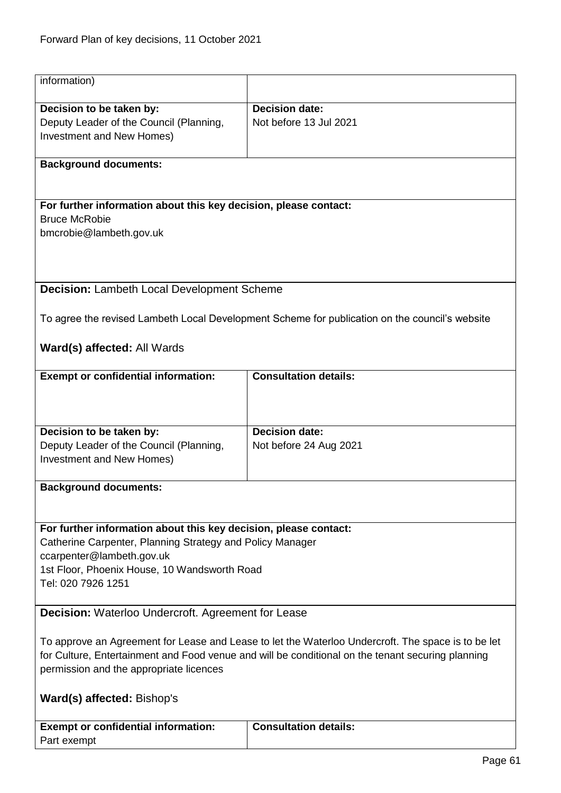| information)                                                                                       |                                                                                                |
|----------------------------------------------------------------------------------------------------|------------------------------------------------------------------------------------------------|
| Decision to be taken by:                                                                           | <b>Decision date:</b>                                                                          |
| Deputy Leader of the Council (Planning,                                                            | Not before 13 Jul 2021                                                                         |
|                                                                                                    |                                                                                                |
| Investment and New Homes)                                                                          |                                                                                                |
| <b>Background documents:</b>                                                                       |                                                                                                |
|                                                                                                    |                                                                                                |
| For further information about this key decision, please contact:                                   |                                                                                                |
| <b>Bruce McRobie</b>                                                                               |                                                                                                |
| bmcrobie@lambeth.gov.uk                                                                            |                                                                                                |
|                                                                                                    |                                                                                                |
|                                                                                                    |                                                                                                |
| Decision: Lambeth Local Development Scheme                                                         |                                                                                                |
|                                                                                                    |                                                                                                |
|                                                                                                    | To agree the revised Lambeth Local Development Scheme for publication on the council's website |
| Ward(s) affected: All Wards                                                                        |                                                                                                |
|                                                                                                    |                                                                                                |
| <b>Exempt or confidential information:</b>                                                         | <b>Consultation details:</b>                                                                   |
|                                                                                                    |                                                                                                |
|                                                                                                    |                                                                                                |
|                                                                                                    |                                                                                                |
| Decision to be taken by:                                                                           | <b>Decision date:</b>                                                                          |
| Deputy Leader of the Council (Planning,                                                            | Not before 24 Aug 2021                                                                         |
| Investment and New Homes)                                                                          |                                                                                                |
|                                                                                                    |                                                                                                |
| <b>Background documents:</b>                                                                       |                                                                                                |
|                                                                                                    |                                                                                                |
|                                                                                                    |                                                                                                |
| For further information about this key decision, please contact:                                   |                                                                                                |
| Catherine Carpenter, Planning Strategy and Policy Manager                                          |                                                                                                |
| ccarpenter@lambeth.gov.uk                                                                          |                                                                                                |
| 1st Floor, Phoenix House, 10 Wandsworth Road                                                       |                                                                                                |
| Tel: 020 7926 1251                                                                                 |                                                                                                |
|                                                                                                    |                                                                                                |
| <b>Decision:</b> Waterloo Undercroft. Agreement for Lease                                          |                                                                                                |
| To approve an Agreement for Lease and Lease to let the Waterloo Undercroft. The space is to be let |                                                                                                |
| for Culture, Entertainment and Food venue and will be conditional on the tenant securing planning  |                                                                                                |
| permission and the appropriate licences                                                            |                                                                                                |
|                                                                                                    |                                                                                                |
| Ward(s) affected: Bishop's                                                                         |                                                                                                |
|                                                                                                    |                                                                                                |
| <b>Exempt or confidential information:</b>                                                         | <b>Consultation details:</b>                                                                   |
| Part exempt                                                                                        |                                                                                                |
|                                                                                                    |                                                                                                |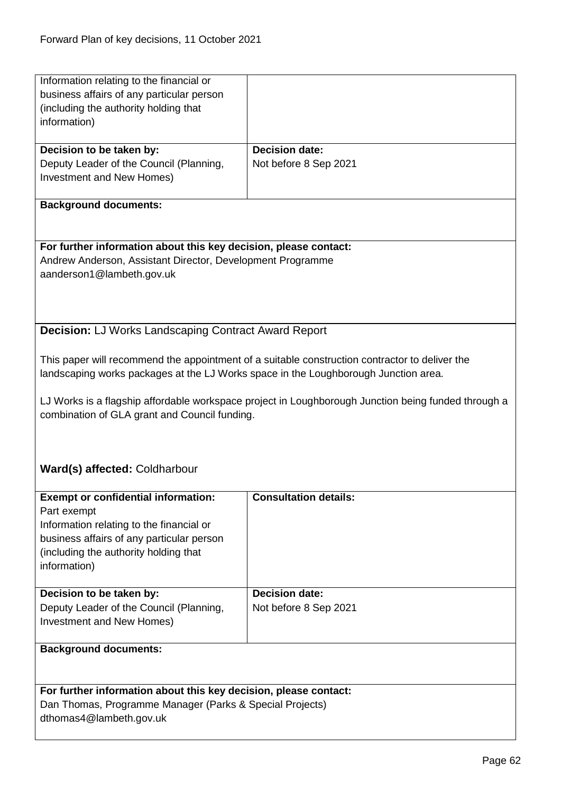| Information relating to the financial or                                            |                                                                                                     |
|-------------------------------------------------------------------------------------|-----------------------------------------------------------------------------------------------------|
| business affairs of any particular person<br>(including the authority holding that  |                                                                                                     |
| information)                                                                        |                                                                                                     |
|                                                                                     |                                                                                                     |
| Decision to be taken by:                                                            | <b>Decision date:</b>                                                                               |
| Deputy Leader of the Council (Planning,                                             | Not before 8 Sep 2021                                                                               |
| Investment and New Homes)                                                           |                                                                                                     |
|                                                                                     |                                                                                                     |
| <b>Background documents:</b>                                                        |                                                                                                     |
|                                                                                     |                                                                                                     |
|                                                                                     |                                                                                                     |
| For further information about this key decision, please contact:                    |                                                                                                     |
| Andrew Anderson, Assistant Director, Development Programme                          |                                                                                                     |
| aanderson1@lambeth.gov.uk                                                           |                                                                                                     |
|                                                                                     |                                                                                                     |
|                                                                                     |                                                                                                     |
| <b>Decision: LJ Works Landscaping Contract Award Report</b>                         |                                                                                                     |
|                                                                                     |                                                                                                     |
|                                                                                     | This paper will recommend the appointment of a suitable construction contractor to deliver the      |
| landscaping works packages at the LJ Works space in the Loughborough Junction area. |                                                                                                     |
|                                                                                     |                                                                                                     |
|                                                                                     | LJ Works is a flagship affordable workspace project in Loughborough Junction being funded through a |
| combination of GLA grant and Council funding.                                       |                                                                                                     |
|                                                                                     |                                                                                                     |
|                                                                                     |                                                                                                     |
|                                                                                     |                                                                                                     |
| Ward(s) affected: Coldharbour                                                       |                                                                                                     |
|                                                                                     |                                                                                                     |
| <b>Exempt or confidential information:</b>                                          | <b>Consultation details:</b>                                                                        |
| Part exempt                                                                         |                                                                                                     |
| Information relating to the financial or                                            |                                                                                                     |
| business affairs of any particular person                                           |                                                                                                     |
| (including the authority holding that                                               |                                                                                                     |
| information)                                                                        |                                                                                                     |
| Decision to be taken by:                                                            | <b>Decision date:</b>                                                                               |
| Deputy Leader of the Council (Planning,                                             | Not before 8 Sep 2021                                                                               |
| <b>Investment and New Homes)</b>                                                    |                                                                                                     |
|                                                                                     |                                                                                                     |
| <b>Background documents:</b>                                                        |                                                                                                     |
|                                                                                     |                                                                                                     |
|                                                                                     |                                                                                                     |
|                                                                                     |                                                                                                     |
| For further information about this key decision, please contact:                    |                                                                                                     |
| Dan Thomas, Programme Manager (Parks & Special Projects)                            |                                                                                                     |
| dthomas4@lambeth.gov.uk                                                             |                                                                                                     |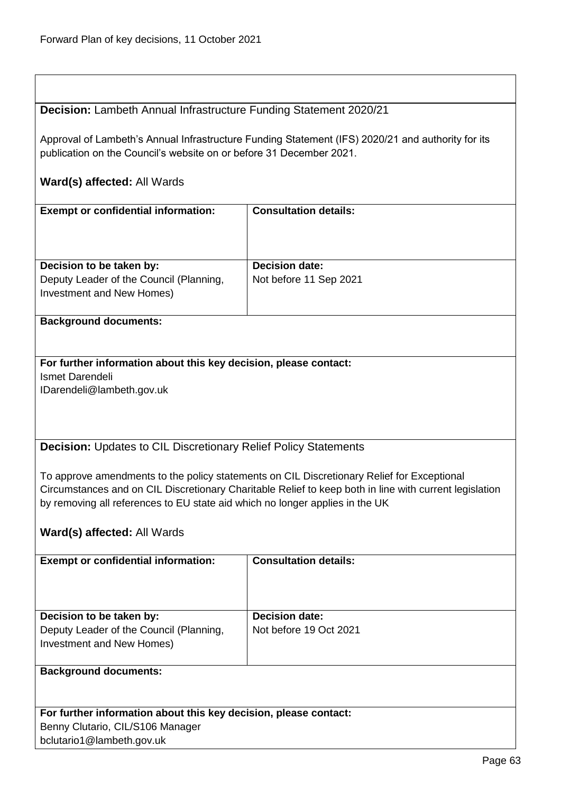## **Decision:** Lambeth Annual Infrastructure Funding Statement 2020/21

Approval of Lambeth's Annual Infrastructure Funding Statement (IFS) 2020/21 and authority for its publication on the Council's website on or before 31 December 2021.

## **Ward(s) affected:** All Wards

| <b>Exempt or confidential information:</b> | <b>Consultation details:</b> |
|--------------------------------------------|------------------------------|
| Decision to be taken by:                   | <b>Decision date:</b>        |
| Deputy Leader of the Council (Planning,    | Not before 11 Sep 2021       |
| Investment and New Homes)                  |                              |

#### **Background documents:**

# **For further information about this key decision, please contact:** Ismet Darendeli

IDarendeli@lambeth.gov.uk

## **Decision:** Updates to CIL Discretionary Relief Policy Statements

To approve amendments to the policy statements on CIL Discretionary Relief for Exceptional Circumstances and on CIL Discretionary Charitable Relief to keep both in line with current legislation by removing all references to EU state aid which no longer applies in the UK

# **Ward(s) affected:** All Wards

| <b>Exempt or confidential information:</b>                       | <b>Consultation details:</b> |
|------------------------------------------------------------------|------------------------------|
|                                                                  |                              |
|                                                                  |                              |
|                                                                  |                              |
| Decision to be taken by:                                         | <b>Decision date:</b>        |
| Deputy Leader of the Council (Planning,                          | Not before 19 Oct 2021       |
| Investment and New Homes)                                        |                              |
|                                                                  |                              |
| <b>Background documents:</b>                                     |                              |
|                                                                  |                              |
|                                                                  |                              |
| For further information about this key decision, please contact: |                              |
|                                                                  |                              |
| Benny Clutario, CIL/S106 Manager                                 |                              |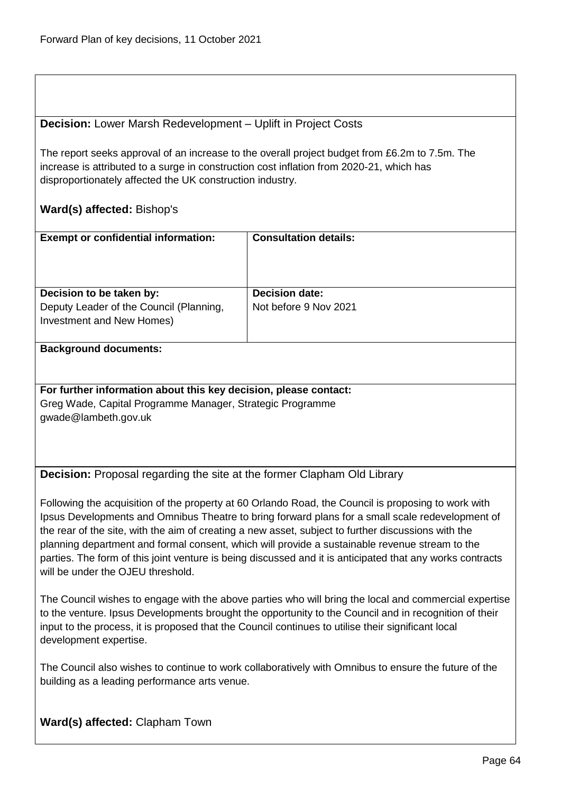#### **Decision:** Lower Marsh Redevelopment – Uplift in Project Costs

The report seeks approval of an increase to the overall project budget from £6.2m to 7.5m. The increase is attributed to a surge in construction cost inflation from 2020-21, which has disproportionately affected the UK construction industry.

## **Ward(s) affected:** Bishop's

| <b>Exempt or confidential information:</b>                                                       | <b>Consultation details:</b>                   |
|--------------------------------------------------------------------------------------------------|------------------------------------------------|
| Decision to be taken by:<br>Deputy Leader of the Council (Planning,<br>Investment and New Homes) | <b>Decision date:</b><br>Not before 9 Nov 2021 |

#### **Background documents:**

**For further information about this key decision, please contact:** Greg Wade, Capital Programme Manager, Strategic Programme gwade@lambeth.gov.uk

**Decision:** Proposal regarding the site at the former Clapham Old Library

Following the acquisition of the property at 60 Orlando Road, the Council is proposing to work with Ipsus Developments and Omnibus Theatre to bring forward plans for a small scale redevelopment of the rear of the site, with the aim of creating a new asset, subject to further discussions with the planning department and formal consent, which will provide a sustainable revenue stream to the parties. The form of this joint venture is being discussed and it is anticipated that any works contracts will be under the OJFU threshold.

The Council wishes to engage with the above parties who will bring the local and commercial expertise to the venture. Ipsus Developments brought the opportunity to the Council and in recognition of their input to the process, it is proposed that the Council continues to utilise their significant local development expertise.

The Council also wishes to continue to work collaboratively with Omnibus to ensure the future of the building as a leading performance arts venue.

## **Ward(s) affected:** Clapham Town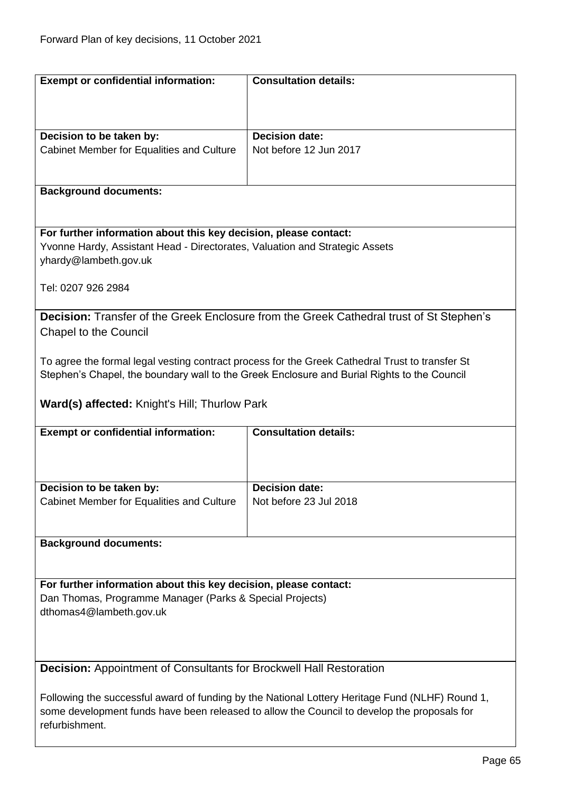| <b>Exempt or confidential information:</b>                                                                                                                                                     | <b>Consultation details:</b>                                                                    |  |
|------------------------------------------------------------------------------------------------------------------------------------------------------------------------------------------------|-------------------------------------------------------------------------------------------------|--|
|                                                                                                                                                                                                |                                                                                                 |  |
|                                                                                                                                                                                                |                                                                                                 |  |
| Decision to be taken by:                                                                                                                                                                       | <b>Decision date:</b>                                                                           |  |
| Cabinet Member for Equalities and Culture                                                                                                                                                      | Not before 12 Jun 2017                                                                          |  |
|                                                                                                                                                                                                |                                                                                                 |  |
|                                                                                                                                                                                                |                                                                                                 |  |
| <b>Background documents:</b>                                                                                                                                                                   |                                                                                                 |  |
|                                                                                                                                                                                                |                                                                                                 |  |
| For further information about this key decision, please contact:                                                                                                                               |                                                                                                 |  |
| Yvonne Hardy, Assistant Head - Directorates, Valuation and Strategic Assets                                                                                                                    |                                                                                                 |  |
| yhardy@lambeth.gov.uk                                                                                                                                                                          |                                                                                                 |  |
|                                                                                                                                                                                                |                                                                                                 |  |
| Tel: 0207 926 2984                                                                                                                                                                             |                                                                                                 |  |
|                                                                                                                                                                                                |                                                                                                 |  |
|                                                                                                                                                                                                | Decision: Transfer of the Greek Enclosure from the Greek Cathedral trust of St Stephen's        |  |
| <b>Chapel to the Council</b>                                                                                                                                                                   |                                                                                                 |  |
|                                                                                                                                                                                                |                                                                                                 |  |
|                                                                                                                                                                                                | To agree the formal legal vesting contract process for the Greek Cathedral Trust to transfer St |  |
|                                                                                                                                                                                                | Stephen's Chapel, the boundary wall to the Greek Enclosure and Burial Rights to the Council     |  |
|                                                                                                                                                                                                |                                                                                                 |  |
| Ward(s) affected: Knight's Hill; Thurlow Park                                                                                                                                                  |                                                                                                 |  |
| <b>Exempt or confidential information:</b>                                                                                                                                                     | <b>Consultation details:</b>                                                                    |  |
|                                                                                                                                                                                                |                                                                                                 |  |
|                                                                                                                                                                                                |                                                                                                 |  |
|                                                                                                                                                                                                |                                                                                                 |  |
| Decision to be taken by:                                                                                                                                                                       | <b>Decision date:</b>                                                                           |  |
| Cabinet Member for Equalities and Culture                                                                                                                                                      | Not before 23 Jul 2018                                                                          |  |
|                                                                                                                                                                                                |                                                                                                 |  |
|                                                                                                                                                                                                |                                                                                                 |  |
| <b>Background documents:</b>                                                                                                                                                                   |                                                                                                 |  |
|                                                                                                                                                                                                |                                                                                                 |  |
| For further information about this key decision, please contact:                                                                                                                               |                                                                                                 |  |
| Dan Thomas, Programme Manager (Parks & Special Projects)                                                                                                                                       |                                                                                                 |  |
| dthomas4@lambeth.gov.uk                                                                                                                                                                        |                                                                                                 |  |
|                                                                                                                                                                                                |                                                                                                 |  |
|                                                                                                                                                                                                |                                                                                                 |  |
|                                                                                                                                                                                                |                                                                                                 |  |
| Decision: Appointment of Consultants for Brockwell Hall Restoration                                                                                                                            |                                                                                                 |  |
|                                                                                                                                                                                                |                                                                                                 |  |
| Following the successful award of funding by the National Lottery Heritage Fund (NLHF) Round 1,<br>some development funds have been released to allow the Council to develop the proposals for |                                                                                                 |  |
| refurbishment.                                                                                                                                                                                 |                                                                                                 |  |
|                                                                                                                                                                                                |                                                                                                 |  |
|                                                                                                                                                                                                |                                                                                                 |  |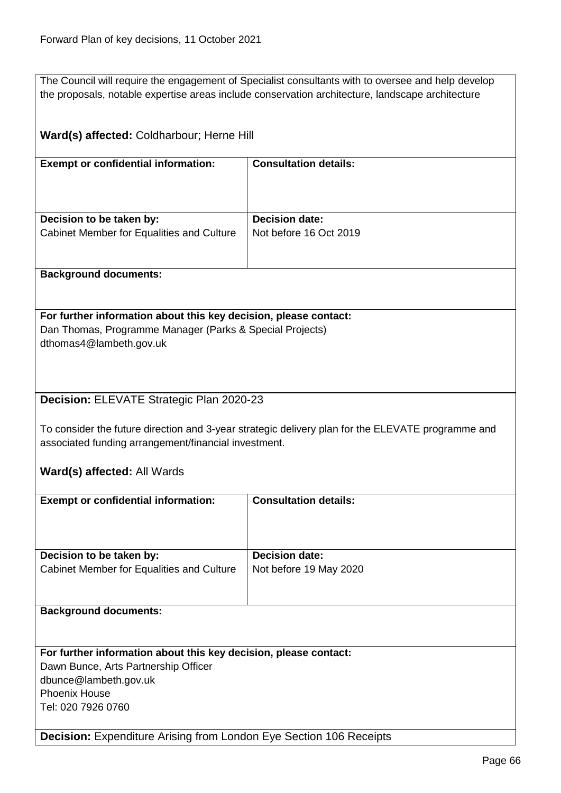|                                                                  | The Council will require the engagement of Specialist consultants with to oversee and help develop |
|------------------------------------------------------------------|----------------------------------------------------------------------------------------------------|
|                                                                  | the proposals, notable expertise areas include conservation architecture, landscape architecture   |
|                                                                  |                                                                                                    |
| Ward(s) affected: Coldharbour; Herne Hill                        |                                                                                                    |
| <b>Exempt or confidential information:</b>                       | <b>Consultation details:</b>                                                                       |
|                                                                  |                                                                                                    |
|                                                                  |                                                                                                    |
| Decision to be taken by:                                         | <b>Decision date:</b>                                                                              |
| Cabinet Member for Equalities and Culture                        | Not before 16 Oct 2019                                                                             |
|                                                                  |                                                                                                    |
|                                                                  |                                                                                                    |
| <b>Background documents:</b>                                     |                                                                                                    |
|                                                                  |                                                                                                    |
| For further information about this key decision, please contact: |                                                                                                    |
| Dan Thomas, Programme Manager (Parks & Special Projects)         |                                                                                                    |
| dthomas4@lambeth.gov.uk                                          |                                                                                                    |
|                                                                  |                                                                                                    |
|                                                                  |                                                                                                    |
| Decision: ELEVATE Strategic Plan 2020-23                         |                                                                                                    |
|                                                                  |                                                                                                    |
|                                                                  | To consider the future direction and 3-year strategic delivery plan for the ELEVATE programme and  |
| associated funding arrangement/financial investment.             |                                                                                                    |
|                                                                  |                                                                                                    |
| Ward(s) affected: All Wards                                      |                                                                                                    |
| <b>Exempt or confidential information:</b>                       |                                                                                                    |
|                                                                  |                                                                                                    |
|                                                                  | <b>Consultation details:</b>                                                                       |
|                                                                  |                                                                                                    |
|                                                                  |                                                                                                    |
| Decision to be taken by:                                         | <b>Decision date:</b>                                                                              |
| Cabinet Member for Equalities and Culture                        | Not before 19 May 2020                                                                             |
|                                                                  |                                                                                                    |
|                                                                  |                                                                                                    |
| <b>Background documents:</b>                                     |                                                                                                    |
|                                                                  |                                                                                                    |
| For further information about this key decision, please contact: |                                                                                                    |
| Dawn Bunce, Arts Partnership Officer                             |                                                                                                    |
| dbunce@lambeth.gov.uk                                            |                                                                                                    |
| <b>Phoenix House</b>                                             |                                                                                                    |
| Tel: 020 7926 0760                                               |                                                                                                    |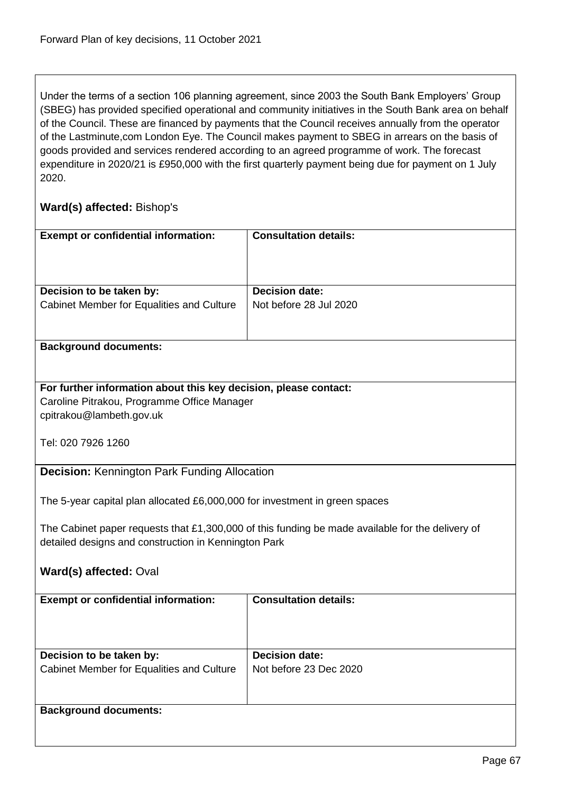Under the terms of a section 106 planning agreement, since 2003 the South Bank Employers' Group (SBEG) has provided specified operational and community initiatives in the South Bank area on behalf of the Council. These are financed by payments that the Council receives annually from the operator of the Lastminute,com London Eye. The Council makes payment to SBEG in arrears on the basis of goods provided and services rendered according to an agreed programme of work. The forecast expenditure in 2020/21 is £950,000 with the first quarterly payment being due for payment on 1 July 2020.

## **Ward(s) affected:** Bishop's

| <b>Exempt or confidential information:</b>                                                       | <b>Consultation details:</b> |  |
|--------------------------------------------------------------------------------------------------|------------------------------|--|
|                                                                                                  |                              |  |
|                                                                                                  |                              |  |
|                                                                                                  |                              |  |
| Decision to be taken by:                                                                         | <b>Decision date:</b>        |  |
| Cabinet Member for Equalities and Culture                                                        | Not before 28 Jul 2020       |  |
|                                                                                                  |                              |  |
|                                                                                                  |                              |  |
| <b>Background documents:</b>                                                                     |                              |  |
|                                                                                                  |                              |  |
| For further information about this key decision, please contact:                                 |                              |  |
| Caroline Pitrakou, Programme Office Manager                                                      |                              |  |
| cpitrakou@lambeth.gov.uk                                                                         |                              |  |
|                                                                                                  |                              |  |
| Tel: 020 7926 1260                                                                               |                              |  |
|                                                                                                  |                              |  |
| <b>Decision: Kennington Park Funding Allocation</b>                                              |                              |  |
|                                                                                                  |                              |  |
| The 5-year capital plan allocated £6,000,000 for investment in green spaces                      |                              |  |
|                                                                                                  |                              |  |
| The Cabinet paper requests that £1,300,000 of this funding be made available for the delivery of |                              |  |
| detailed designs and construction in Kennington Park                                             |                              |  |
|                                                                                                  |                              |  |
| Ward(s) affected: Oval                                                                           |                              |  |
| <b>Exempt or confidential information:</b>                                                       | <b>Consultation details:</b> |  |
|                                                                                                  |                              |  |
|                                                                                                  |                              |  |
|                                                                                                  |                              |  |
| Decision to be taken by:                                                                         | <b>Decision date:</b>        |  |
| Cabinet Member for Equalities and Culture                                                        | Not before 23 Dec 2020       |  |
|                                                                                                  |                              |  |
|                                                                                                  |                              |  |
| <b>Background documents:</b>                                                                     |                              |  |
|                                                                                                  |                              |  |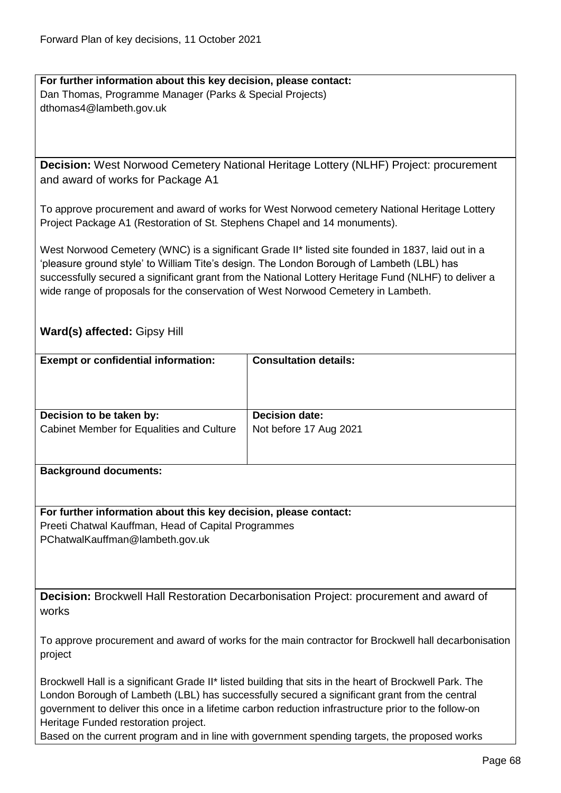**For further information about this key decision, please contact:** Dan Thomas, Programme Manager (Parks & Special Projects) dthomas4@lambeth.gov.uk

**Decision:** West Norwood Cemetery National Heritage Lottery (NLHF) Project: procurement and award of works for Package A1

To approve procurement and award of works for West Norwood cemetery National Heritage Lottery Project Package A1 (Restoration of St. Stephens Chapel and 14 monuments).

West Norwood Cemetery (WNC) is a significant Grade II\* listed site founded in 1837, laid out in a 'pleasure ground style' to William Tite's design. The London Borough of Lambeth (LBL) has successfully secured a significant grant from the National Lottery Heritage Fund (NLHF) to deliver a wide range of proposals for the conservation of West Norwood Cemetery in Lambeth.

## **Ward(s) affected:** Gipsy Hill

| <b>Exempt or confidential information:</b>                            | <b>Consultation details:</b>                    |
|-----------------------------------------------------------------------|-------------------------------------------------|
| Decision to be taken by:<br>Cabinet Member for Equalities and Culture | <b>Decision date:</b><br>Not before 17 Aug 2021 |
| <b>Background documents:</b>                                          |                                                 |

**For further information about this key decision, please contact:** Preeti Chatwal Kauffman, Head of Capital Programmes PChatwalKauffman@lambeth.gov.uk

**Decision:** Brockwell Hall Restoration Decarbonisation Project: procurement and award of works

To approve procurement and award of works for the main contractor for Brockwell hall decarbonisation project

Brockwell Hall is a significant Grade II\* listed building that sits in the heart of Brockwell Park. The London Borough of Lambeth (LBL) has successfully secured a significant grant from the central government to deliver this once in a lifetime carbon reduction infrastructure prior to the follow-on Heritage Funded restoration project.

Based on the current program and in line with government spending targets, the proposed works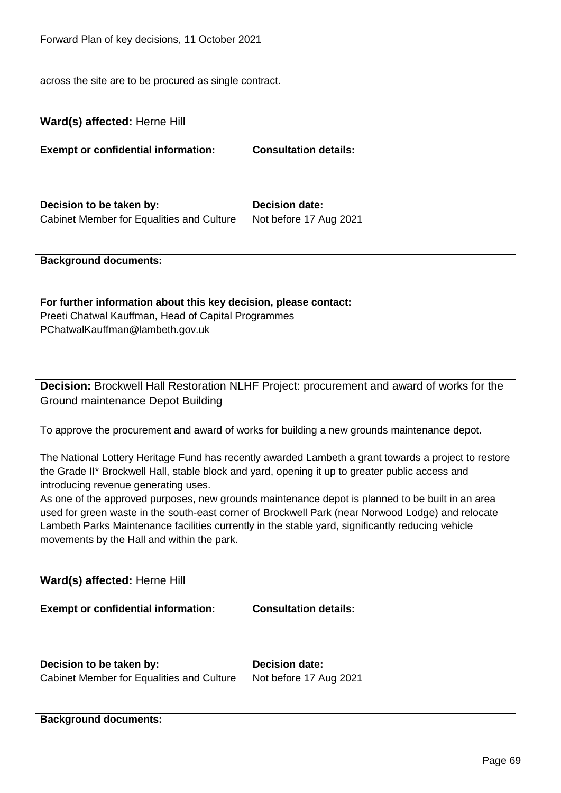| across the site are to be procured as single contract.           |                                                                                                      |  |
|------------------------------------------------------------------|------------------------------------------------------------------------------------------------------|--|
| Ward(s) affected: Herne Hill                                     |                                                                                                      |  |
|                                                                  |                                                                                                      |  |
| <b>Exempt or confidential information:</b>                       | <b>Consultation details:</b>                                                                         |  |
|                                                                  |                                                                                                      |  |
|                                                                  |                                                                                                      |  |
| Decision to be taken by:                                         | <b>Decision date:</b>                                                                                |  |
| Cabinet Member for Equalities and Culture                        | Not before 17 Aug 2021                                                                               |  |
|                                                                  |                                                                                                      |  |
| <b>Background documents:</b>                                     |                                                                                                      |  |
|                                                                  |                                                                                                      |  |
| For further information about this key decision, please contact: |                                                                                                      |  |
| Preeti Chatwal Kauffman, Head of Capital Programmes              |                                                                                                      |  |
| PChatwalKauffman@lambeth.gov.uk                                  |                                                                                                      |  |
|                                                                  |                                                                                                      |  |
|                                                                  |                                                                                                      |  |
|                                                                  | Decision: Brockwell Hall Restoration NLHF Project: procurement and award of works for the            |  |
| Ground maintenance Depot Building                                |                                                                                                      |  |
|                                                                  | To approve the procurement and award of works for building a new grounds maintenance depot.          |  |
|                                                                  |                                                                                                      |  |
|                                                                  | The National Lottery Heritage Fund has recently awarded Lambeth a grant towards a project to restore |  |
| introducing revenue generating uses.                             | the Grade II* Brockwell Hall, stable block and yard, opening it up to greater public access and      |  |
|                                                                  | As one of the approved purposes, new grounds maintenance depot is planned to be built in an area     |  |
|                                                                  | used for green waste in the south-east corner of Brockwell Park (near Norwood Lodge) and relocate    |  |
|                                                                  | Lambeth Parks Maintenance facilities currently in the stable yard, significantly reducing vehicle    |  |
| movements by the Hall and within the park.                       |                                                                                                      |  |
|                                                                  |                                                                                                      |  |
| Ward(s) affected: Herne Hill                                     |                                                                                                      |  |
| <b>Exempt or confidential information:</b>                       | <b>Consultation details:</b>                                                                         |  |
|                                                                  |                                                                                                      |  |
|                                                                  |                                                                                                      |  |
| Decision to be taken by:                                         | <b>Decision date:</b>                                                                                |  |
| Cabinet Member for Equalities and Culture                        | Not before 17 Aug 2021                                                                               |  |
|                                                                  |                                                                                                      |  |
| <b>Background documents:</b>                                     |                                                                                                      |  |
|                                                                  |                                                                                                      |  |
|                                                                  |                                                                                                      |  |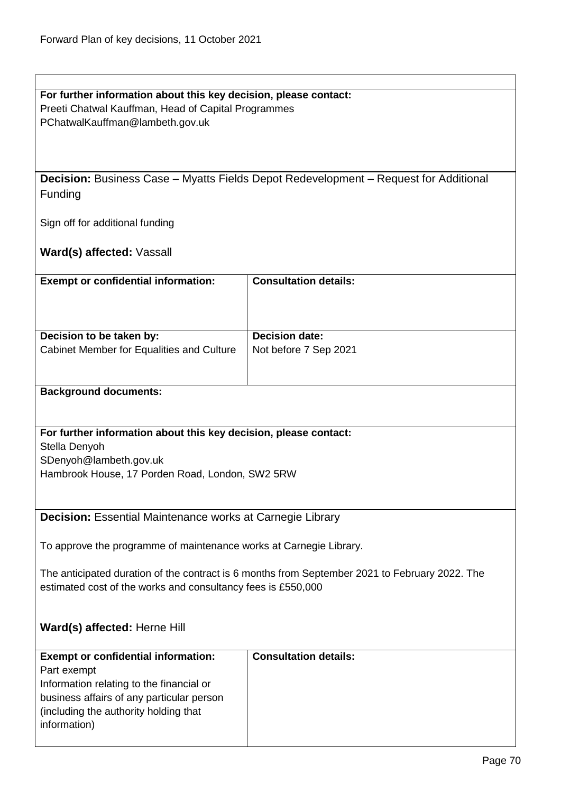| For further information about this key decision, please contact: |
|------------------------------------------------------------------|
| Preeti Chatwal Kauffman, Head of Capital Programmes              |

PChatwalKauffman@lambeth.gov.uk

**Decision:** Business Case – Myatts Fields Depot Redevelopment – Request for Additional Funding

Sign off for additional funding

**Ward(s) affected:** Vassall

| <b>Exempt or confidential information:</b> | <b>Consultation details:</b> |
|--------------------------------------------|------------------------------|
| Decision to be taken by:                   | <b>Decision date:</b>        |
| Cabinet Member for Equalities and Culture  | Not before 7 Sep 2021        |

#### **Background documents:**

#### **For further information about this key decision, please contact:**

Stella Denyoh

SDenyoh@lambeth.gov.uk

Hambrook House, 17 Porden Road, London, SW2 5RW

**Decision:** Essential Maintenance works at Carnegie Library

To approve the programme of maintenance works at Carnegie Library.

The anticipated duration of the contract is 6 months from September 2021 to February 2022. The estimated cost of the works and consultancy fees is £550,000

## **Ward(s) affected:** Herne Hill

| <b>Exempt or confidential information:</b> | <b>Consultation details:</b> |
|--------------------------------------------|------------------------------|
| Part exempt                                |                              |
| Information relating to the financial or   |                              |
| business affairs of any particular person  |                              |
| (including the authority holding that)     |                              |
| information)                               |                              |
|                                            |                              |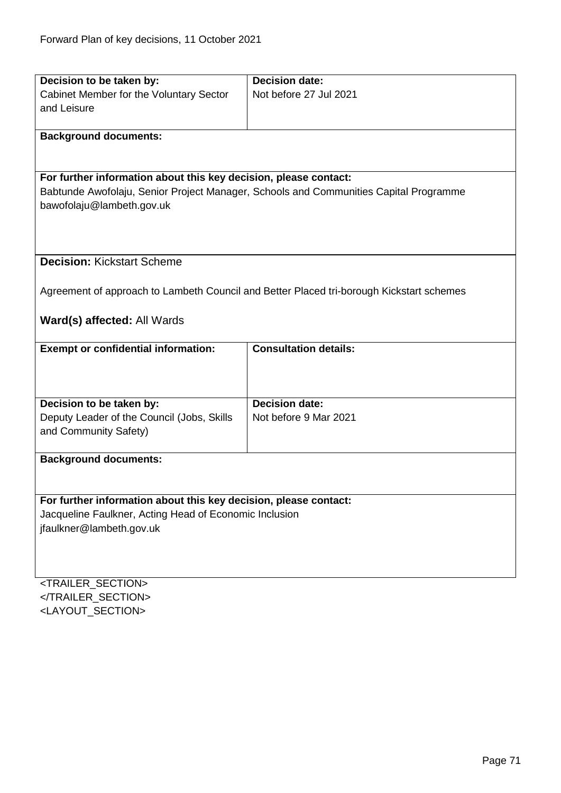| Cabinet Member for the Voluntary Sector<br>Not before 27 Jul 2021<br>and Leisure<br><b>Background documents:</b><br>For further information about this key decision, please contact:<br>Babtunde Awofolaju, Senior Project Manager, Schools and Communities Capital Programme<br>bawofolaju@lambeth.gov.uk<br><b>Decision: Kickstart Scheme</b> |  |  |
|-------------------------------------------------------------------------------------------------------------------------------------------------------------------------------------------------------------------------------------------------------------------------------------------------------------------------------------------------|--|--|
|                                                                                                                                                                                                                                                                                                                                                 |  |  |
|                                                                                                                                                                                                                                                                                                                                                 |  |  |
|                                                                                                                                                                                                                                                                                                                                                 |  |  |
|                                                                                                                                                                                                                                                                                                                                                 |  |  |
|                                                                                                                                                                                                                                                                                                                                                 |  |  |
|                                                                                                                                                                                                                                                                                                                                                 |  |  |
|                                                                                                                                                                                                                                                                                                                                                 |  |  |
|                                                                                                                                                                                                                                                                                                                                                 |  |  |
|                                                                                                                                                                                                                                                                                                                                                 |  |  |
|                                                                                                                                                                                                                                                                                                                                                 |  |  |
|                                                                                                                                                                                                                                                                                                                                                 |  |  |
|                                                                                                                                                                                                                                                                                                                                                 |  |  |
|                                                                                                                                                                                                                                                                                                                                                 |  |  |
| Agreement of approach to Lambeth Council and Better Placed tri-borough Kickstart schemes                                                                                                                                                                                                                                                        |  |  |
|                                                                                                                                                                                                                                                                                                                                                 |  |  |
| Ward(s) affected: All Wards                                                                                                                                                                                                                                                                                                                     |  |  |
|                                                                                                                                                                                                                                                                                                                                                 |  |  |
| <b>Consultation details:</b><br><b>Exempt or confidential information:</b>                                                                                                                                                                                                                                                                      |  |  |
|                                                                                                                                                                                                                                                                                                                                                 |  |  |
|                                                                                                                                                                                                                                                                                                                                                 |  |  |
| <b>Decision date:</b><br>Decision to be taken by:                                                                                                                                                                                                                                                                                               |  |  |
| Deputy Leader of the Council (Jobs, Skills<br>Not before 9 Mar 2021                                                                                                                                                                                                                                                                             |  |  |
| and Community Safety)                                                                                                                                                                                                                                                                                                                           |  |  |
|                                                                                                                                                                                                                                                                                                                                                 |  |  |
| <b>Background documents:</b>                                                                                                                                                                                                                                                                                                                    |  |  |
|                                                                                                                                                                                                                                                                                                                                                 |  |  |
| For further information about this key decision, please contact:                                                                                                                                                                                                                                                                                |  |  |
| Jacqueline Faulkner, Acting Head of Economic Inclusion                                                                                                                                                                                                                                                                                          |  |  |
| jfaulkner@lambeth.gov.uk                                                                                                                                                                                                                                                                                                                        |  |  |
|                                                                                                                                                                                                                                                                                                                                                 |  |  |
|                                                                                                                                                                                                                                                                                                                                                 |  |  |
| <b>TRAILED CECTIONS</b>                                                                                                                                                                                                                                                                                                                         |  |  |

<TRAILER\_SECTION> </TRAILER\_SECTION> <LAYOUT\_SECTION>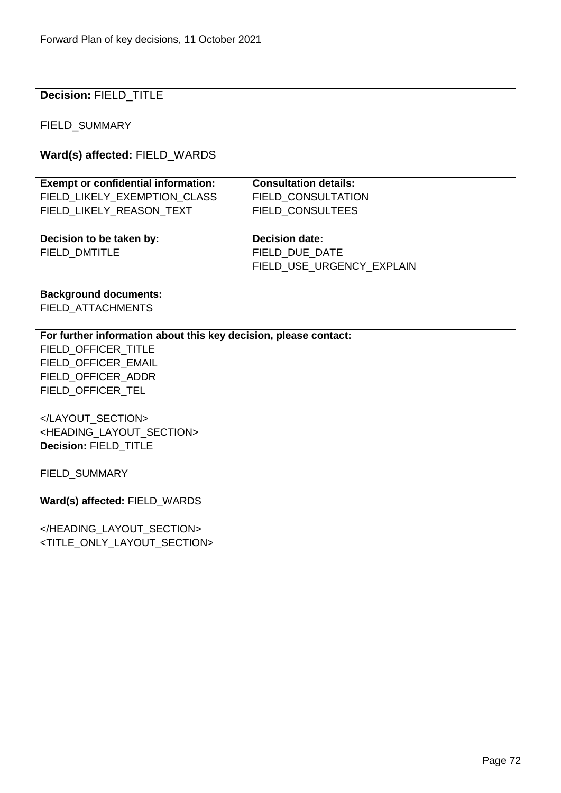| <b>Decision: FIELD TITLE</b>                                     |                              |  |
|------------------------------------------------------------------|------------------------------|--|
|                                                                  |                              |  |
| FIELD_SUMMARY                                                    |                              |  |
|                                                                  |                              |  |
| Ward(s) affected: FIELD_WARDS                                    |                              |  |
|                                                                  |                              |  |
| <b>Exempt or confidential information:</b>                       | <b>Consultation details:</b> |  |
| FIELD_LIKELY_EXEMPTION_CLASS                                     | FIELD_CONSULTATION           |  |
| FIELD_LIKELY_REASON_TEXT                                         | FIELD_CONSULTEES             |  |
|                                                                  |                              |  |
| Decision to be taken by:                                         | <b>Decision date:</b>        |  |
|                                                                  |                              |  |
| <b>FIELD DMTITLE</b>                                             | FIELD DUE DATE               |  |
|                                                                  | FIELD_USE_URGENCY_EXPLAIN    |  |
|                                                                  |                              |  |
| <b>Background documents:</b>                                     |                              |  |
| FIELD ATTACHMENTS                                                |                              |  |
|                                                                  |                              |  |
| For further information about this key decision, please contact: |                              |  |
| FIELD_OFFICER_TITLE                                              |                              |  |
| FIELD OFFICER EMAIL                                              |                              |  |
| FIELD_OFFICER_ADDR                                               |                              |  |
| FIELD_OFFICER_TEL                                                |                              |  |
|                                                                  |                              |  |
|                                                                  |                              |  |
| <heading_layout_section></heading_layout_section>                |                              |  |
| Decision: FIELD_TITLE                                            |                              |  |
|                                                                  |                              |  |
| <b>FIELD SUMMARY</b>                                             |                              |  |
|                                                                  |                              |  |
| Ward(s) affected: FIELD_WARDS                                    |                              |  |
|                                                                  |                              |  |
| JUEANNIA LAVALIT CEATIAN.                                        |                              |  |

</HEADING\_LAYOUT\_SECTION> <TITLE\_ONLY\_LAYOUT\_SECTION>